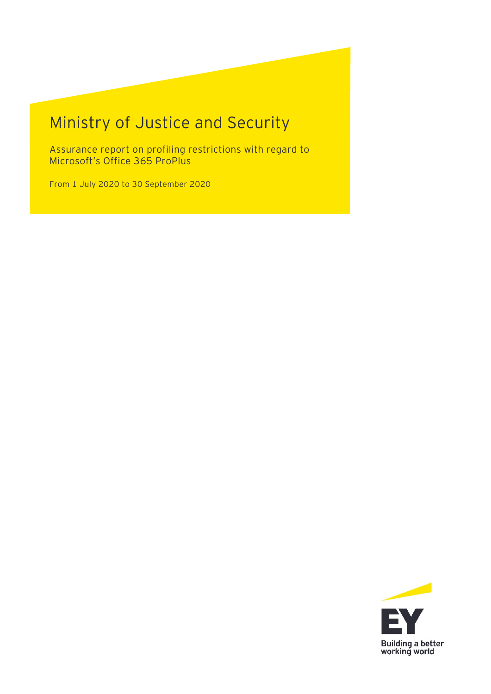# Ministry of Justice and Security

Assurance report on profiling restrictions with regard to Microsoft's Office 365 ProPlus

From 1 July 2020 to 30 September 2020

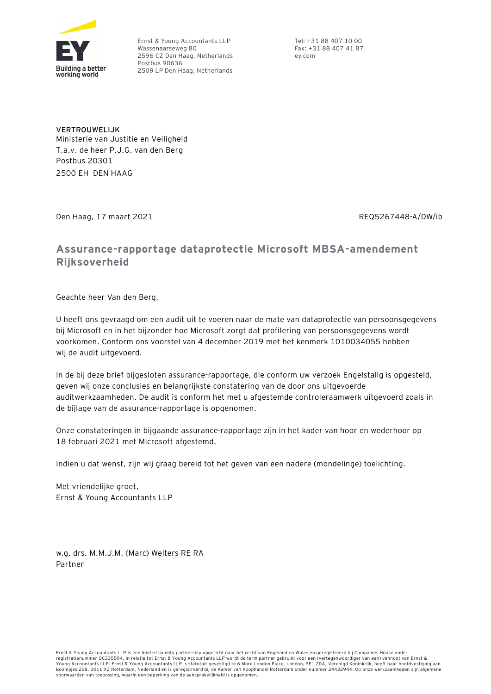

 Ernst & Young Accountants LLP Wassenaarseweg 80 2596 CZ Den Haag, Netherlands Postbus 90636 2509 LP Den Haag, Netherlands

 Tel: +31 88 407 10 00 Fax: +31 88 407 41 87 ey.com

**VERTROUWELIJK**  Ministerie van Justitie en Veiligheid T.a.v. de heer P.J.G. van den Berg Postbus 20301 2500 EH DEN HAAG

Den Haag, 17 maart 2021 REQ5267448-A/DW/ib

# **Assurance-rapportage dataprotectie Microsoft MBSA-amendement Rijksoverheid**

Geachte heer Van den Berg,

U heeft ons gevraagd om een audit uit te voeren naar de mate van dataprotectie van persoonsgegevens bij Microsoft en in het bijzonder hoe Microsoft zorgt dat profilering van persoonsgegevens wordt voorkomen. Conform ons voorstel van 4 december 2019 met het kenmerk 1010034055 hebben wij de audit uitgevoerd.

In de bij deze brief bijgesloten assurance-rapportage, die conform uw verzoek Engelstalig is opgesteld, geven wij onze conclusies en belangrijkste constatering van de door ons uitgevoerde auditwerkzaamheden. De audit is conform het met u afgestemde controleraamwerk uitgevoerd zoals in de bijlage van de assurance-rapportage is opgenomen.

Onze constateringen in bijgaande assurance-rapportage zijn in het kader van hoor en wederhoor op 18 februari 2021 met Microsoft afgestemd.

Indien u dat wenst, zijn wij graag bereid tot het geven van een nadere (mondelinge) toelichting.

Met vriendelijke groet, Ernst & Young Accountants LLP

w.g. drs. M.M.J.M. (Marc) Welters RE RA Partner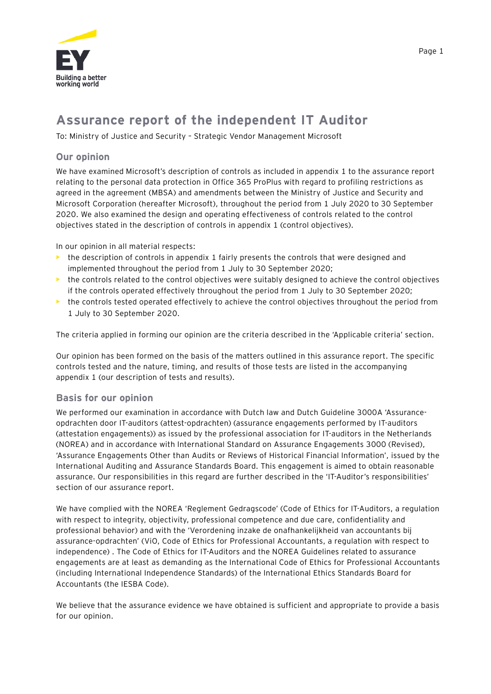

# **Assurance report of the independent IT Auditor**

To: Ministry of Justice and Security – Strategic Vendor Management Microsoft

#### **Our opinion**

We have examined Microsoft's description of controls as included in appendix 1 to the assurance report relating to the personal data protection in Office 365 ProPlus with regard to profiling restrictions as agreed in the agreement (MBSA) and amendments between the Ministry of Justice and Security and Microsoft Corporation (hereafter Microsoft), throughout the period from 1 July 2020 to 30 September 2020. We also examined the design and operating effectiveness of controls related to the control objectives stated in the description of controls in appendix 1 (control objectives).

In our opinion in all material respects:

- the description of controls in appendix 1 fairly presents the controls that were designed and implemented throughout the period from 1 July to 30 September 2020;
- **•** the controls related to the control objectives were suitably designed to achieve the control objectives if the controls operated effectively throughout the period from 1 July to 30 September 2020;
- the controls tested operated effectively to achieve the control objectives throughout the period from 1 July to 30 September 2020.

The criteria applied in forming our opinion are the criteria described in the 'Applicable criteria' section.

Our opinion has been formed on the basis of the matters outlined in this assurance report. The specific controls tested and the nature, timing, and results of those tests are listed in the accompanying appendix 1 (our description of tests and results).

#### **Basis for our opinion**

We performed our examination in accordance with Dutch law and Dutch Guideline 3000A 'Assuranceopdrachten door IT-auditors (attest-opdrachten) (assurance engagements performed by IT-auditors (attestation engagements)) as issued by the professional association for IT-auditors in the Netherlands (NOREA) and in accordance with International Standard on Assurance Engagements 3000 (Revised), 'Assurance Engagements Other than Audits or Reviews of Historical Financial Information', issued by the International Auditing and Assurance Standards Board. This engagement is aimed to obtain reasonable assurance. Our responsibilities in this regard are further described in the 'IT-Auditor's responsibilities' section of our assurance report.

We have complied with the NOREA 'Reglement Gedragscode' (Code of Ethics for IT-Auditors, a regulation with respect to integrity, objectivity, professional competence and due care, confidentiality and professional behavior) and with the 'Verordening inzake de onafhankelijkheid van accountants bij assurance-opdrachten' (ViO, Code of Ethics for Professional Accountants, a regulation with respect to independence) . The Code of Ethics for IT-Auditors and the NOREA Guidelines related to assurance engagements are at least as demanding as the International Code of Ethics for Professional Accountants (including International Independence Standards) of the International Ethics Standards Board for Accountants (the IESBA Code).

We believe that the assurance evidence we have obtained is sufficient and appropriate to provide a basis for our opinion.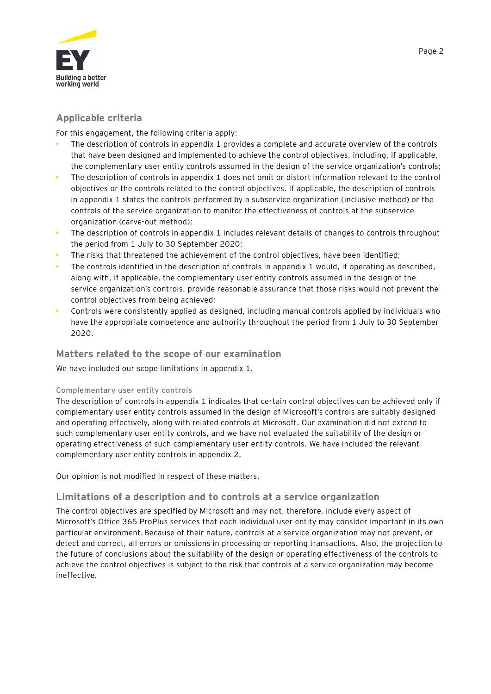

# **Applicable criteria**

For this engagement, the following criteria apply:

- The description of controls in appendix 1 provides a complete and accurate overview of the controls that have been designed and implemented to achieve the control objectives, including, if applicable, the complementary user entity controls assumed in the design of the service organization's controls;
- The description of controls in appendix 1 does not omit or distort information relevant to the control objectives or the controls related to the control objectives. If applicable, the description of controls in appendix 1 states the controls performed by a subservice organization (inclusive method) or the controls of the service organization to monitor the effectiveness of controls at the subservice organization (carve-out method);
- The description of controls in appendix 1 includes relevant details of changes to controls throughout the period from 1 July to 30 September 2020;
- The risks that threatened the achievement of the control objectives, have been identified;
- The controls identified in the description of controls in appendix 1 would, if operating as described, along with, if applicable, the complementary user entity controls assumed in the design of the service organization's controls, provide reasonable assurance that those risks would not prevent the control objectives from being achieved;
- Controls were consistently applied as designed, including manual controls applied by individuals who have the appropriate competence and authority throughout the period from 1 July to 30 September 2020.

#### **Matters related to the scope of our examination**

We have included our scope limitations in appendix 1.

#### **Complementary user entity controls**

The description of controls in appendix 1 indicates that certain control objectives can be achieved only if complementary user entity controls assumed in the design of Microsoft's controls are suitably designed and operating effectively, along with related controls at Microsoft. Our examination did not extend to such complementary user entity controls, and we have not evaluated the suitability of the design or operating effectiveness of such complementary user entity controls. We have included the relevant complementary user entity controls in appendix 2.

Our opinion is not modified in respect of these matters.

# **Limitations of a description and to controls at a service organization**

The control objectives are specified by Microsoft and may not, therefore, include every aspect of Microsoft's Office 365 ProPlus services that each individual user entity may consider important in its own particular environment. Because of their nature, controls at a service organization may not prevent, or detect and correct, all errors or omissions in processing or reporting transactions. Also, the projection to the future of conclusions about the suitability of the design or operating effectiveness of the controls to achieve the control objectives is subject to the risk that controls at a service organization may become ineffective.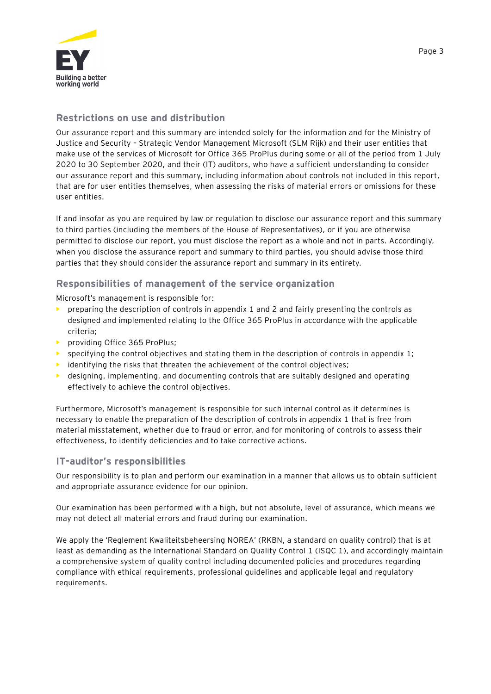

# **Restrictions on use and distribution**

Our assurance report and this summary are intended solely for the information and for the Ministry of Justice and Security – Strategic Vendor Management Microsoft (SLM Rijk) and their user entities that make use of the services of Microsoft for Office 365 ProPlus during some or all of the period from 1 July 2020 to 30 September 2020, and their (IT) auditors, who have a sufficient understanding to consider our assurance report and this summary, including information about controls not included in this report, that are for user entities themselves, when assessing the risks of material errors or omissions for these user entities.

If and insofar as you are required by law or regulation to disclose our assurance report and this summary to third parties (including the members of the House of Representatives), or if you are otherwise permitted to disclose our report, you must disclose the report as a whole and not in parts. Accordingly, when you disclose the assurance report and summary to third parties, you should advise those third parties that they should consider the assurance report and summary in its entirety.

# **Responsibilities of management of the service organization**

Microsoft's management is responsible for:

- preparing the description of controls in appendix 1 and 2 and fairly presenting the controls as designed and implemented relating to the Office 365 ProPlus in accordance with the applicable criteria;
- **•** providing Office 365 ProPlus;
- specifying the control objectives and stating them in the description of controls in appendix 1;
- identifying the risks that threaten the achievement of the control objectives;
- **•** designing, implementing, and documenting controls that are suitably designed and operating effectively to achieve the control objectives.

Furthermore, Microsoft's management is responsible for such internal control as it determines is necessary to enable the preparation of the description of controls in appendix 1 that is free from material misstatement, whether due to fraud or error, and for monitoring of controls to assess their effectiveness, to identify deficiencies and to take corrective actions.

#### **IT-auditor's responsibilities**

Our responsibility is to plan and perform our examination in a manner that allows us to obtain sufficient and appropriate assurance evidence for our opinion.

Our examination has been performed with a high, but not absolute, level of assurance, which means we may not detect all material errors and fraud during our examination.

We apply the 'Reglement Kwaliteitsbeheersing NOREA' (RKBN, a standard on quality control) that is at least as demanding as the International Standard on Quality Control 1 (ISQC 1), and accordingly maintain a comprehensive system of quality control including documented policies and procedures regarding compliance with ethical requirements, professional guidelines and applicable legal and regulatory requirements.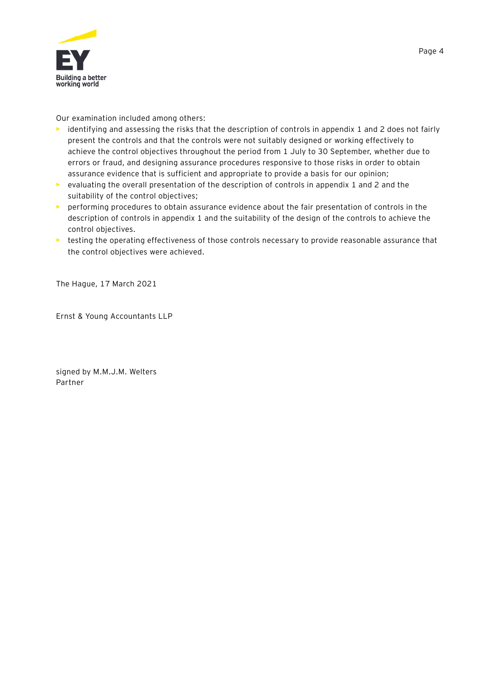

Our examination included among others:

- **•** identifying and assessing the risks that the description of controls in appendix 1 and 2 does not fairly present the controls and that the controls were not suitably designed or working effectively to achieve the control objectives throughout the period from 1 July to 30 September, whether due to errors or fraud, and designing assurance procedures responsive to those risks in order to obtain assurance evidence that is sufficient and appropriate to provide a basis for our opinion;
- **•** evaluating the overall presentation of the description of controls in appendix 1 and 2 and the suitability of the control objectives;
- **•** performing procedures to obtain assurance evidence about the fair presentation of controls in the description of controls in appendix 1 and the suitability of the design of the controls to achieve the control objectives.
- **•** testing the operating effectiveness of those controls necessary to provide reasonable assurance that the control objectives were achieved.

The Hague, 17 March 2021

Ernst & Young Accountants LLP

signed by M.M.J.M. Welters Partner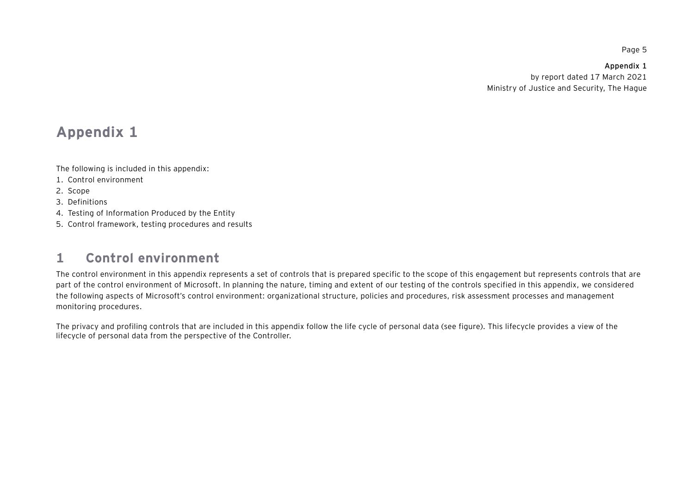**Appendix 1**  by report dated 17 March 2021 Ministry of Justice and Security, The Hague

# **Appendix 1**

The following is included in this appendix:

- 1. Control environment
- 2. Scope

3. Definitions

- 4. Testing of Information Produced by the Entity
- 5. Control framework, testing procedures and results

#### **1Control environment**

The control environment in this appendix represents a set of controls that is prepared specific to the scope of this engagement but represents controls that are part of the control environment of Microsoft. In planning the nature, timing and extent of our testing of the controls specified in this appendix, we considered the following aspects of Microsoft's control environment: organizational structure, policies and procedures, risk assessment processes and management monitoring procedures.

The privacy and profiling controls that are included in this appendix follow the life cycle of personal data (see figure). This lifecycle provides a view of the lifecycle of personal data from the perspective of the Controller.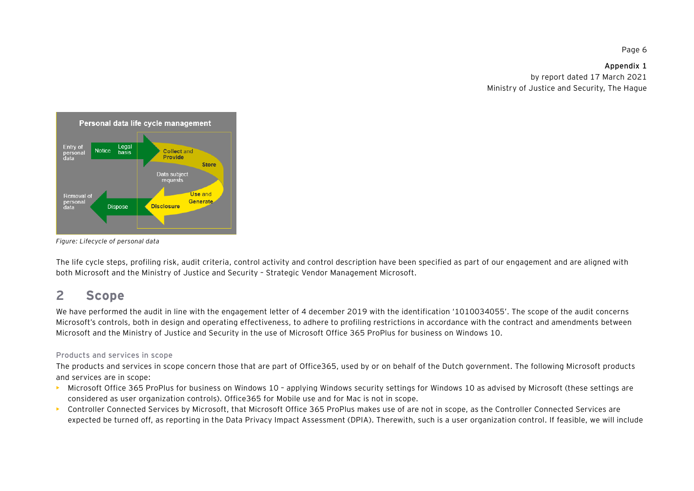**Appendix 1**  by report dated 17 March 2021 Ministry of Justice and Security, The Hague



*Figure: Lifecycle of personal data* 

The life cycle steps, profiling risk, audit criteria, control activity and control description have been specified as part of our engagement and are aligned with both Microsoft and the Ministry of Justice and Security – Strategic Vendor Management Microsoft.

#### **2Scope**

We have performed the audit in line with the engagement letter of 4 december 2019 with the identification '1010034055'. The scope of the audit concerns Microsoft's controls, both in design and operating effectiveness, to adhere to profiling restrictions in accordance with the contract and amendments between Microsoft and the Ministry of Justice and Security in the use of Microsoft Office 365 ProPlus for business on Windows 10.

#### Products and services in scope

The products and services in scope concern those that are part of Office365, used by or on behalf of the Dutch government. The following Microsoft products and services are in scope:

- **•** Microsoft Office 365 ProPlus for business on Windows 10 applying Windows security settings for Windows 10 as advised by Microsoft (these settings are considered as user organization controls). Office365 for Mobile use and for Mac is not in scope.
- **•** Controller Connected Services by Microsoft, that Microsoft Office 365 ProPlus makes use of are not in scope, as the Controller Connected Services are expected be turned off, as reporting in the Data Privacy Impact Assessment (DPIA). Therewith, such is a user organization control. If feasible, we will include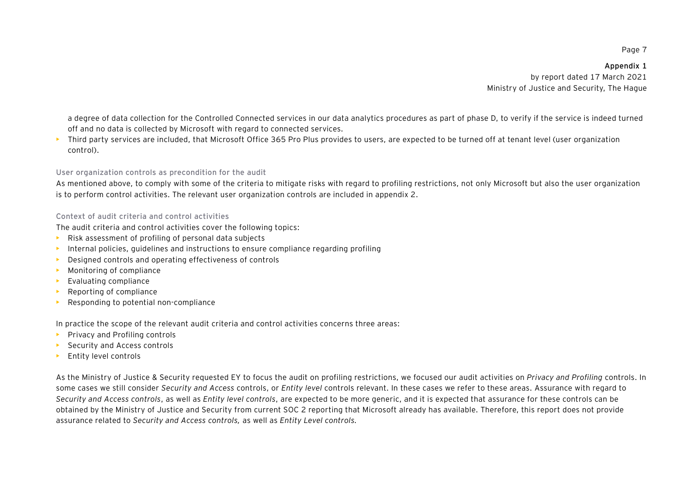**Appendix 1**  by report dated 17 March 2021 Ministry of Justice and Security, The Hague

a degree of data collection for the Controlled Connected services in our data analytics procedures as part of phase D, to verify if the service is indeed turned off and no data is collected by Microsoft with regard to connected services.

**•** Third party services are included, that Microsoft Office 365 Pro Plus provides to users, are expected to be turned off at tenant level (user organization control).

#### User organization controls as precondition for the audit

As mentioned above, to comply with some of the criteria to mitigate risks with regard to profiling restrictions, not only Microsoft but also the user organization is to perform control activities. The relevant user organization controls are included in appendix 2.

#### Context of audit criteria and control activities

The audit criteria and control activities cover the following topics:

- **•** Risk assessment of profiling of personal data subjects
- **•** Internal policies, guidelines and instructions to ensure compliance regarding profiling
- **•**Designed controls and operating effectiveness of controls
- **•** Monitoring of compliance
- **•** Evaluating compliance
- **•** Reporting of compliance
- **•** Responding to potential non-compliance

In practice the scope of the relevant audit criteria and control activities concerns three areas:

- **•** Privacy and Profiling controls
- **•** Security and Access controls
- **•** Entity level controls

As the Ministry of Justice & Security requested EY to focus the audit on profiling restrictions, we focused our audit activities on *Privacy and Profiling* controls. In some cases we still consider *Security and Access* controls, or *Entity level* controls relevant. In these cases we refer to these areas. Assurance with regard to *Security and Access controls*, as well as *Entity level controls*, are expected to be more generic, and it is expected that assurance for these controls can be obtained by the Ministry of Justice and Security from current SOC 2 reporting that Microsoft already has available. Therefore, this report does not provide assurance related to *Security and Access controls,* as well as *Entity Level controls.*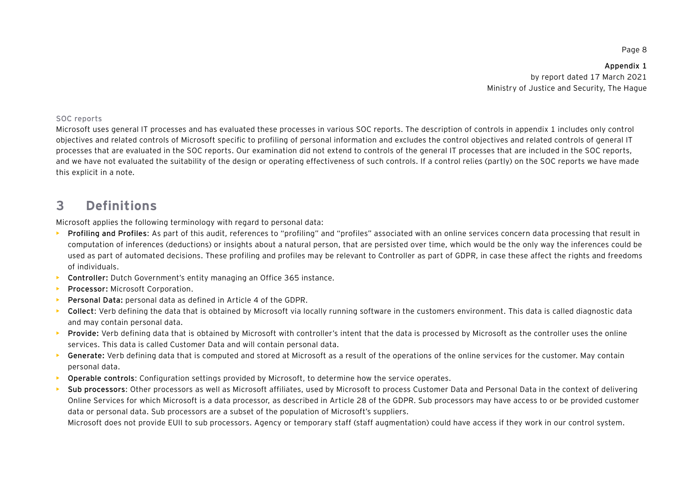**Appendix 1**  by report dated 17 March 2021 Ministry of Justice and Security, The Hague

#### SOC reports

Microsoft uses general IT processes and has evaluated these processes in various SOC reports. The description of controls in appendix 1 includes only control objectives and related controls of Microsoft specific to profiling of personal information and excludes the control objectives and related controls of general IT processes that are evaluated in the SOC reports. Our examination did not extend to controls of the general IT processes that are included in the SOC reports, and we have not evaluated the suitability of the design or operating effectiveness of such controls. If a control relies (partly) on the SOC reports we have made this explicit in a note.

#### **3Definitions**

Microsoft applies the following terminology with regard to personal data:

- **• Profiling and Profiles**: As part of this audit, references to "profiling" and "profiles" associated with an online services concern data processing that result in computation of inferences (deductions) or insights about a natural person, that are persisted over time, which would be the only way the inferences could be used as part of automated decisions. These profiling and profiles may be relevant to Controller as part of GDPR, in case these affect the rights and freedoms of individuals.
- **• Controller:** Dutch Government's entity managing an Office 365 instance.
- **•Processor:** Microsoft Corporation.
- **•Personal Data:** personal data as defined in Article 4 of the GDPR.
- **• Collect**: Verb defining the data that is obtained by Microsoft via locally running software in the customers environment. This data is called diagnostic data and may contain personal data.
- **• Provide:** Verb defining data that is obtained by Microsoft with controller's intent that the data is processed by Microsoft as the controller uses the online services. This data is called Customer Data and will contain personal data.
- **►** Generate: Verb defining data that is computed and stored at Microsoft as a result of the operations of the online services for the customer. May contain personal data.
- **• Operable controls**: Configuration settings provided by Microsoft, to determine how the service operates.
- **• Sub processors**: Other processors as well as Microsoft affiliates, used by Microsoft to process Customer Data and Personal Data in the context of delivering Online Services for which Microsoft is a data processor, as described in Article 28 of the GDPR. Sub processors may have access to or be provided customer data or personal data. Sub processors are a subset of the population of Microsoft's suppliers.

Microsoft does not provide EUII to sub processors. Agency or temporary staff (staff augmentation) could have access if they work in our control system.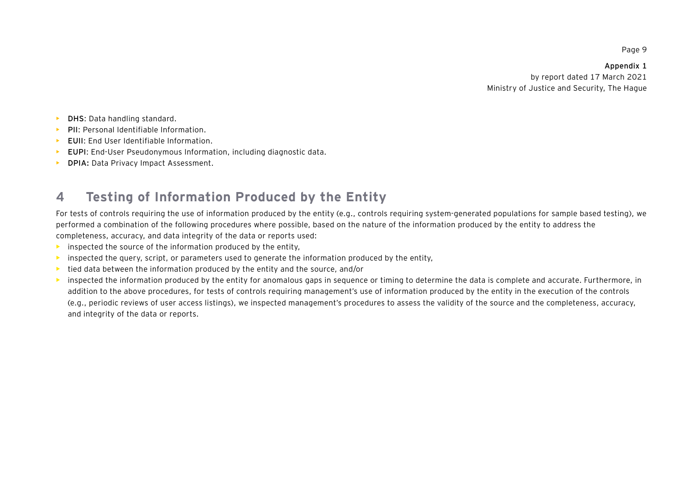**Appendix 1**  by report dated 17 March 2021 Ministry of Justice and Security, The Hague

- **•DHS**: Data handling standard.
- **•PII**: Personal Identifiable Information.
- **•EUII**: End User Identifiable Information.
- **• EUPI**: End-User Pseudonymous Information, including diagnostic data.
- **• DPIA:** Data Privacy Impact Assessment.

#### **4Testing of Information Produced by the Entity**

For tests of controls requiring the use of information produced by the entity (e.g., controls requiring system-generated populations for sample based testing), we performed a combination of the following procedures where possible, based on the nature of the information produced by the entity to address the completeness, accuracy, and data integrity of the data or reports used:

- **•** inspected the source of the information produced by the entity,
- **•** inspected the query, script, or parameters used to generate the information produced by the entity,
- **•**tied data between the information produced by the entity and the source, and/or
- **•** inspected the information produced by the entity for anomalous gaps in sequence or timing to determine the data is complete and accurate. Furthermore, in addition to the above procedures, for tests of controls requiring management's use of information produced by the entity in the execution of the controls (e.g., periodic reviews of user access listings), we inspected management's procedures to assess the validity of the source and the completeness, accuracy, and integrity of the data or reports.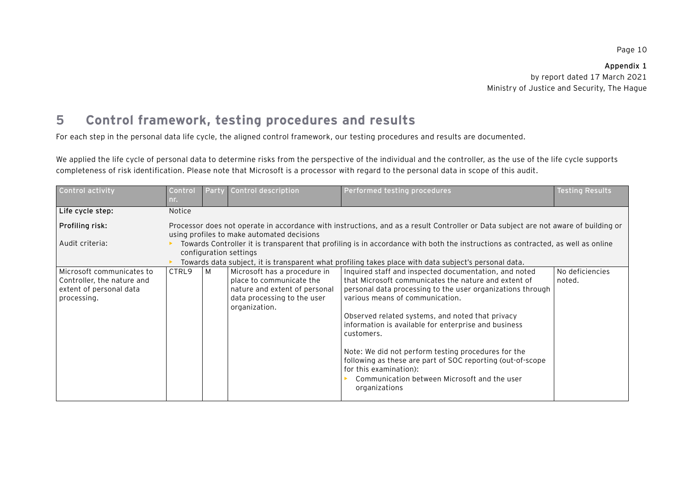**Appendix 1**  by report dated 17 March 2021 Ministry of Justice and Security, The Hague

#### **5Control framework, testing procedures and results**

For each step in the personal data life cycle, the aligned control framework, our testing procedures and results are documented.

We applied the life cycle of personal data to determine risks from the perspective of the individual and the controller, as the use of the life cycle supports completeness of risk identification. Please note that Microsoft is a processor with regard to the personal data in scope of this audit.

| Control activity                                                                                  | Control<br>nr. | <b>Party</b>                                                                                                                                                                                                                                                        | Control description                                                                                                                       | Performed testing procedures                                                                                                                                                                                                                                                                                                                                                                                                                                                                                                                             | <b>Testing Results</b>    |  |  |  |  |
|---------------------------------------------------------------------------------------------------|----------------|---------------------------------------------------------------------------------------------------------------------------------------------------------------------------------------------------------------------------------------------------------------------|-------------------------------------------------------------------------------------------------------------------------------------------|----------------------------------------------------------------------------------------------------------------------------------------------------------------------------------------------------------------------------------------------------------------------------------------------------------------------------------------------------------------------------------------------------------------------------------------------------------------------------------------------------------------------------------------------------------|---------------------------|--|--|--|--|
| Life cycle step:                                                                                  | Notice         |                                                                                                                                                                                                                                                                     |                                                                                                                                           |                                                                                                                                                                                                                                                                                                                                                                                                                                                                                                                                                          |                           |  |  |  |  |
| Profiling risk:                                                                                   |                | Processor does not operate in accordance with instructions, and as a result Controller or Data subject are not aware of building or<br>using profiles to make automated decisions                                                                                   |                                                                                                                                           |                                                                                                                                                                                                                                                                                                                                                                                                                                                                                                                                                          |                           |  |  |  |  |
| Audit criteria:                                                                                   |                | Towards Controller it is transparent that profiling is in accordance with both the instructions as contracted, as well as online<br>configuration settings<br>Towards data subject, it is transparent what profiling takes place with data subject's personal data. |                                                                                                                                           |                                                                                                                                                                                                                                                                                                                                                                                                                                                                                                                                                          |                           |  |  |  |  |
| Microsoft communicates to<br>Controller, the nature and<br>extent of personal data<br>processing. | CTRL9          | M                                                                                                                                                                                                                                                                   | Microsoft has a procedure in<br>place to communicate the<br>nature and extent of personal<br>data processing to the user<br>organization. | Inquired staff and inspected documentation, and noted<br>that Microsoft communicates the nature and extent of<br>personal data processing to the user organizations through<br>various means of communication.<br>Observed related systems, and noted that privacy<br>information is available for enterprise and business<br>customers.<br>Note: We did not perform testing procedures for the<br>following as these are part of SOC reporting (out-of-scope<br>for this examination):<br>Communication between Microsoft and the user<br>organizations | No deficiencies<br>noted. |  |  |  |  |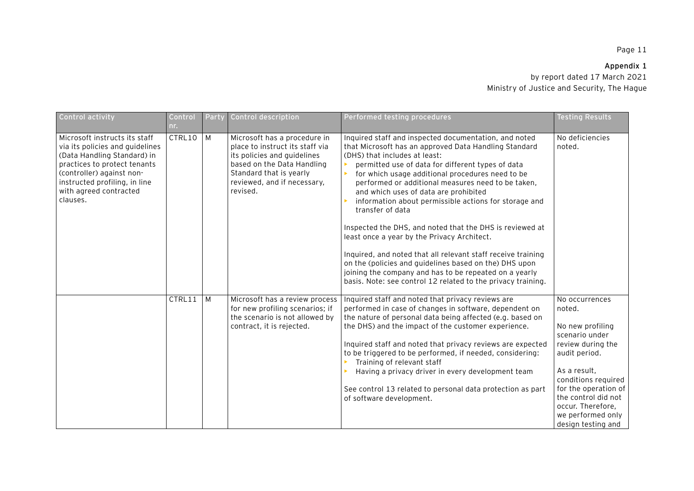## **Appendix 1**

| Control activity                                                                                                                                                                                                                    | Control<br>nr. | Party | Control description                                                                                                                                                                                | Performed testing procedures                                                                                                                                                                                                                                                                                                                                                                                                                                                                                                                                                                                                                                                                                                                                                                        | <b>Testing Results</b>                                                                                                                                                                                                                                     |
|-------------------------------------------------------------------------------------------------------------------------------------------------------------------------------------------------------------------------------------|----------------|-------|----------------------------------------------------------------------------------------------------------------------------------------------------------------------------------------------------|-----------------------------------------------------------------------------------------------------------------------------------------------------------------------------------------------------------------------------------------------------------------------------------------------------------------------------------------------------------------------------------------------------------------------------------------------------------------------------------------------------------------------------------------------------------------------------------------------------------------------------------------------------------------------------------------------------------------------------------------------------------------------------------------------------|------------------------------------------------------------------------------------------------------------------------------------------------------------------------------------------------------------------------------------------------------------|
| Microsoft instructs its staff<br>via its policies and guidelines<br>(Data Handling Standard) in<br>practices to protect tenants<br>(controller) against non-<br>instructed profiling, in line<br>with agreed contracted<br>clauses. | CTRL10         | M     | Microsoft has a procedure in<br>place to instruct its staff via<br>its policies and guidelines<br>based on the Data Handling<br>Standard that is yearly<br>reviewed, and if necessary,<br>revised. | Inquired staff and inspected documentation, and noted<br>that Microsoft has an approved Data Handling Standard<br>(DHS) that includes at least:<br>permitted use of data for different types of data<br>for which usage additional procedures need to be<br>performed or additional measures need to be taken,<br>and which uses of data are prohibited<br>information about permissible actions for storage and<br>transfer of data<br>Inspected the DHS, and noted that the DHS is reviewed at<br>least once a year by the Privacy Architect.<br>Inquired, and noted that all relevant staff receive training<br>on the (policies and guidelines based on the) DHS upon<br>joining the company and has to be repeated on a yearly<br>basis. Note: see control 12 related to the privacy training. | No deficiencies<br>noted.                                                                                                                                                                                                                                  |
|                                                                                                                                                                                                                                     | CTRL11         | M     | Microsoft has a review process<br>for new profiling scenarios; if<br>the scenario is not allowed by<br>contract, it is rejected.                                                                   | Inquired staff and noted that privacy reviews are<br>performed in case of changes in software, dependent on<br>the nature of personal data being affected (e.g. based on<br>the DHS) and the impact of the customer experience.<br>Inquired staff and noted that privacy reviews are expected<br>to be triggered to be performed, if needed, considering:<br>Training of relevant staff<br>Having a privacy driver in every development team<br>See control 13 related to personal data protection as part<br>of software development.                                                                                                                                                                                                                                                              | No occurrences<br>noted.<br>No new profiling<br>scenario under<br>review during the<br>audit period.<br>As a result,<br>conditions required<br>for the operation of<br>the control did not<br>occur. Therefore,<br>we performed only<br>design testing and |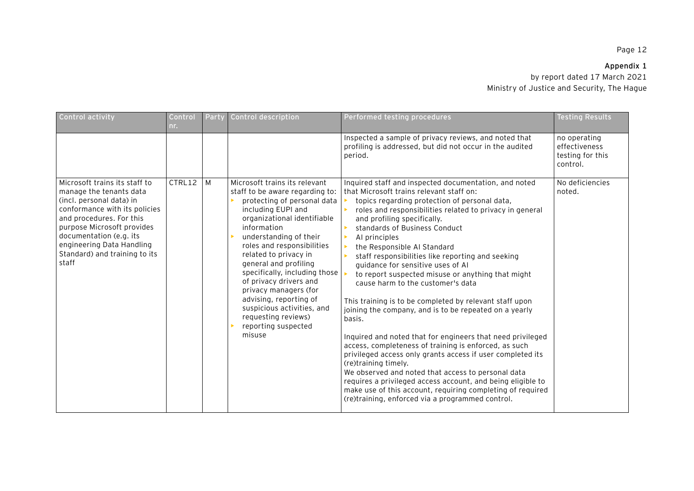# **Appendix 1**

| Control activity                                                                                                                                                                                                                                                                  | Control<br>nr. | Party | Control description                                                                                                                                                                                                                                                                                                                                                                                                                                                               | Performed testing procedures                                                                                                                                                                                                                                                                                                                                                                                                                                                                                                                                                                                                                                                                                                                                                                                                                                                                                                                                                                                                                                                                          | <b>Testing Results</b>                                        |
|-----------------------------------------------------------------------------------------------------------------------------------------------------------------------------------------------------------------------------------------------------------------------------------|----------------|-------|-----------------------------------------------------------------------------------------------------------------------------------------------------------------------------------------------------------------------------------------------------------------------------------------------------------------------------------------------------------------------------------------------------------------------------------------------------------------------------------|-------------------------------------------------------------------------------------------------------------------------------------------------------------------------------------------------------------------------------------------------------------------------------------------------------------------------------------------------------------------------------------------------------------------------------------------------------------------------------------------------------------------------------------------------------------------------------------------------------------------------------------------------------------------------------------------------------------------------------------------------------------------------------------------------------------------------------------------------------------------------------------------------------------------------------------------------------------------------------------------------------------------------------------------------------------------------------------------------------|---------------------------------------------------------------|
|                                                                                                                                                                                                                                                                                   |                |       |                                                                                                                                                                                                                                                                                                                                                                                                                                                                                   | Inspected a sample of privacy reviews, and noted that<br>profiling is addressed, but did not occur in the audited<br>period.                                                                                                                                                                                                                                                                                                                                                                                                                                                                                                                                                                                                                                                                                                                                                                                                                                                                                                                                                                          | no operating<br>effectiveness<br>testing for this<br>control. |
| Microsoft trains its staff to<br>manage the tenants data<br>(incl. personal data) in<br>conformance with its policies<br>and procedures. For this<br>purpose Microsoft provides<br>documentation (e.g. its<br>engineering Data Handling<br>Standard) and training to its<br>staff | CTRL12         | M     | Microsoft trains its relevant<br>staff to be aware regarding to:<br>protecting of personal data<br>including EUPI and<br>organizational identifiable<br>information<br>understanding of their<br>roles and responsibilities<br>related to privacy in<br>general and profiling<br>specifically, including those<br>of privacy drivers and<br>privacy managers (for<br>advising, reporting of<br>suspicious activities, and<br>requesting reviews)<br>reporting suspected<br>misuse | Inquired staff and inspected documentation, and noted<br>that Microsoft trains relevant staff on:<br>topics regarding protection of personal data,<br>roles and responsibilities related to privacy in general<br>and profiling specifically.<br>standards of Business Conduct<br>Al principles<br>the Responsible AI Standard<br>staff responsibilities like reporting and seeking<br>guidance for sensitive uses of Al<br>to report suspected misuse or anything that might<br>cause harm to the customer's data<br>This training is to be completed by relevant staff upon<br>joining the company, and is to be repeated on a yearly<br>basis.<br>Inquired and noted that for engineers that need privileged<br>access, completeness of training is enforced, as such<br>privileged access only grants access if user completed its<br>(re)training timely.<br>We observed and noted that access to personal data<br>requires a privileged access account, and being eligible to<br>make use of this account, requiring completing of required<br>(re)training, enforced via a programmed control. | No deficiencies<br>noted.                                     |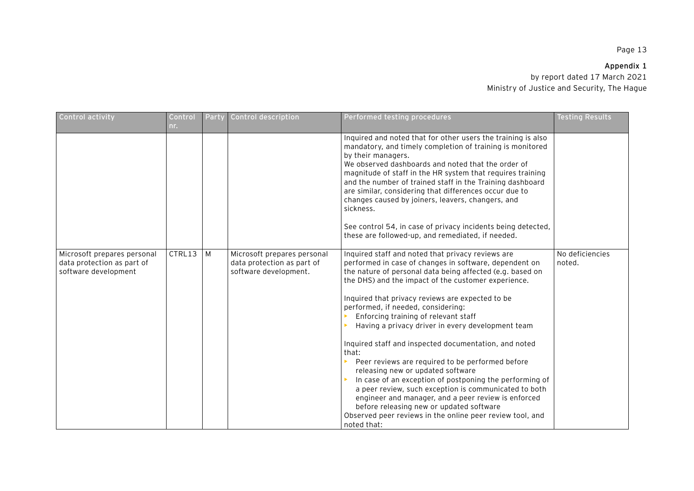## **Appendix 1**

| Control activity                                                                  | Control<br>nr. | Party | Control description                                                                | Performed testing procedures                                                                                                                                                                                                                                                                                                                                                                                                                                                                                                                                                                                                                                                                                                                                                                                                                                                         | Testing Results           |
|-----------------------------------------------------------------------------------|----------------|-------|------------------------------------------------------------------------------------|--------------------------------------------------------------------------------------------------------------------------------------------------------------------------------------------------------------------------------------------------------------------------------------------------------------------------------------------------------------------------------------------------------------------------------------------------------------------------------------------------------------------------------------------------------------------------------------------------------------------------------------------------------------------------------------------------------------------------------------------------------------------------------------------------------------------------------------------------------------------------------------|---------------------------|
|                                                                                   |                |       |                                                                                    | Inquired and noted that for other users the training is also<br>mandatory, and timely completion of training is monitored<br>by their managers.<br>We observed dashboards and noted that the order of<br>magnitude of staff in the HR system that requires training<br>and the number of trained staff in the Training dashboard<br>are similar, considering that differences occur due to<br>changes caused by joiners, leavers, changers, and<br>sickness.<br>See control 54, in case of privacy incidents being detected,<br>these are followed-up, and remediated, if needed.                                                                                                                                                                                                                                                                                                    |                           |
| Microsoft prepares personal<br>data protection as part of<br>software development | CTRL13         | M     | Microsoft prepares personal<br>data protection as part of<br>software development. | Inquired staff and noted that privacy reviews are<br>performed in case of changes in software, dependent on<br>the nature of personal data being affected (e.g. based on<br>the DHS) and the impact of the customer experience.<br>Inquired that privacy reviews are expected to be<br>performed, if needed, considering:<br>Enforcing training of relevant staff<br>Having a privacy driver in every development team<br>Inquired staff and inspected documentation, and noted<br>that:<br>Peer reviews are required to be performed before<br>releasing new or updated software<br>In case of an exception of postponing the performing of<br>a peer review, such exception is communicated to both<br>engineer and manager, and a peer review is enforced<br>before releasing new or updated software<br>Observed peer reviews in the online peer review tool, and<br>noted that: | No deficiencies<br>noted. |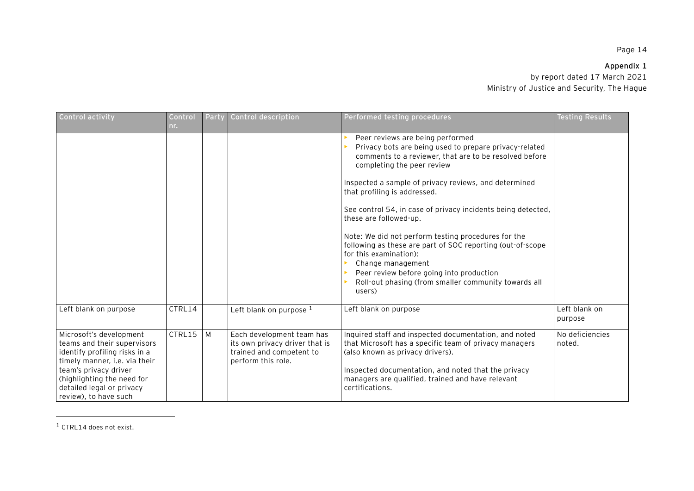## **Appendix 1**

by report dated 17 March 2021 Ministry of Justice and Security, The Hague

| <b>Control activity</b>                                                                                                                                                                                                               | Control<br>nr. | Party | Control description                                                                                           | Performed testing procedures                                                                                                                                                                                                                                                                                                                                                                                                                                                                                                                                                                                                                            | <b>Testing Results</b>    |
|---------------------------------------------------------------------------------------------------------------------------------------------------------------------------------------------------------------------------------------|----------------|-------|---------------------------------------------------------------------------------------------------------------|---------------------------------------------------------------------------------------------------------------------------------------------------------------------------------------------------------------------------------------------------------------------------------------------------------------------------------------------------------------------------------------------------------------------------------------------------------------------------------------------------------------------------------------------------------------------------------------------------------------------------------------------------------|---------------------------|
|                                                                                                                                                                                                                                       |                |       |                                                                                                               | Peer reviews are being performed<br>Privacy bots are being used to prepare privacy-related<br>comments to a reviewer, that are to be resolved before<br>completing the peer review<br>Inspected a sample of privacy reviews, and determined<br>that profiling is addressed.<br>See control 54, in case of privacy incidents being detected,<br>these are followed-up.<br>Note: We did not perform testing procedures for the<br>following as these are part of SOC reporting (out-of-scope<br>for this examination):<br>Change management<br>Peer review before going into production<br>Roll-out phasing (from smaller community towards all<br>users) |                           |
| Left blank on purpose                                                                                                                                                                                                                 | CTRL14         |       | Left blank on purpose 1                                                                                       | Left blank on purpose                                                                                                                                                                                                                                                                                                                                                                                                                                                                                                                                                                                                                                   | Left blank on<br>purpose  |
| Microsoft's development<br>teams and their supervisors<br>identify profiling risks in a<br>timely manner, i.e. via their<br>team's privacy driver<br>(highlighting the need for<br>detailed legal or privacy<br>review), to have such | CTRL15         | M     | Each development team has<br>its own privacy driver that is<br>trained and competent to<br>perform this role. | Inquired staff and inspected documentation, and noted<br>that Microsoft has a specific team of privacy managers<br>(also known as privacy drivers).<br>Inspected documentation, and noted that the privacy<br>managers are qualified, trained and have relevant<br>certifications.                                                                                                                                                                                                                                                                                                                                                                      | No deficiencies<br>noted. |

 $1$  CTRL14 does not exist.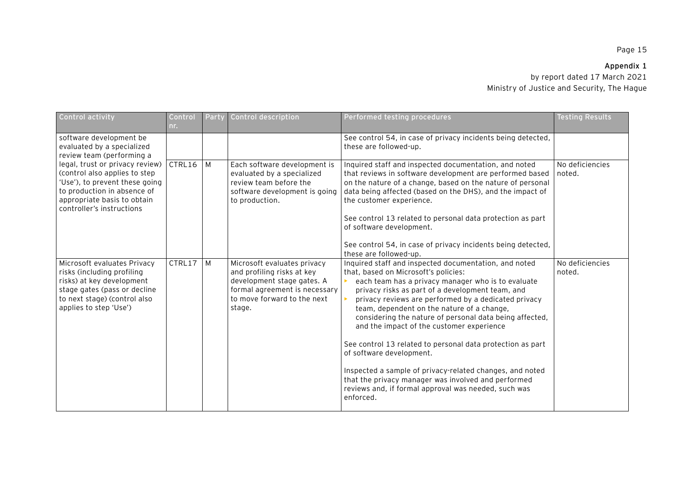# **Appendix 1**

| Control activity                                                                                                                                                                                                                                                                    | Control<br>nr. | Party | Control description                                                                                                                                               | Performed testing procedures                                                                                                                                                                                                                                                                                                                                                                                                                                                                                                                                                                                                                                                                                                      | <b>Testing Results</b>    |
|-------------------------------------------------------------------------------------------------------------------------------------------------------------------------------------------------------------------------------------------------------------------------------------|----------------|-------|-------------------------------------------------------------------------------------------------------------------------------------------------------------------|-----------------------------------------------------------------------------------------------------------------------------------------------------------------------------------------------------------------------------------------------------------------------------------------------------------------------------------------------------------------------------------------------------------------------------------------------------------------------------------------------------------------------------------------------------------------------------------------------------------------------------------------------------------------------------------------------------------------------------------|---------------------------|
| software development be<br>evaluated by a specialized<br>review team (performing a<br>legal, trust or privacy review)<br>(control also applies to step<br>'Use'), to prevent these going<br>to production in absence of<br>appropriate basis to obtain<br>controller's instructions |                |       |                                                                                                                                                                   | See control 54, in case of privacy incidents being detected,<br>these are followed-up.                                                                                                                                                                                                                                                                                                                                                                                                                                                                                                                                                                                                                                            |                           |
|                                                                                                                                                                                                                                                                                     | CTRL16         | M     | Each software development is<br>evaluated by a specialized<br>review team before the<br>software development is going<br>to production.                           | Inquired staff and inspected documentation, and noted<br>that reviews in software development are performed based<br>on the nature of a change, based on the nature of personal<br>data being affected (based on the DHS), and the impact of<br>the customer experience.<br>See control 13 related to personal data protection as part<br>of software development.<br>See control 54, in case of privacy incidents being detected,                                                                                                                                                                                                                                                                                                | No deficiencies<br>noted. |
| Microsoft evaluates Privacy<br>risks (including profiling<br>risks) at key development<br>stage gates (pass or decline<br>to next stage) (control also<br>applies to step 'Use')                                                                                                    | CTRL17         | M     | Microsoft evaluates privacy<br>and profiling risks at key<br>development stage gates. A<br>formal agreement is necessary<br>to move forward to the next<br>stage. | these are followed-up.<br>Inquired staff and inspected documentation, and noted<br>that, based on Microsoft's policies:<br>each team has a privacy manager who is to evaluate<br>privacy risks as part of a development team, and<br>privacy reviews are performed by a dedicated privacy<br>team, dependent on the nature of a change,<br>considering the nature of personal data being affected,<br>and the impact of the customer experience<br>See control 13 related to personal data protection as part<br>of software development.<br>Inspected a sample of privacy-related changes, and noted<br>that the privacy manager was involved and performed<br>reviews and, if formal approval was needed, such was<br>enforced. | No deficiencies<br>noted. |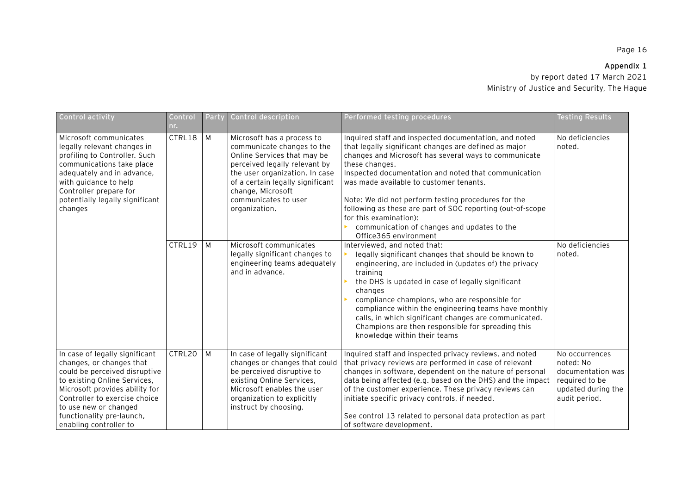| Control activity                                                                                                                                                                                                                                                               | Control<br>nr. | Party | Control description                                                                                                                                                                                                                                          | Performed testing procedures                                                                                                                                                                                                                                                                                                                                                                                                                                                                                        | <b>Testing Results</b>                                                                                    |
|--------------------------------------------------------------------------------------------------------------------------------------------------------------------------------------------------------------------------------------------------------------------------------|----------------|-------|--------------------------------------------------------------------------------------------------------------------------------------------------------------------------------------------------------------------------------------------------------------|---------------------------------------------------------------------------------------------------------------------------------------------------------------------------------------------------------------------------------------------------------------------------------------------------------------------------------------------------------------------------------------------------------------------------------------------------------------------------------------------------------------------|-----------------------------------------------------------------------------------------------------------|
| Microsoft communicates<br>legally relevant changes in<br>profiling to Controller. Such<br>communications take place<br>adequately and in advance,<br>with guidance to help<br>Controller prepare for<br>potentially legally significant<br>changes                             | CTRL18         | M     | Microsoft has a process to<br>communicate changes to the<br>Online Services that may be<br>perceived legally relevant by<br>the user organization. In case<br>of a certain legally significant<br>change, Microsoft<br>communicates to user<br>organization. | Inquired staff and inspected documentation, and noted<br>that legally significant changes are defined as major<br>changes and Microsoft has several ways to communicate<br>these changes.<br>Inspected documentation and noted that communication<br>was made available to customer tenants.<br>Note: We did not perform testing procedures for the<br>following as these are part of SOC reporting (out-of-scope<br>for this examination):<br>communication of changes and updates to the<br>Office365 environment | No deficiencies<br>noted.                                                                                 |
|                                                                                                                                                                                                                                                                                | CTRL19         | M     | Microsoft communicates<br>legally significant changes to<br>engineering teams adequately<br>and in advance.                                                                                                                                                  | Interviewed, and noted that:<br>legally significant changes that should be known to<br>engineering, are included in (updates of) the privacy<br>training<br>the DHS is updated in case of legally significant<br>changes<br>compliance champions, who are responsible for<br>compliance within the engineering teams have monthly<br>calls, in which significant changes are communicated.<br>Champions are then responsible for spreading this<br>knowledge within their teams                                     | No deficiencies<br>noted.                                                                                 |
| In case of legally significant<br>changes, or changes that<br>could be perceived disruptive<br>to existing Online Services,<br>Microsoft provides ability for<br>Controller to exercise choice<br>to use new or changed<br>functionality pre-launch,<br>enabling controller to | CTRL20         | M     | In case of legally significant<br>changes or changes that could<br>be perceived disruptive to<br>existing Online Services,<br>Microsoft enables the user<br>organization to explicitly<br>instruct by choosing.                                              | Inquired staff and inspected privacy reviews, and noted<br>that privacy reviews are performed in case of relevant<br>changes in software, dependent on the nature of personal<br>data being affected (e.g. based on the DHS) and the impact<br>of the customer experience. These privacy reviews can<br>initiate specific privacy controls, if needed.<br>See control 13 related to personal data protection as part<br>of software development.                                                                    | No occurrences<br>noted: No<br>documentation was<br>required to be<br>updated during the<br>audit period. |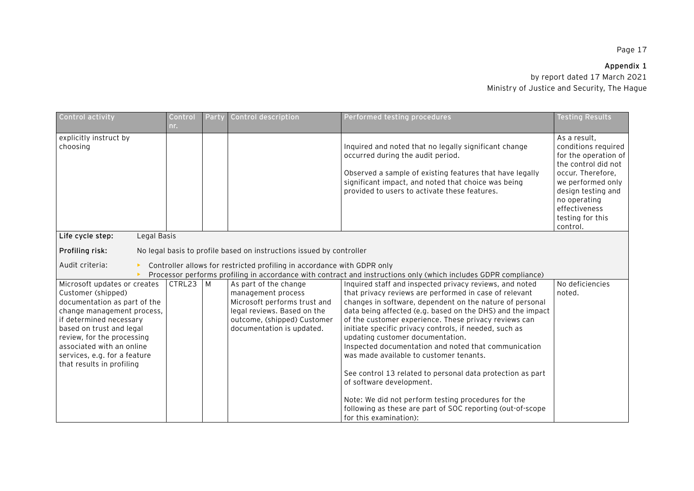# **Appendix 1**

| Control activity                                                                                                                                                                                                                                                                                | Control<br>nr. | Party | Control description                                                                                                                                                    | Performed testing procedures                                                                                                                                                                                                                                                                                                                                                                                                                                                                                                                                                                                                                                                                                                                   | <b>Testing Results</b>                                                                                                                                                                                              |
|-------------------------------------------------------------------------------------------------------------------------------------------------------------------------------------------------------------------------------------------------------------------------------------------------|----------------|-------|------------------------------------------------------------------------------------------------------------------------------------------------------------------------|------------------------------------------------------------------------------------------------------------------------------------------------------------------------------------------------------------------------------------------------------------------------------------------------------------------------------------------------------------------------------------------------------------------------------------------------------------------------------------------------------------------------------------------------------------------------------------------------------------------------------------------------------------------------------------------------------------------------------------------------|---------------------------------------------------------------------------------------------------------------------------------------------------------------------------------------------------------------------|
| explicitly instruct by<br>choosing                                                                                                                                                                                                                                                              |                |       |                                                                                                                                                                        | Inquired and noted that no legally significant change<br>occurred during the audit period.<br>Observed a sample of existing features that have legally<br>significant impact, and noted that choice was being<br>provided to users to activate these features.                                                                                                                                                                                                                                                                                                                                                                                                                                                                                 | As a result,<br>conditions required<br>for the operation of<br>the control did not<br>occur. Therefore,<br>we performed only<br>design testing and<br>no operating<br>effectiveness<br>testing for this<br>control. |
| Life cycle step:<br>Legal Basis                                                                                                                                                                                                                                                                 |                |       |                                                                                                                                                                        |                                                                                                                                                                                                                                                                                                                                                                                                                                                                                                                                                                                                                                                                                                                                                |                                                                                                                                                                                                                     |
| Profiling risk:                                                                                                                                                                                                                                                                                 |                |       | No legal basis to profile based on instructions issued by controller                                                                                                   |                                                                                                                                                                                                                                                                                                                                                                                                                                                                                                                                                                                                                                                                                                                                                |                                                                                                                                                                                                                     |
| Audit criteria:                                                                                                                                                                                                                                                                                 |                |       | Controller allows for restricted profiling in accordance with GDPR only                                                                                                | Processor performs profiling in accordance with contract and instructions only (which includes GDPR compliance)                                                                                                                                                                                                                                                                                                                                                                                                                                                                                                                                                                                                                                |                                                                                                                                                                                                                     |
| Microsoft updates or creates<br>Customer (shipped)<br>documentation as part of the<br>change management process,<br>if determined necessary<br>based on trust and legal<br>review, for the processing<br>associated with an online<br>services, e.g. for a feature<br>that results in profiling | $CTRL23$ M     |       | As part of the change<br>management process<br>Microsoft performs trust and<br>legal reviews. Based on the<br>outcome, (shipped) Customer<br>documentation is updated. | Inquired staff and inspected privacy reviews, and noted<br>that privacy reviews are performed in case of relevant<br>changes in software, dependent on the nature of personal<br>data being affected (e.g. based on the DHS) and the impact<br>of the customer experience. These privacy reviews can<br>initiate specific privacy controls, if needed, such as<br>updating customer documentation.<br>Inspected documentation and noted that communication<br>was made available to customer tenants.<br>See control 13 related to personal data protection as part<br>of software development.<br>Note: We did not perform testing procedures for the<br>following as these are part of SOC reporting (out-of-scope<br>for this examination): | No deficiencies<br>noted.                                                                                                                                                                                           |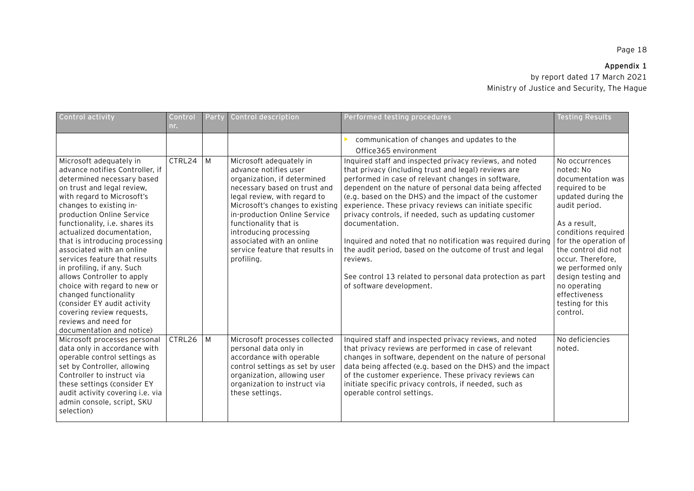# **Appendix 1**

| Control activity                                                                                                                                                                                                                                                                                                                                                                                                                                                                                                                                                                                                  | Control<br>nr. | Party          | Control description                                                                                                                                                                                                                                                                                                                                 | Performed testing procedures                                                                                                                                                                                                                                                                                                                                                                                                                                                                                                                                                                                                                                        | <b>Testing Results</b>                                                                                                                                                                                                                                                                                                           |
|-------------------------------------------------------------------------------------------------------------------------------------------------------------------------------------------------------------------------------------------------------------------------------------------------------------------------------------------------------------------------------------------------------------------------------------------------------------------------------------------------------------------------------------------------------------------------------------------------------------------|----------------|----------------|-----------------------------------------------------------------------------------------------------------------------------------------------------------------------------------------------------------------------------------------------------------------------------------------------------------------------------------------------------|---------------------------------------------------------------------------------------------------------------------------------------------------------------------------------------------------------------------------------------------------------------------------------------------------------------------------------------------------------------------------------------------------------------------------------------------------------------------------------------------------------------------------------------------------------------------------------------------------------------------------------------------------------------------|----------------------------------------------------------------------------------------------------------------------------------------------------------------------------------------------------------------------------------------------------------------------------------------------------------------------------------|
|                                                                                                                                                                                                                                                                                                                                                                                                                                                                                                                                                                                                                   |                |                |                                                                                                                                                                                                                                                                                                                                                     | communication of changes and updates to the<br>Office365 environment                                                                                                                                                                                                                                                                                                                                                                                                                                                                                                                                                                                                |                                                                                                                                                                                                                                                                                                                                  |
| Microsoft adequately in<br>advance notifies Controller, if<br>determined necessary based<br>on trust and legal review,<br>with regard to Microsoft's<br>changes to existing in-<br>production Online Service<br>functionality, i.e. shares its<br>actualized documentation,<br>that is introducing processing<br>associated with an online<br>services feature that results<br>in profiling, if any. Such<br>allows Controller to apply<br>choice with regard to new or<br>changed functionality<br>(consider EY audit activity<br>covering review requests,<br>reviews and need for<br>documentation and notice) | CTRL24         | M              | Microsoft adequately in<br>advance notifies user<br>organization, if determined<br>necessary based on trust and<br>legal review, with regard to<br>Microsoft's changes to existing<br>in-production Online Service<br>functionality that is<br>introducing processing<br>associated with an online<br>service feature that results in<br>profiling. | Inquired staff and inspected privacy reviews, and noted<br>that privacy (including trust and legal) reviews are<br>performed in case of relevant changes in software,<br>dependent on the nature of personal data being affected<br>(e.g. based on the DHS) and the impact of the customer<br>experience. These privacy reviews can initiate specific<br>privacy controls, if needed, such as updating customer<br>documentation.<br>Inquired and noted that no notification was required during<br>the audit period, based on the outcome of trust and legal<br>reviews.<br>See control 13 related to personal data protection as part<br>of software development. | No occurrences<br>noted: No<br>documentation was<br>required to be<br>updated during the<br>audit period.<br>As a result,<br>conditions required<br>for the operation of<br>the control did not<br>occur. Therefore,<br>we performed only<br>design testing and<br>no operating<br>effectiveness<br>testing for this<br>control. |
| Microsoft processes personal<br>data only in accordance with<br>operable control settings as<br>set by Controller, allowing<br>Controller to instruct via<br>these settings (consider EY<br>audit activity covering i.e. via<br>admin console, script, SKU<br>selection)                                                                                                                                                                                                                                                                                                                                          | CTRL26         | $\overline{M}$ | Microsoft processes collected<br>personal data only in<br>accordance with operable<br>control settings as set by user<br>organization, allowing user<br>organization to instruct via<br>these settings.                                                                                                                                             | Inquired staff and inspected privacy reviews, and noted<br>that privacy reviews are performed in case of relevant<br>changes in software, dependent on the nature of personal<br>data being affected (e.g. based on the DHS) and the impact<br>of the customer experience. These privacy reviews can<br>initiate specific privacy controls, if needed, such as<br>operable control settings.                                                                                                                                                                                                                                                                        | No deficiencies<br>noted.                                                                                                                                                                                                                                                                                                        |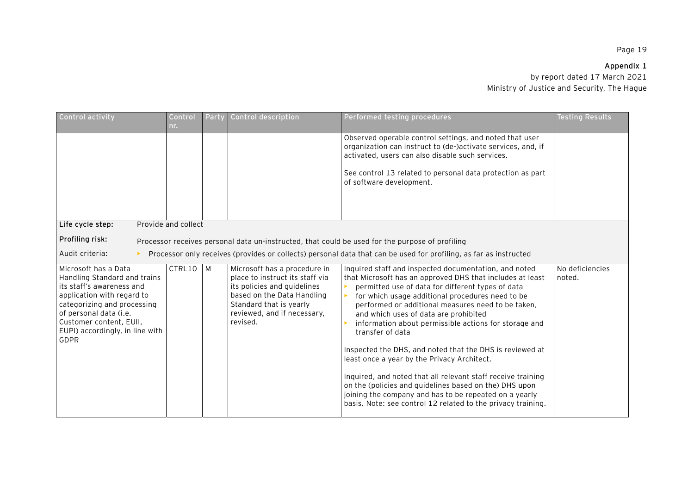## **Appendix 1**

| Control activity                                                                                                                                                                                                                               | Control<br>nr.                                                                                                                                                                                                                              | Party | Control description                                                                                                                                                                                | Performed testing procedures                                                                                                                                                                                                                                                                                                                                                                                                                                                                                                                                                                                                                                                                                                                                           | <b>Testing Results</b>    |  |  |
|------------------------------------------------------------------------------------------------------------------------------------------------------------------------------------------------------------------------------------------------|---------------------------------------------------------------------------------------------------------------------------------------------------------------------------------------------------------------------------------------------|-------|----------------------------------------------------------------------------------------------------------------------------------------------------------------------------------------------------|------------------------------------------------------------------------------------------------------------------------------------------------------------------------------------------------------------------------------------------------------------------------------------------------------------------------------------------------------------------------------------------------------------------------------------------------------------------------------------------------------------------------------------------------------------------------------------------------------------------------------------------------------------------------------------------------------------------------------------------------------------------------|---------------------------|--|--|
|                                                                                                                                                                                                                                                |                                                                                                                                                                                                                                             |       |                                                                                                                                                                                                    | Observed operable control settings, and noted that user<br>organization can instruct to (de-)activate services, and, if<br>activated, users can also disable such services.<br>See control 13 related to personal data protection as part<br>of software development.                                                                                                                                                                                                                                                                                                                                                                                                                                                                                                  |                           |  |  |
|                                                                                                                                                                                                                                                |                                                                                                                                                                                                                                             |       |                                                                                                                                                                                                    |                                                                                                                                                                                                                                                                                                                                                                                                                                                                                                                                                                                                                                                                                                                                                                        |                           |  |  |
| Life cycle step:<br>Profiling risk:<br>Audit criteria:                                                                                                                                                                                         | Provide and collect<br>Processor receives personal data un-instructed, that could be used for the purpose of profiling<br>Processor only receives (provides or collects) personal data that can be used for profiling, as far as instructed |       |                                                                                                                                                                                                    |                                                                                                                                                                                                                                                                                                                                                                                                                                                                                                                                                                                                                                                                                                                                                                        |                           |  |  |
| Microsoft has a Data<br>Handling Standard and trains<br>its staff's awareness and<br>application with regard to<br>categorizing and processing<br>of personal data (i.e.<br>Customer content, EUII,<br>EUPI) accordingly, in line with<br>GDPR | CTRL10                                                                                                                                                                                                                                      | M     | Microsoft has a procedure in<br>place to instruct its staff via<br>its policies and guidelines<br>based on the Data Handling<br>Standard that is yearly<br>reviewed, and if necessary,<br>revised. | Inquired staff and inspected documentation, and noted<br>that Microsoft has an approved DHS that includes at least<br>permitted use of data for different types of data<br>for which usage additional procedures need to be<br>performed or additional measures need to be taken,<br>and which uses of data are prohibited<br>information about permissible actions for storage and<br>transfer of data<br>Inspected the DHS, and noted that the DHS is reviewed at<br>least once a year by the Privacy Architect.<br>Inquired, and noted that all relevant staff receive training<br>on the (policies and guidelines based on the) DHS upon<br>joining the company and has to be repeated on a yearly<br>basis. Note: see control 12 related to the privacy training. | No deficiencies<br>noted. |  |  |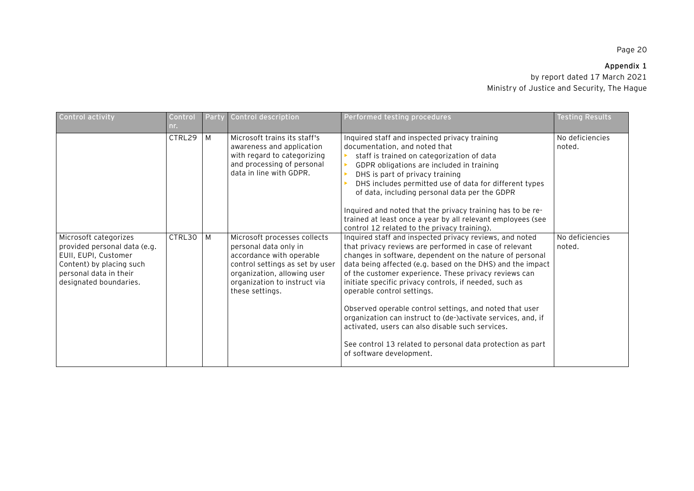# **Appendix 1**

| Control activity                                                                                                                                              | Control<br>nr. | Party | Control description                                                                                                                                                                                    | Performed testing procedures                                                                                                                                                                                                                                                                                                                                                                                                                                                                                                                                                                                                                                          | <b>Testing Results</b>    |
|---------------------------------------------------------------------------------------------------------------------------------------------------------------|----------------|-------|--------------------------------------------------------------------------------------------------------------------------------------------------------------------------------------------------------|-----------------------------------------------------------------------------------------------------------------------------------------------------------------------------------------------------------------------------------------------------------------------------------------------------------------------------------------------------------------------------------------------------------------------------------------------------------------------------------------------------------------------------------------------------------------------------------------------------------------------------------------------------------------------|---------------------------|
|                                                                                                                                                               | CTRL29         | M     | Microsoft trains its staff's<br>awareness and application<br>with regard to categorizing<br>and processing of personal<br>data in line with GDPR.                                                      | Inquired staff and inspected privacy training<br>documentation, and noted that<br>staff is trained on categorization of data<br>GDPR obligations are included in training<br>DHS is part of privacy training<br>DHS includes permitted use of data for different types<br>of data, including personal data per the GDPR<br>Inquired and noted that the privacy training has to be re-<br>trained at least once a year by all relevant employees (see<br>control 12 related to the privacy training).                                                                                                                                                                  | No deficiencies<br>noted. |
| Microsoft categorizes<br>provided personal data (e.g.<br>EUII, EUPI, Customer<br>Content) by placing such<br>personal data in their<br>designated boundaries. | CTRL30         | M     | Microsoft processes collects<br>personal data only in<br>accordance with operable<br>control settings as set by user<br>organization, allowing user<br>organization to instruct via<br>these settings. | Inquired staff and inspected privacy reviews, and noted<br>that privacy reviews are performed in case of relevant<br>changes in software, dependent on the nature of personal<br>data being affected (e.g. based on the DHS) and the impact<br>of the customer experience. These privacy reviews can<br>initiate specific privacy controls, if needed, such as<br>operable control settings.<br>Observed operable control settings, and noted that user<br>organization can instruct to (de-)activate services, and, if<br>activated, users can also disable such services.<br>See control 13 related to personal data protection as part<br>of software development. | No deficiencies<br>noted. |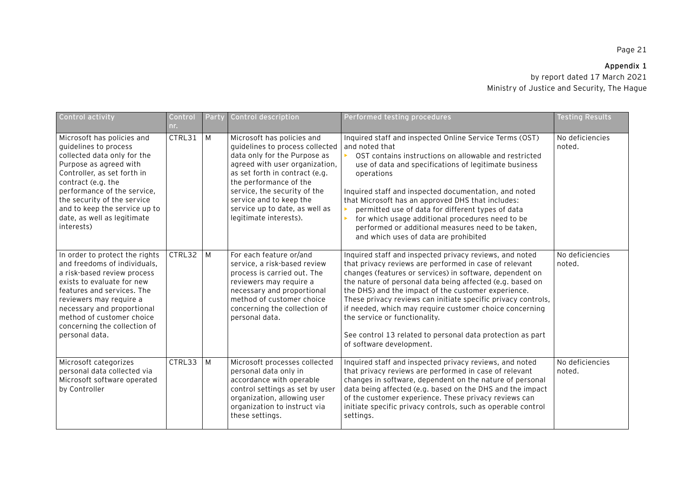# **Appendix 1**

| Control activity                                                                                                                                                                                                                                                                                              | Control<br>nr. | Party | Control description                                                                                                                                                                                                                                                                                                | Performed testing procedures                                                                                                                                                                                                                                                                                                                                                                                                                                                                                                                             | <b>Testing Results</b>    |
|---------------------------------------------------------------------------------------------------------------------------------------------------------------------------------------------------------------------------------------------------------------------------------------------------------------|----------------|-------|--------------------------------------------------------------------------------------------------------------------------------------------------------------------------------------------------------------------------------------------------------------------------------------------------------------------|----------------------------------------------------------------------------------------------------------------------------------------------------------------------------------------------------------------------------------------------------------------------------------------------------------------------------------------------------------------------------------------------------------------------------------------------------------------------------------------------------------------------------------------------------------|---------------------------|
| Microsoft has policies and<br>quidelines to process<br>collected data only for the<br>Purpose as agreed with<br>Controller, as set forth in<br>contract (e.g. the<br>performance of the service,<br>the security of the service<br>and to keep the service up to<br>date, as well as legitimate<br>interests) | CTRL31         | M     | Microsoft has policies and<br>quidelines to process collected<br>data only for the Purpose as<br>agreed with user organization,<br>as set forth in contract (e.g.<br>the performance of the<br>service, the security of the<br>service and to keep the<br>service up to date, as well as<br>legitimate interests). | Inquired staff and inspected Online Service Terms (OST)<br>and noted that<br>OST contains instructions on allowable and restricted<br>use of data and specifications of legitimate business<br>operations<br>Inquired staff and inspected documentation, and noted<br>that Microsoft has an approved DHS that includes:<br>permitted use of data for different types of data<br>for which usage additional procedures need to be<br>performed or additional measures need to be taken,<br>and which uses of data are prohibited                          | No deficiencies<br>noted. |
| In order to protect the rights<br>and freedoms of individuals.<br>a risk-based review process<br>exists to evaluate for new<br>features and services. The<br>reviewers may require a<br>necessary and proportional<br>method of customer choice<br>concerning the collection of<br>personal data.             | CTRL32         | M     | For each feature or/and<br>service, a risk-based review<br>process is carried out. The<br>reviewers may require a<br>necessary and proportional<br>method of customer choice<br>concerning the collection of<br>personal data.                                                                                     | Inquired staff and inspected privacy reviews, and noted<br>that privacy reviews are performed in case of relevant<br>changes (features or services) in software, dependent on<br>the nature of personal data being affected (e.g. based on<br>the DHS) and the impact of the customer experience.<br>These privacy reviews can initiate specific privacy controls,<br>if needed, which may require customer choice concerning<br>the service or functionality.<br>See control 13 related to personal data protection as part<br>of software development. | No deficiencies<br>noted. |
| Microsoft categorizes<br>personal data collected via<br>Microsoft software operated<br>by Controller                                                                                                                                                                                                          | CTRL33         | M     | Microsoft processes collected<br>personal data only in<br>accordance with operable<br>control settings as set by user<br>organization, allowing user<br>organization to instruct via<br>these settings.                                                                                                            | Inquired staff and inspected privacy reviews, and noted<br>that privacy reviews are performed in case of relevant<br>changes in software, dependent on the nature of personal<br>data being affected (e.g. based on the DHS and the impact<br>of the customer experience. These privacy reviews can<br>initiate specific privacy controls, such as operable control<br>settings.                                                                                                                                                                         | No deficiencies<br>noted. |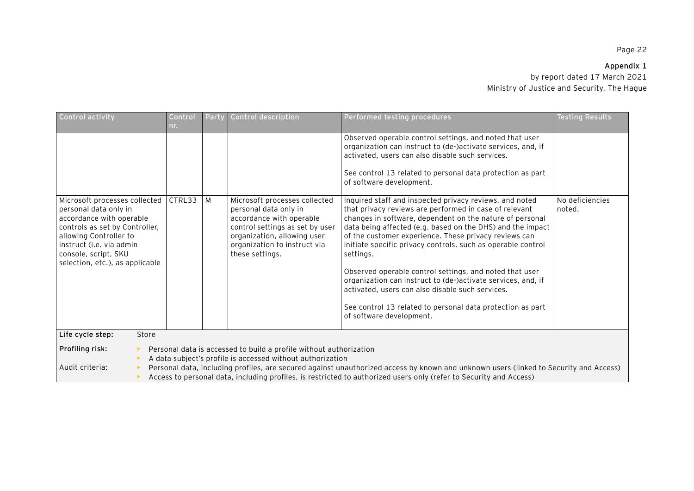# **Appendix 1**

| Control activity                                                                                                                                                                                                                                                                                                                                                                                                                      | Control<br>nr. | Party | Control description                                                                                                                                                                                     | Performed testing procedures                                                                                                                                                                                                                                                                                                                                                                                                                                                                                                                                                                                                                               | <b>Testing Results</b>    |  |
|---------------------------------------------------------------------------------------------------------------------------------------------------------------------------------------------------------------------------------------------------------------------------------------------------------------------------------------------------------------------------------------------------------------------------------------|----------------|-------|---------------------------------------------------------------------------------------------------------------------------------------------------------------------------------------------------------|------------------------------------------------------------------------------------------------------------------------------------------------------------------------------------------------------------------------------------------------------------------------------------------------------------------------------------------------------------------------------------------------------------------------------------------------------------------------------------------------------------------------------------------------------------------------------------------------------------------------------------------------------------|---------------------------|--|
|                                                                                                                                                                                                                                                                                                                                                                                                                                       |                |       |                                                                                                                                                                                                         | Observed operable control settings, and noted that user<br>organization can instruct to (de-)activate services, and, if<br>activated, users can also disable such services.<br>See control 13 related to personal data protection as part<br>of software development.                                                                                                                                                                                                                                                                                                                                                                                      |                           |  |
| Microsoft processes collected<br>personal data only in<br>accordance with operable<br>controls as set by Controller,<br>allowing Controller to<br>instruct (i.e. via admin<br>console, script, SKU<br>selection, etc.), as applicable                                                                                                                                                                                                 | CTRL33         | M     | Microsoft processes collected<br>personal data only in<br>accordance with operable<br>control settings as set by user<br>organization, allowing user<br>organization to instruct via<br>these settings. | Inquired staff and inspected privacy reviews, and noted<br>that privacy reviews are performed in case of relevant<br>changes in software, dependent on the nature of personal<br>data being affected (e.g. based on the DHS) and the impact<br>of the customer experience. These privacy reviews can<br>initiate specific privacy controls, such as operable control<br>settings.<br>Observed operable control settings, and noted that user<br>organization can instruct to (de-)activate services, and, if<br>activated, users can also disable such services.<br>See control 13 related to personal data protection as part<br>of software development. | No deficiencies<br>noted. |  |
| Life cycle step:<br>Store                                                                                                                                                                                                                                                                                                                                                                                                             |                |       |                                                                                                                                                                                                         |                                                                                                                                                                                                                                                                                                                                                                                                                                                                                                                                                                                                                                                            |                           |  |
| Profiling risk:<br>Personal data is accessed to build a profile without authorization<br>A data subject's profile is accessed without authorization<br>Audit criteria:<br>Personal data, including profiles, are secured against unauthorized access by known and unknown users (linked to Security and Access)<br>Access to personal data, including profiles, is restricted to authorized users only (refer to Security and Access) |                |       |                                                                                                                                                                                                         |                                                                                                                                                                                                                                                                                                                                                                                                                                                                                                                                                                                                                                                            |                           |  |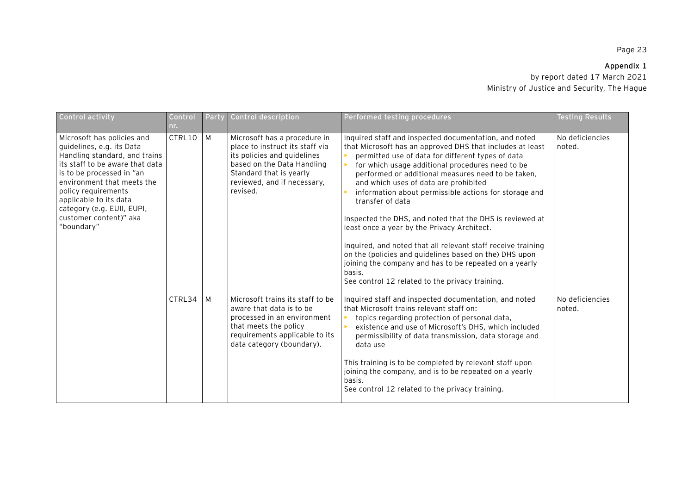# **Appendix 1**

| <b>Control activity</b>                                                                                                                                                                                                                                                                                       | Control<br>nr. | Party | Control description                                                                                                                                                                                | Performed testing procedures                                                                                                                                                                                                                                                                                                                                                                                                                                                                                                                                                                                                                                                                                                                                        | Testing Results           |
|---------------------------------------------------------------------------------------------------------------------------------------------------------------------------------------------------------------------------------------------------------------------------------------------------------------|----------------|-------|----------------------------------------------------------------------------------------------------------------------------------------------------------------------------------------------------|---------------------------------------------------------------------------------------------------------------------------------------------------------------------------------------------------------------------------------------------------------------------------------------------------------------------------------------------------------------------------------------------------------------------------------------------------------------------------------------------------------------------------------------------------------------------------------------------------------------------------------------------------------------------------------------------------------------------------------------------------------------------|---------------------------|
| Microsoft has policies and<br>guidelines, e.g. its Data<br>Handling standard, and trains<br>its staff to be aware that data<br>is to be processed in "an<br>environment that meets the<br>policy requirements<br>applicable to its data<br>category (e.g. EUII, EUPI,<br>customer content)" aka<br>"boundary" | CTRL10         | M     | Microsoft has a procedure in<br>place to instruct its staff via<br>its policies and guidelines<br>based on the Data Handling<br>Standard that is yearly<br>reviewed, and if necessary,<br>revised. | Inquired staff and inspected documentation, and noted<br>that Microsoft has an approved DHS that includes at least<br>permitted use of data for different types of data<br>for which usage additional procedures need to be<br>performed or additional measures need to be taken,<br>and which uses of data are prohibited<br>information about permissible actions for storage and<br>transfer of data<br>Inspected the DHS, and noted that the DHS is reviewed at<br>least once a year by the Privacy Architect.<br>Inquired, and noted that all relevant staff receive training<br>on the (policies and guidelines based on the) DHS upon<br>joining the company and has to be repeated on a yearly<br>basis.<br>See control 12 related to the privacy training. | No deficiencies<br>noted. |
|                                                                                                                                                                                                                                                                                                               | CTRL34         | M     | Microsoft trains its staff to be<br>aware that data is to be<br>processed in an environment<br>that meets the policy<br>requirements applicable to its<br>data category (boundary).                | Inquired staff and inspected documentation, and noted<br>that Microsoft trains relevant staff on:<br>topics regarding protection of personal data,<br>existence and use of Microsoft's DHS, which included<br>permissibility of data transmission, data storage and<br>data use<br>This training is to be completed by relevant staff upon<br>joining the company, and is to be repeated on a yearly<br>basis.<br>See control 12 related to the privacy training.                                                                                                                                                                                                                                                                                                   | No deficiencies<br>noted. |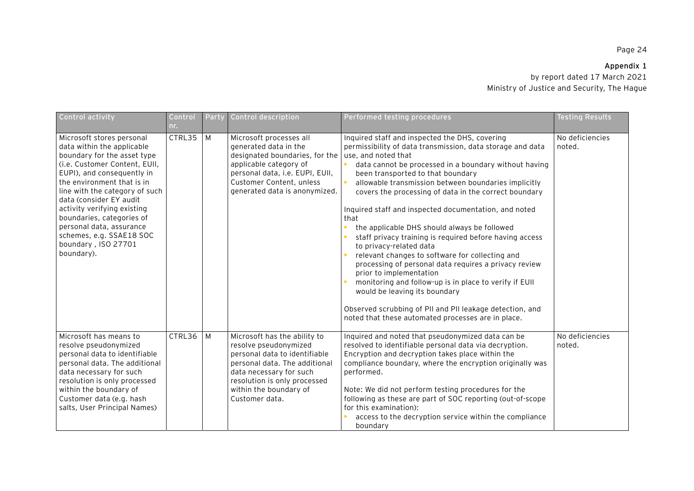# **Appendix 1**

| Control activity                                                                                                                                                                                                                                                                                                                                                                                          | Control<br>nr. | Party | Control description                                                                                                                                                                                                            | Performed testing procedures                                                                                                                                                                                                                                                                                                                                                                                                                                                                                                                                                                                                                                                                                                                                                                                                                                                                                    | <b>Testing Results</b>    |
|-----------------------------------------------------------------------------------------------------------------------------------------------------------------------------------------------------------------------------------------------------------------------------------------------------------------------------------------------------------------------------------------------------------|----------------|-------|--------------------------------------------------------------------------------------------------------------------------------------------------------------------------------------------------------------------------------|-----------------------------------------------------------------------------------------------------------------------------------------------------------------------------------------------------------------------------------------------------------------------------------------------------------------------------------------------------------------------------------------------------------------------------------------------------------------------------------------------------------------------------------------------------------------------------------------------------------------------------------------------------------------------------------------------------------------------------------------------------------------------------------------------------------------------------------------------------------------------------------------------------------------|---------------------------|
| Microsoft stores personal<br>data within the applicable<br>boundary for the asset type<br>(i.e. Customer Content, EUII,<br>EUPI), and consequently in<br>the environment that is in<br>line with the category of such<br>data (consider EY audit<br>activity verifying existing<br>boundaries, categories of<br>personal data, assurance<br>schemes, e.g. SSAE18 SOC<br>boundary, ISO 27701<br>boundary). | CTRL35         | M     | Microsoft processes all<br>generated data in the<br>designated boundaries, for the<br>applicable category of<br>personal data, i.e. EUPI, EUII,<br>Customer Content, unless<br>generated data is anonymized.                   | Inquired staff and inspected the DHS, covering<br>permissibility of data transmission, data storage and data<br>use, and noted that<br>• data cannot be processed in a boundary without having<br>been transported to that boundary<br>allowable transmission between boundaries implicitly<br>covers the processing of data in the correct boundary<br>Inquired staff and inspected documentation, and noted<br>that<br>the applicable DHS should always be followed<br>staff privacy training is required before having access<br>to privacy-related data<br>relevant changes to software for collecting and<br>processing of personal data requires a privacy review<br>prior to implementation<br>monitoring and follow-up is in place to verify if EUII<br>would be leaving its boundary<br>Observed scrubbing of PII and PII leakage detection, and<br>noted that these automated processes are in place. | No deficiencies<br>noted. |
| Microsoft has means to<br>resolve pseudonymized<br>personal data to identifiable<br>personal data. The additional<br>data necessary for such<br>resolution is only processed<br>within the boundary of<br>Customer data (e.g. hash<br>salts, User Principal Names)                                                                                                                                        | CTRL36         | M     | Microsoft has the ability to<br>resolve pseudonymized<br>personal data to identifiable<br>personal data. The additional<br>data necessary for such<br>resolution is only processed<br>within the boundary of<br>Customer data. | Inquired and noted that pseudonymized data can be<br>resolved to identifiable personal data via decryption.<br>Encryption and decryption takes place within the<br>compliance boundary, where the encryption originally was<br>performed.<br>Note: We did not perform testing procedures for the<br>following as these are part of SOC reporting (out-of-scope<br>for this examination):<br>access to the decryption service within the compliance<br>boundary                                                                                                                                                                                                                                                                                                                                                                                                                                                  | No deficiencies<br>noted. |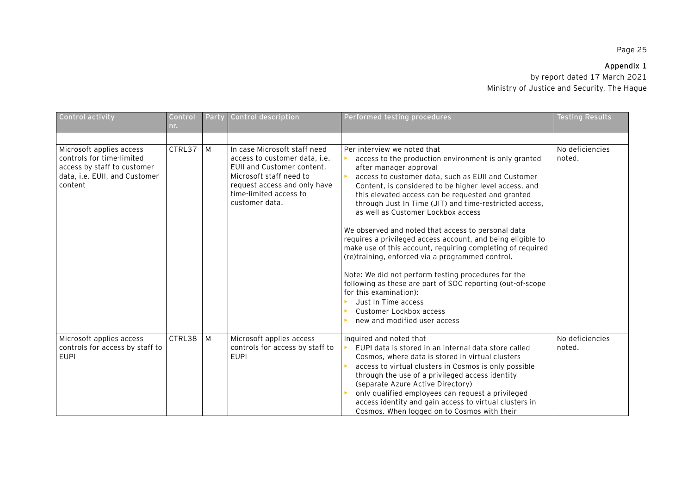# **Appendix 1**

| Control activity                                                                                                                 | Control<br>nr. | Party | Control description                                                                                                                                                                                | Performed testing procedures                                                                                                                                                                                                                                                                                                                                                                                                                                                                                                                                                                                                                                                                                                                                                                                                                              | <b>Testing Results</b>    |
|----------------------------------------------------------------------------------------------------------------------------------|----------------|-------|----------------------------------------------------------------------------------------------------------------------------------------------------------------------------------------------------|-----------------------------------------------------------------------------------------------------------------------------------------------------------------------------------------------------------------------------------------------------------------------------------------------------------------------------------------------------------------------------------------------------------------------------------------------------------------------------------------------------------------------------------------------------------------------------------------------------------------------------------------------------------------------------------------------------------------------------------------------------------------------------------------------------------------------------------------------------------|---------------------------|
|                                                                                                                                  |                |       |                                                                                                                                                                                                    |                                                                                                                                                                                                                                                                                                                                                                                                                                                                                                                                                                                                                                                                                                                                                                                                                                                           |                           |
| Microsoft applies access<br>controls for time-limited<br>access by staff to customer<br>data, i.e. EUII, and Customer<br>content | CTRL37         | M     | In case Microsoft staff need<br>access to customer data, i.e.<br>EUII and Customer content.<br>Microsoft staff need to<br>request access and only have<br>time-limited access to<br>customer data. | Per interview we noted that<br>access to the production environment is only granted<br>after manager approval<br>access to customer data, such as EUII and Customer<br>Content, is considered to be higher level access, and<br>this elevated access can be requested and granted<br>through Just In Time (JIT) and time-restricted access,<br>as well as Customer Lockbox access<br>We observed and noted that access to personal data<br>requires a privileged access account, and being eligible to<br>make use of this account, requiring completing of required<br>(re)training, enforced via a programmed control.<br>Note: We did not perform testing procedures for the<br>following as these are part of SOC reporting (out-of-scope<br>for this examination):<br>Just In Time access<br>Customer Lockbox access<br>new and modified user access | No deficiencies<br>noted. |
| Microsoft applies access<br>controls for access by staff to<br><b>EUPI</b>                                                       | CTRL38         | M     | Microsoft applies access<br>controls for access by staff to<br><b>EUPI</b>                                                                                                                         | Inquired and noted that<br>EUPI data is stored in an internal data store called<br>Cosmos, where data is stored in virtual clusters<br>access to virtual clusters in Cosmos is only possible<br>through the use of a privileged access identity<br>(separate Azure Active Directory)<br>only qualified employees can request a privileged<br>access identity and gain access to virtual clusters in<br>Cosmos. When logged on to Cosmos with their                                                                                                                                                                                                                                                                                                                                                                                                        | No deficiencies<br>noted. |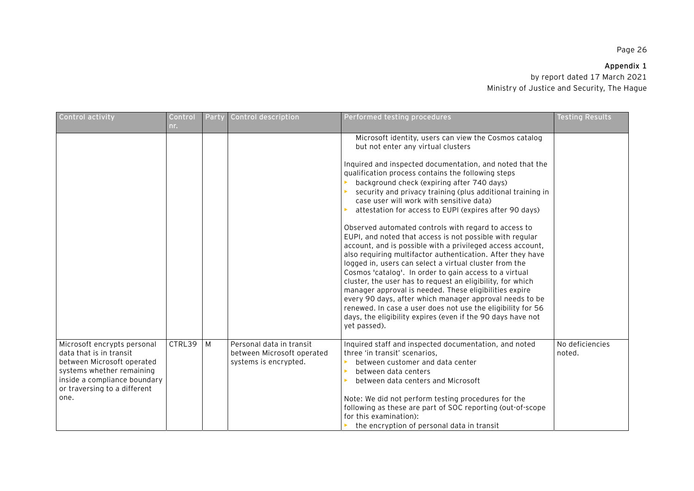# **Appendix 1**

| Control activity                                                                                                                                                                          | Control<br>nr. | Party | Control description                                                             | Performed testing procedures                                                                                                                                                                                                                                                                                                                                                                                                                                                                                                                                                                                                                                                                                                                                                                                                                                                                                                                                                                                                                                                                                                         | <b>Testing Results</b>    |
|-------------------------------------------------------------------------------------------------------------------------------------------------------------------------------------------|----------------|-------|---------------------------------------------------------------------------------|--------------------------------------------------------------------------------------------------------------------------------------------------------------------------------------------------------------------------------------------------------------------------------------------------------------------------------------------------------------------------------------------------------------------------------------------------------------------------------------------------------------------------------------------------------------------------------------------------------------------------------------------------------------------------------------------------------------------------------------------------------------------------------------------------------------------------------------------------------------------------------------------------------------------------------------------------------------------------------------------------------------------------------------------------------------------------------------------------------------------------------------|---------------------------|
|                                                                                                                                                                                           |                |       |                                                                                 | Microsoft identity, users can view the Cosmos catalog<br>but not enter any virtual clusters<br>Inquired and inspected documentation, and noted that the<br>qualification process contains the following steps<br>background check (expiring after 740 days)<br>security and privacy training (plus additional training in<br>case user will work with sensitive data)<br>attestation for access to EUPI (expires after 90 days)<br>Observed automated controls with regard to access to<br>EUPI, and noted that access is not possible with regular<br>account, and is possible with a privileged access account,<br>also requiring multifactor authentication. After they have<br>logged in, users can select a virtual cluster from the<br>Cosmos 'catalog'. In order to gain access to a virtual<br>cluster, the user has to request an eligibility, for which<br>manager approval is needed. These eligibilities expire<br>every 90 days, after which manager approval needs to be<br>renewed. In case a user does not use the eligibility for 56<br>days, the eligibility expires (even if the 90 days have not<br>yet passed). |                           |
| Microsoft encrypts personal<br>data that is in transit<br>between Microsoft operated<br>systems whether remaining<br>inside a compliance boundary<br>or traversing to a different<br>one. | CTRL39         | M     | Personal data in transit<br>between Microsoft operated<br>systems is encrypted. | Inquired staff and inspected documentation, and noted<br>three 'in transit' scenarios,<br>between customer and data center<br>between data centers<br>between data centers and Microsoft<br>Note: We did not perform testing procedures for the<br>following as these are part of SOC reporting (out-of-scope<br>for this examination):<br>the encryption of personal data in transit                                                                                                                                                                                                                                                                                                                                                                                                                                                                                                                                                                                                                                                                                                                                                | No deficiencies<br>noted. |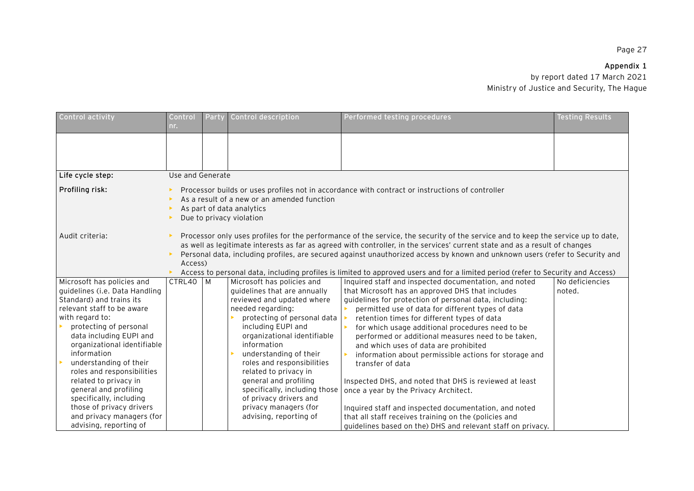# **Appendix 1**

| Control activity                                     | Control<br>nr.   | Party                                                                                                                                                                                                                                                                                                                                                                                                                                                                                                                                          | Control description                                                                                  | Performed testing procedures                                                                    | <b>Testing Results</b> |  |  |
|------------------------------------------------------|------------------|------------------------------------------------------------------------------------------------------------------------------------------------------------------------------------------------------------------------------------------------------------------------------------------------------------------------------------------------------------------------------------------------------------------------------------------------------------------------------------------------------------------------------------------------|------------------------------------------------------------------------------------------------------|-------------------------------------------------------------------------------------------------|------------------------|--|--|
|                                                      |                  |                                                                                                                                                                                                                                                                                                                                                                                                                                                                                                                                                |                                                                                                      |                                                                                                 |                        |  |  |
|                                                      |                  |                                                                                                                                                                                                                                                                                                                                                                                                                                                                                                                                                |                                                                                                      |                                                                                                 |                        |  |  |
| Life cycle step:                                     | Use and Generate |                                                                                                                                                                                                                                                                                                                                                                                                                                                                                                                                                |                                                                                                      |                                                                                                 |                        |  |  |
| Profiling risk:                                      |                  |                                                                                                                                                                                                                                                                                                                                                                                                                                                                                                                                                | As a result of a new or an amended function<br>As part of data analytics<br>Due to privacy violation | Processor builds or uses profiles not in accordance with contract or instructions of controller |                        |  |  |
| Audit criteria:                                      |                  | Processor only uses profiles for the performance of the service, the security of the service and to keep the service up to date,<br>as well as legitimate interests as far as agreed with controller, in the services' current state and as a result of changes<br>Personal data, including profiles, are secured against unauthorized access by known and unknown users (refer to Security and<br>Access)<br>Access to personal data, including profiles is limited to approved users and for a limited period (refer to Security and Access) |                                                                                                      |                                                                                                 |                        |  |  |
| Microsoft has policies and                           | CTRL40           | M                                                                                                                                                                                                                                                                                                                                                                                                                                                                                                                                              | Microsoft has policies and                                                                           | Inquired staff and inspected documentation, and noted                                           | No deficiencies        |  |  |
| quidelines (i.e. Data Handling                       |                  |                                                                                                                                                                                                                                                                                                                                                                                                                                                                                                                                                | quidelines that are annually                                                                         | that Microsoft has an approved DHS that includes                                                | noted.                 |  |  |
| Standard) and trains its                             |                  |                                                                                                                                                                                                                                                                                                                                                                                                                                                                                                                                                | reviewed and updated where                                                                           | guidelines for protection of personal data, including:                                          |                        |  |  |
| relevant staff to be aware                           |                  |                                                                                                                                                                                                                                                                                                                                                                                                                                                                                                                                                | needed regarding:                                                                                    | permitted use of data for different types of data                                               |                        |  |  |
| with regard to:                                      |                  |                                                                                                                                                                                                                                                                                                                                                                                                                                                                                                                                                | protecting of personal data                                                                          | retention times for different types of data                                                     |                        |  |  |
| protecting of personal                               |                  |                                                                                                                                                                                                                                                                                                                                                                                                                                                                                                                                                | including EUPI and                                                                                   | for which usage additional procedures need to be                                                |                        |  |  |
| data including EUPI and                              |                  |                                                                                                                                                                                                                                                                                                                                                                                                                                                                                                                                                | organizational identifiable                                                                          | performed or additional measures need to be taken,                                              |                        |  |  |
| organizational identifiable                          |                  |                                                                                                                                                                                                                                                                                                                                                                                                                                                                                                                                                | information                                                                                          | and which uses of data are prohibited                                                           |                        |  |  |
| information                                          |                  |                                                                                                                                                                                                                                                                                                                                                                                                                                                                                                                                                | understanding of their                                                                               | information about permissible actions for storage and                                           |                        |  |  |
| understanding of their<br>roles and responsibilities |                  |                                                                                                                                                                                                                                                                                                                                                                                                                                                                                                                                                | roles and responsibilities<br>related to privacy in                                                  | transfer of data                                                                                |                        |  |  |
| related to privacy in                                |                  |                                                                                                                                                                                                                                                                                                                                                                                                                                                                                                                                                | general and profiling                                                                                |                                                                                                 |                        |  |  |
| general and profiling                                |                  |                                                                                                                                                                                                                                                                                                                                                                                                                                                                                                                                                | specifically, including those                                                                        | Inspected DHS, and noted that DHS is reviewed at least<br>once a year by the Privacy Architect. |                        |  |  |
| specifically, including                              |                  |                                                                                                                                                                                                                                                                                                                                                                                                                                                                                                                                                | of privacy drivers and                                                                               |                                                                                                 |                        |  |  |
| those of privacy drivers                             |                  |                                                                                                                                                                                                                                                                                                                                                                                                                                                                                                                                                | privacy managers (for                                                                                | Inquired staff and inspected documentation, and noted                                           |                        |  |  |
| and privacy managers (for                            |                  |                                                                                                                                                                                                                                                                                                                                                                                                                                                                                                                                                | advising, reporting of                                                                               | that all staff receives training on the (policies and                                           |                        |  |  |
| advising, reporting of                               |                  |                                                                                                                                                                                                                                                                                                                                                                                                                                                                                                                                                |                                                                                                      | guidelines based on the) DHS and relevant staff on privacy.                                     |                        |  |  |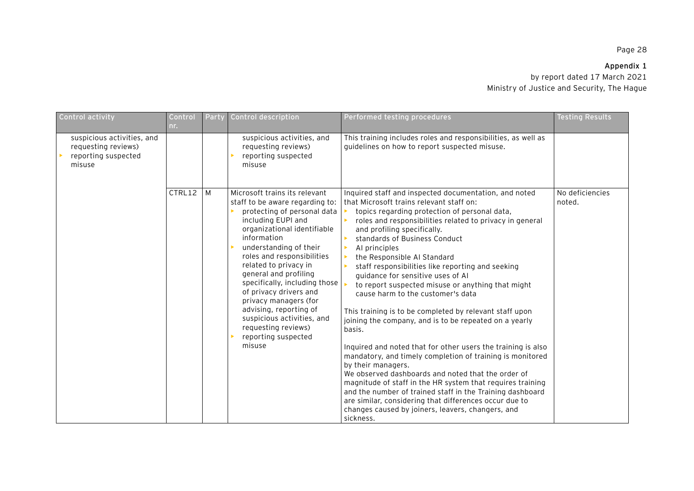# **Appendix 1**

| Control activity                                                                   | Control<br>nr. | Party | <b>Control description</b>                                                                                                                                                                                                                                                                                                                                                                                                                                                        | Performed testing procedures                                                                                                                                                                                                                                                                                                                                                                                                                                                                                                                                                                                                                                                                                                                                                                                                                                                                                                                                                                                                                                                                                      | <b>Testing Results</b>    |
|------------------------------------------------------------------------------------|----------------|-------|-----------------------------------------------------------------------------------------------------------------------------------------------------------------------------------------------------------------------------------------------------------------------------------------------------------------------------------------------------------------------------------------------------------------------------------------------------------------------------------|-------------------------------------------------------------------------------------------------------------------------------------------------------------------------------------------------------------------------------------------------------------------------------------------------------------------------------------------------------------------------------------------------------------------------------------------------------------------------------------------------------------------------------------------------------------------------------------------------------------------------------------------------------------------------------------------------------------------------------------------------------------------------------------------------------------------------------------------------------------------------------------------------------------------------------------------------------------------------------------------------------------------------------------------------------------------------------------------------------------------|---------------------------|
| suspicious activities, and<br>requesting reviews)<br>reporting suspected<br>misuse |                |       | suspicious activities, and<br>requesting reviews)<br>reporting suspected<br>misuse                                                                                                                                                                                                                                                                                                                                                                                                | This training includes roles and responsibilities, as well as<br>guidelines on how to report suspected misuse.                                                                                                                                                                                                                                                                                                                                                                                                                                                                                                                                                                                                                                                                                                                                                                                                                                                                                                                                                                                                    |                           |
|                                                                                    | CTRL12         | M     | Microsoft trains its relevant<br>staff to be aware regarding to:<br>protecting of personal data<br>including EUPI and<br>organizational identifiable<br>information<br>understanding of their<br>roles and responsibilities<br>related to privacy in<br>general and profiling<br>specifically, including those<br>of privacy drivers and<br>privacy managers (for<br>advising, reporting of<br>suspicious activities, and<br>requesting reviews)<br>reporting suspected<br>misuse | Inquired staff and inspected documentation, and noted<br>that Microsoft trains relevant staff on:<br>topics regarding protection of personal data,<br>roles and responsibilities related to privacy in general<br>and profiling specifically.<br>standards of Business Conduct<br>Al principles<br>the Responsible AI Standard<br>staff responsibilities like reporting and seeking<br>guidance for sensitive uses of Al<br>to report suspected misuse or anything that might<br>cause harm to the customer's data<br>This training is to be completed by relevant staff upon<br>joining the company, and is to be repeated on a yearly<br>basis.<br>Inquired and noted that for other users the training is also<br>mandatory, and timely completion of training is monitored<br>by their managers.<br>We observed dashboards and noted that the order of<br>magnitude of staff in the HR system that requires training<br>and the number of trained staff in the Training dashboard<br>are similar, considering that differences occur due to<br>changes caused by joiners, leavers, changers, and<br>sickness. | No deficiencies<br>noted. |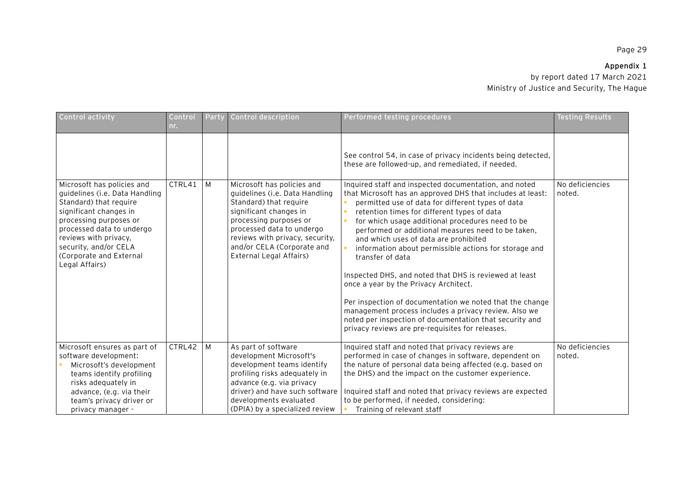# **Appendix 1**

| Control activity                                                                                                                                                                                                                                                       | Control<br>nr. | Party | Control description                                                                                                                                                                                                                                                 | Performed testing procedures                                                                                                                                                                                                                                                                                                                                                                                                                                                                                                                                                                                                                                                                                                                                                                   | <b>Testing Results</b>    |
|------------------------------------------------------------------------------------------------------------------------------------------------------------------------------------------------------------------------------------------------------------------------|----------------|-------|---------------------------------------------------------------------------------------------------------------------------------------------------------------------------------------------------------------------------------------------------------------------|------------------------------------------------------------------------------------------------------------------------------------------------------------------------------------------------------------------------------------------------------------------------------------------------------------------------------------------------------------------------------------------------------------------------------------------------------------------------------------------------------------------------------------------------------------------------------------------------------------------------------------------------------------------------------------------------------------------------------------------------------------------------------------------------|---------------------------|
|                                                                                                                                                                                                                                                                        |                |       |                                                                                                                                                                                                                                                                     | See control 54, in case of privacy incidents being detected,<br>these are followed-up, and remediated, if needed.                                                                                                                                                                                                                                                                                                                                                                                                                                                                                                                                                                                                                                                                              |                           |
| Microsoft has policies and<br>guidelines (i.e. Data Handling<br>Standard) that require<br>significant changes in<br>processing purposes or<br>processed data to undergo<br>reviews with privacy,<br>security, and/or CELA<br>(Corporate and External<br>Legal Affairs) | CTRL41         | M     | Microsoft has policies and<br>quidelines (i.e. Data Handling<br>Standard) that require<br>significant changes in<br>processing purposes or<br>processed data to undergo<br>reviews with privacy, security,<br>and/or CELA (Corporate and<br>External Legal Affairs) | Inquired staff and inspected documentation, and noted<br>that Microsoft has an approved DHS that includes at least:<br>permitted use of data for different types of data<br>retention times for different types of data<br>for which usage additional procedures need to be<br>performed or additional measures need to be taken,<br>and which uses of data are prohibited<br>information about permissible actions for storage and<br>transfer of data<br>Inspected DHS, and noted that DHS is reviewed at least<br>once a year by the Privacy Architect.<br>Per inspection of documentation we noted that the change<br>management process includes a privacy review. Also we<br>noted per inspection of documentation that security and<br>privacy reviews are pre-requisites for releases. | No deficiencies<br>noted. |
| Microsoft ensures as part of<br>software development:<br>Microsoft's development<br>teams identify profiling<br>risks adequately in<br>advance, (e.g. via their<br>team's privacy driver or<br>privacy manager -                                                       | CTRL42         | M     | As part of software<br>development Microsoft's<br>development teams identify<br>profiling risks adequately in<br>advance (e.g. via privacy<br>driver) and have such software<br>developments evaluated<br>(DPIA) by a specialized review                            | Inquired staff and noted that privacy reviews are<br>performed in case of changes in software, dependent on<br>the nature of personal data being affected (e.g. based on<br>the DHS) and the impact on the customer experience.<br>Inquired staff and noted that privacy reviews are expected<br>to be performed, if needed, considering:<br>Training of relevant staff                                                                                                                                                                                                                                                                                                                                                                                                                        | No deficiencies<br>noted. |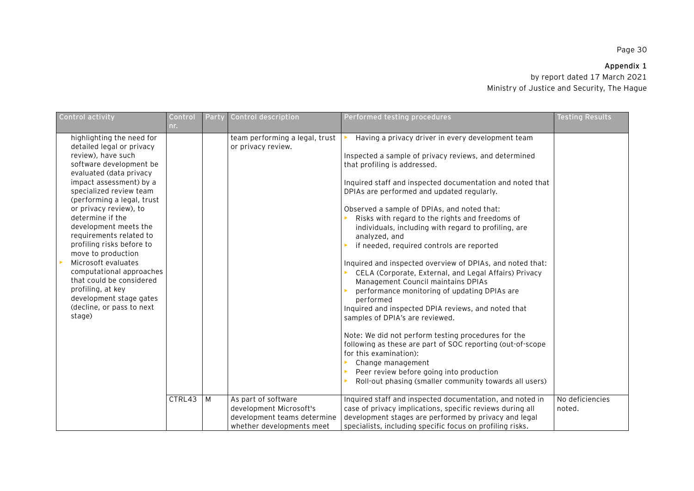# **Appendix 1**

| Control activity                                                                                                                                                                                                                                                                                                                                                                                                                                                                                                                                                           | Control | Party | Control description                                                         | Performed testing procedures                                                                                                                                                                                                                                                                                                                                                                                                                                                                                                                                                                                                                                                                                                                                                                                                                                                                                                                                                                                                                                                                                                           | <b>Testing Results</b> |
|----------------------------------------------------------------------------------------------------------------------------------------------------------------------------------------------------------------------------------------------------------------------------------------------------------------------------------------------------------------------------------------------------------------------------------------------------------------------------------------------------------------------------------------------------------------------------|---------|-------|-----------------------------------------------------------------------------|----------------------------------------------------------------------------------------------------------------------------------------------------------------------------------------------------------------------------------------------------------------------------------------------------------------------------------------------------------------------------------------------------------------------------------------------------------------------------------------------------------------------------------------------------------------------------------------------------------------------------------------------------------------------------------------------------------------------------------------------------------------------------------------------------------------------------------------------------------------------------------------------------------------------------------------------------------------------------------------------------------------------------------------------------------------------------------------------------------------------------------------|------------------------|
|                                                                                                                                                                                                                                                                                                                                                                                                                                                                                                                                                                            | nr.     |       |                                                                             |                                                                                                                                                                                                                                                                                                                                                                                                                                                                                                                                                                                                                                                                                                                                                                                                                                                                                                                                                                                                                                                                                                                                        |                        |
| highlighting the need for<br>detailed legal or privacy<br>review), have such<br>software development be<br>evaluated (data privacy<br>impact assessment) by a<br>specialized review team<br>(performing a legal, trust<br>or privacy review), to<br>determine if the<br>development meets the<br>requirements related to<br>profiling risks before to<br>move to production<br>Microsoft evaluates<br>$\blacktriangleright$<br>computational approaches<br>that could be considered<br>profiling, at key<br>development stage gates<br>(decline, or pass to next<br>stage) | CTRL43  | l M   | team performing a legal, trust<br>or privacy review.<br>As part of software | Having a privacy driver in every development team<br>Inspected a sample of privacy reviews, and determined<br>that profiling is addressed.<br>Inquired staff and inspected documentation and noted that<br>DPIAs are performed and updated regularly.<br>Observed a sample of DPIAs, and noted that:<br>Risks with regard to the rights and freedoms of<br>individuals, including with regard to profiling, are<br>analyzed, and<br>if needed, required controls are reported<br>Inquired and inspected overview of DPIAs, and noted that:<br>CELA (Corporate, External, and Legal Affairs) Privacy<br>Management Council maintains DPIAs<br>performance monitoring of updating DPIAs are<br>performed<br>Inquired and inspected DPIA reviews, and noted that<br>samples of DPIA's are reviewed.<br>Note: We did not perform testing procedures for the<br>following as these are part of SOC reporting (out-of-scope<br>for this examination):<br>Change management<br>Peer review before going into production<br>Roll-out phasing (smaller community towards all users)<br>Inquired staff and inspected documentation, and noted in | No deficiencies        |
|                                                                                                                                                                                                                                                                                                                                                                                                                                                                                                                                                                            |         |       | development Microsoft's<br>development teams determine                      | case of privacy implications, specific reviews during all<br>development stages are performed by privacy and legal                                                                                                                                                                                                                                                                                                                                                                                                                                                                                                                                                                                                                                                                                                                                                                                                                                                                                                                                                                                                                     | noted.                 |
|                                                                                                                                                                                                                                                                                                                                                                                                                                                                                                                                                                            |         |       | whether developments meet                                                   | specialists, including specific focus on profiling risks.                                                                                                                                                                                                                                                                                                                                                                                                                                                                                                                                                                                                                                                                                                                                                                                                                                                                                                                                                                                                                                                                              |                        |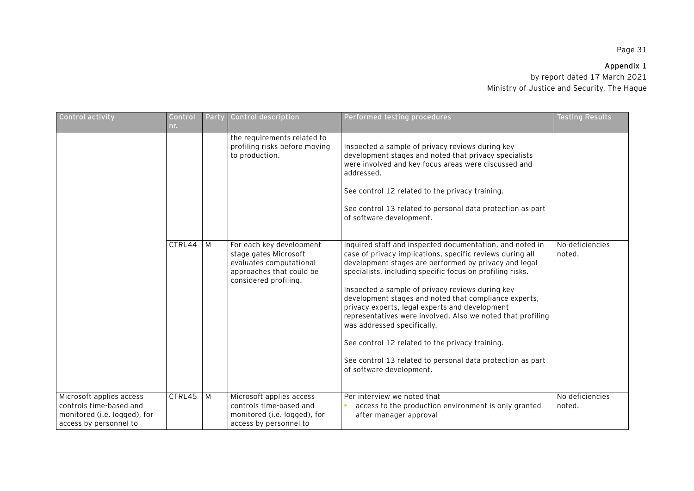## **Appendix 1**

| Control activity                                                                                              | Control<br>nr. | Party | Control description                                                                                                               | Performed testing procedures                                                                                                                                                                                                                                                                                                                                                                                                                                                                                                                                                                                                                          | <b>Testing Results</b>    |
|---------------------------------------------------------------------------------------------------------------|----------------|-------|-----------------------------------------------------------------------------------------------------------------------------------|-------------------------------------------------------------------------------------------------------------------------------------------------------------------------------------------------------------------------------------------------------------------------------------------------------------------------------------------------------------------------------------------------------------------------------------------------------------------------------------------------------------------------------------------------------------------------------------------------------------------------------------------------------|---------------------------|
|                                                                                                               |                |       | the requirements related to<br>profiling risks before moving<br>to production.                                                    | Inspected a sample of privacy reviews during key<br>development stages and noted that privacy specialists<br>were involved and key focus areas were discussed and<br>addressed.<br>See control 12 related to the privacy training.<br>See control 13 related to personal data protection as part<br>of software development.                                                                                                                                                                                                                                                                                                                          |                           |
|                                                                                                               | CTRL44 M       |       | For each key development<br>stage gates Microsoft<br>evaluates computational<br>approaches that could be<br>considered profiling. | Inquired staff and inspected documentation, and noted in<br>case of privacy implications, specific reviews during all<br>development stages are performed by privacy and legal<br>specialists, including specific focus on profiling risks.<br>Inspected a sample of privacy reviews during key<br>development stages and noted that compliance experts,<br>privacy experts, legal experts and development<br>representatives were involved. Also we noted that profiling<br>was addressed specifically.<br>See control 12 related to the privacy training.<br>See control 13 related to personal data protection as part<br>of software development. | No deficiencies<br>noted. |
| Microsoft applies access<br>controls time-based and<br>monitored (i.e. logged), for<br>access by personnel to | $CTRL45$ M     |       | Microsoft applies access<br>controls time-based and<br>monitored (i.e. logged), for<br>access by personnel to                     | Per interview we noted that<br>access to the production environment is only granted<br>after manager approval                                                                                                                                                                                                                                                                                                                                                                                                                                                                                                                                         | No deficiencies<br>noted. |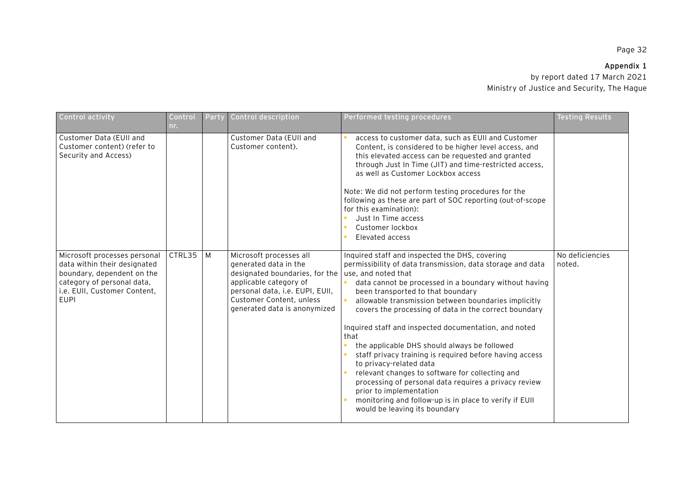## **Appendix 1**

| Control activity                                                                                                                                                        | Control<br>nr. | Party | Control description                                                                                                                                                                                         | Performed testing procedures                                                                                                                                                                                                                                                                                                                                                                                                                                                                                                                                                                                                                                                                                                                                                                | <b>Testing Results</b>    |
|-------------------------------------------------------------------------------------------------------------------------------------------------------------------------|----------------|-------|-------------------------------------------------------------------------------------------------------------------------------------------------------------------------------------------------------------|---------------------------------------------------------------------------------------------------------------------------------------------------------------------------------------------------------------------------------------------------------------------------------------------------------------------------------------------------------------------------------------------------------------------------------------------------------------------------------------------------------------------------------------------------------------------------------------------------------------------------------------------------------------------------------------------------------------------------------------------------------------------------------------------|---------------------------|
| Customer Data (EUII and<br>Customer content) (refer to<br>Security and Access)                                                                                          |                |       | Customer Data (EUII and<br>Customer content).                                                                                                                                                               | access to customer data, such as EUII and Customer<br>Content, is considered to be higher level access, and<br>this elevated access can be requested and granted<br>through Just In Time (JIT) and time-restricted access,<br>as well as Customer Lockbox access<br>Note: We did not perform testing procedures for the<br>following as these are part of SOC reporting (out-of-scope<br>for this examination):<br>Just In Time access<br>Customer lockbox<br>Elevated access                                                                                                                                                                                                                                                                                                               |                           |
| Microsoft processes personal<br>data within their designated<br>boundary, dependent on the<br>category of personal data,<br>i.e. EUII, Customer Content,<br><b>EUPI</b> | CTRL35         | M     | Microsoft processes all<br>generated data in the<br>designated boundaries, for the<br>applicable category of<br>personal data, i.e. EUPI, EUII,<br>Customer Content, unless<br>generated data is anonymized | Inquired staff and inspected the DHS, covering<br>permissibility of data transmission, data storage and data<br>use, and noted that<br>data cannot be processed in a boundary without having<br>been transported to that boundary<br>allowable transmission between boundaries implicitly<br>covers the processing of data in the correct boundary<br>Inquired staff and inspected documentation, and noted<br>that<br>the applicable DHS should always be followed<br>staff privacy training is required before having access<br>to privacy-related data<br>relevant changes to software for collecting and<br>processing of personal data requires a privacy review<br>prior to implementation<br>monitoring and follow-up is in place to verify if EUII<br>would be leaving its boundary | No deficiencies<br>noted. |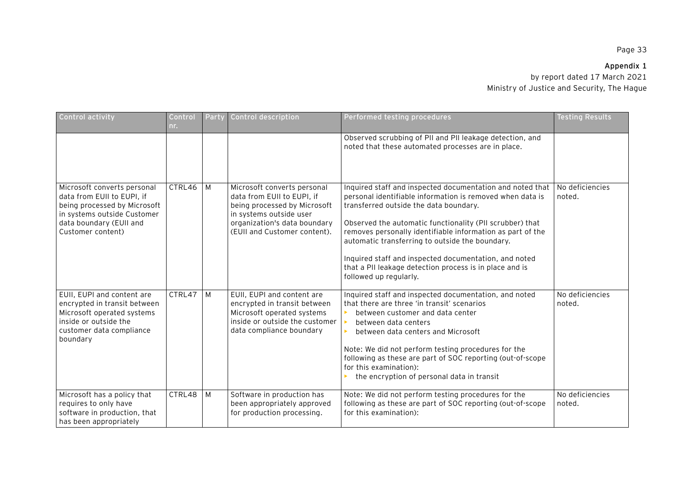## **Appendix 1**

| Control activity                                                                                                                                                         | Control<br>nr. | Party | Control description                                                                                                                                                                  | Performed testing procedures                                                                                                                                                                                                                                                                                                                                                                                                                                                                | <b>Testing Results</b>    |
|--------------------------------------------------------------------------------------------------------------------------------------------------------------------------|----------------|-------|--------------------------------------------------------------------------------------------------------------------------------------------------------------------------------------|---------------------------------------------------------------------------------------------------------------------------------------------------------------------------------------------------------------------------------------------------------------------------------------------------------------------------------------------------------------------------------------------------------------------------------------------------------------------------------------------|---------------------------|
|                                                                                                                                                                          |                |       |                                                                                                                                                                                      | Observed scrubbing of PII and PII leakage detection, and<br>noted that these automated processes are in place.                                                                                                                                                                                                                                                                                                                                                                              |                           |
| Microsoft converts personal<br>data from EUII to EUPI, if<br>being processed by Microsoft<br>in systems outside Customer<br>data boundary (EUII and<br>Customer content) | CTRL46         | M     | Microsoft converts personal<br>data from EUII to EUPI, if<br>being processed by Microsoft<br>in systems outside user<br>organization's data boundary<br>(EUII and Customer content). | Inquired staff and inspected documentation and noted that<br>personal identifiable information is removed when data is<br>transferred outside the data boundary.<br>Observed the automatic functionality (PII scrubber) that<br>removes personally identifiable information as part of the<br>automatic transferring to outside the boundary.<br>Inquired staff and inspected documentation, and noted<br>that a PII leakage detection process is in place and is<br>followed up regularly. | No deficiencies<br>noted. |
| EUII, EUPI and content are<br>encrypted in transit between<br>Microsoft operated systems<br>inside or outside the<br>customer data compliance<br>boundary                | CTRL47         | M     | EUII, EUPI and content are<br>encrypted in transit between<br>Microsoft operated systems<br>inside or outside the customer<br>data compliance boundary                               | Inquired staff and inspected documentation, and noted<br>that there are three 'in transit' scenarios<br>between customer and data center<br>between data centers<br>between data centers and Microsoft<br>Note: We did not perform testing procedures for the<br>following as these are part of SOC reporting (out-of-scope<br>for this examination):<br>the encryption of personal data in transit                                                                                         | No deficiencies<br>noted. |
| Microsoft has a policy that<br>requires to only have<br>software in production, that<br>has been appropriately                                                           | CTRL48         | M     | Software in production has<br>been appropriately approved<br>for production processing.                                                                                              | Note: We did not perform testing procedures for the<br>following as these are part of SOC reporting (out-of-scope<br>for this examination):                                                                                                                                                                                                                                                                                                                                                 | No deficiencies<br>noted. |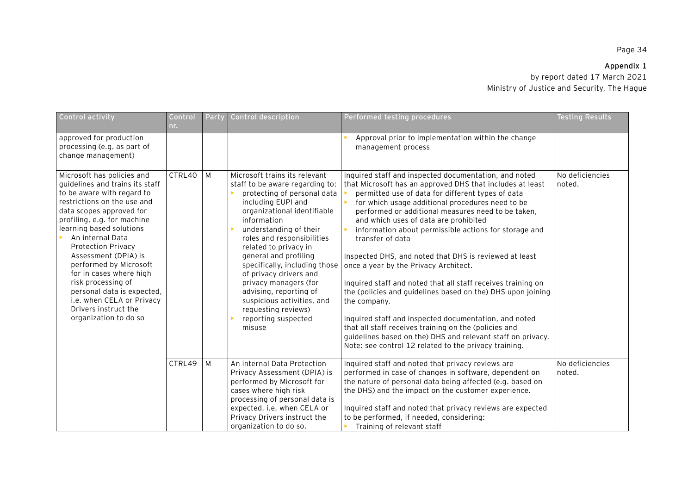## **Appendix 1**

| Control activity                                                                                                                                                                                                                                                                                                                                                                                                                                                           | Control<br>nr. | Party        | Control description                                                                                                                                                                                                                                                                                                                                                                                                                                                               | Performed testing procedures                                                                                                                                                                                                                                                                                                                                                                                                                                                                                                                                                                                                                                                                                                                                                                                                                                                                        | <b>Testing Results</b>    |
|----------------------------------------------------------------------------------------------------------------------------------------------------------------------------------------------------------------------------------------------------------------------------------------------------------------------------------------------------------------------------------------------------------------------------------------------------------------------------|----------------|--------------|-----------------------------------------------------------------------------------------------------------------------------------------------------------------------------------------------------------------------------------------------------------------------------------------------------------------------------------------------------------------------------------------------------------------------------------------------------------------------------------|-----------------------------------------------------------------------------------------------------------------------------------------------------------------------------------------------------------------------------------------------------------------------------------------------------------------------------------------------------------------------------------------------------------------------------------------------------------------------------------------------------------------------------------------------------------------------------------------------------------------------------------------------------------------------------------------------------------------------------------------------------------------------------------------------------------------------------------------------------------------------------------------------------|---------------------------|
| approved for production<br>processing (e.g. as part of<br>change management)                                                                                                                                                                                                                                                                                                                                                                                               |                |              |                                                                                                                                                                                                                                                                                                                                                                                                                                                                                   | Approval prior to implementation within the change<br>management process                                                                                                                                                                                                                                                                                                                                                                                                                                                                                                                                                                                                                                                                                                                                                                                                                            |                           |
| Microsoft has policies and<br>quidelines and trains its staff<br>to be aware with regard to<br>restrictions on the use and<br>data scopes approved for<br>profiling, e.g. for machine<br>learning based solutions<br>An internal Data<br>Protection Privacy<br>Assessment (DPIA) is<br>performed by Microsoft<br>for in cases where high<br>risk processing of<br>personal data is expected,<br>i.e. when CELA or Privacy<br>Drivers instruct the<br>organization to do so | CTRL40         | <b>M</b>     | Microsoft trains its relevant<br>staff to be aware regarding to:<br>protecting of personal data<br>including EUPI and<br>organizational identifiable<br>information<br>understanding of their<br>roles and responsibilities<br>related to privacy in<br>general and profiling<br>specifically, including those<br>of privacy drivers and<br>privacy managers (for<br>advising, reporting of<br>suspicious activities, and<br>requesting reviews)<br>reporting suspected<br>misuse | Inquired staff and inspected documentation, and noted<br>that Microsoft has an approved DHS that includes at least<br>permitted use of data for different types of data<br>for which usage additional procedures need to be<br>performed or additional measures need to be taken,<br>and which uses of data are prohibited<br>information about permissible actions for storage and<br>transfer of data<br>Inspected DHS, and noted that DHS is reviewed at least<br>once a year by the Privacy Architect.<br>Inquired staff and noted that all staff receives training on<br>the (policies and guidelines based on the) DHS upon joining<br>the company.<br>Inquired staff and inspected documentation, and noted<br>that all staff receives training on the (policies and<br>guidelines based on the) DHS and relevant staff on privacy.<br>Note: see control 12 related to the privacy training. | No deficiencies<br>noted. |
|                                                                                                                                                                                                                                                                                                                                                                                                                                                                            | CTRL49         | $\mathsf{M}$ | An internal Data Protection<br>Privacy Assessment (DPIA) is<br>performed by Microsoft for<br>cases where high risk<br>processing of personal data is<br>expected, i.e. when CELA or<br>Privacy Drivers instruct the<br>organization to do so.                                                                                                                                                                                                                                     | Inquired staff and noted that privacy reviews are<br>performed in case of changes in software, dependent on<br>the nature of personal data being affected (e.g. based on<br>the DHS) and the impact on the customer experience.<br>Inquired staff and noted that privacy reviews are expected<br>to be performed, if needed, considering:<br>Training of relevant staff                                                                                                                                                                                                                                                                                                                                                                                                                                                                                                                             | No deficiencies<br>noted. |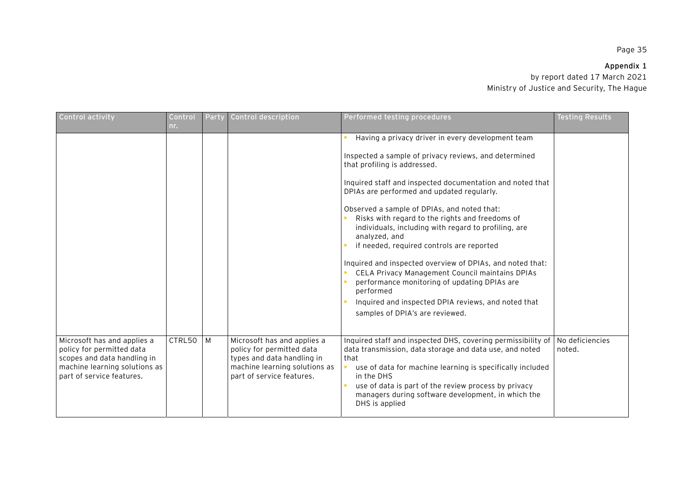# **Appendix 1**

| Control activity                                                                                                                                      | Control<br>nr. | Party | Control description                                                                                                                                  | Performed testing procedures                                                                                                                                                                                                                                                                                                                                                                                                                                                                                                                                                                                                                                                                                                                         | <b>Testing Results</b>    |
|-------------------------------------------------------------------------------------------------------------------------------------------------------|----------------|-------|------------------------------------------------------------------------------------------------------------------------------------------------------|------------------------------------------------------------------------------------------------------------------------------------------------------------------------------------------------------------------------------------------------------------------------------------------------------------------------------------------------------------------------------------------------------------------------------------------------------------------------------------------------------------------------------------------------------------------------------------------------------------------------------------------------------------------------------------------------------------------------------------------------------|---------------------------|
|                                                                                                                                                       |                |       |                                                                                                                                                      | Having a privacy driver in every development team<br>Inspected a sample of privacy reviews, and determined<br>that profiling is addressed.<br>Inquired staff and inspected documentation and noted that<br>DPIAs are performed and updated regularly.<br>Observed a sample of DPIAs, and noted that:<br>Risks with regard to the rights and freedoms of<br>individuals, including with regard to profiling, are<br>analyzed, and<br>if needed, required controls are reported<br>Inquired and inspected overview of DPIAs, and noted that:<br>CELA Privacy Management Council maintains DPIAs<br>performance monitoring of updating DPIAs are<br>performed<br>Inquired and inspected DPIA reviews, and noted that<br>samples of DPIA's are reviewed. |                           |
| Microsoft has and applies a<br>policy for permitted data<br>scopes and data handling in<br>machine learning solutions as<br>part of service features. | CTRL50         | M     | Microsoft has and applies a<br>policy for permitted data<br>types and data handling in<br>machine learning solutions as<br>part of service features. | Inquired staff and inspected DHS, covering permissibility of<br>data transmission, data storage and data use, and noted<br>that<br>use of data for machine learning is specifically included<br>in the DHS<br>use of data is part of the review process by privacy<br>managers during software development, in which the<br>DHS is applied                                                                                                                                                                                                                                                                                                                                                                                                           | No deficiencies<br>noted. |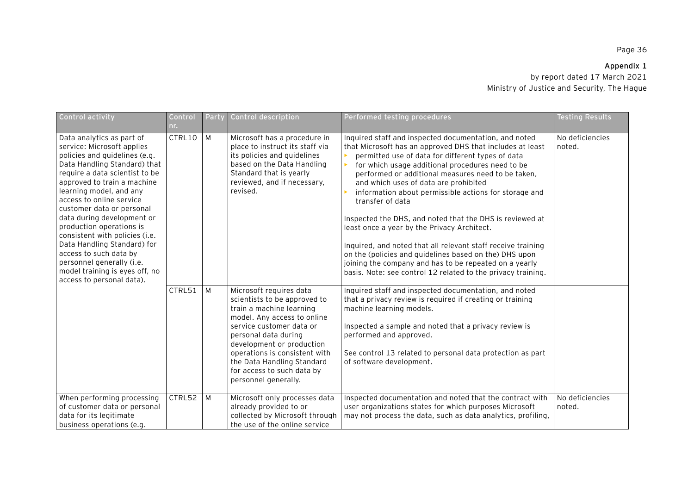# **Appendix 1**

| Control activity                                                                                                                                                                                                                                                                                                                                                                                                                                                                                                               | Control<br>nr. | Party | Control description                                                                                                                                                                                                                                                                                                      | Performed testing procedures                                                                                                                                                                                                                                                                                                                                                                                                                                                                                                                                                                                                                                                                                                                                           | <b>Testing Results</b>    |
|--------------------------------------------------------------------------------------------------------------------------------------------------------------------------------------------------------------------------------------------------------------------------------------------------------------------------------------------------------------------------------------------------------------------------------------------------------------------------------------------------------------------------------|----------------|-------|--------------------------------------------------------------------------------------------------------------------------------------------------------------------------------------------------------------------------------------------------------------------------------------------------------------------------|------------------------------------------------------------------------------------------------------------------------------------------------------------------------------------------------------------------------------------------------------------------------------------------------------------------------------------------------------------------------------------------------------------------------------------------------------------------------------------------------------------------------------------------------------------------------------------------------------------------------------------------------------------------------------------------------------------------------------------------------------------------------|---------------------------|
| Data analytics as part of<br>service: Microsoft applies<br>policies and guidelines (e.g.<br>Data Handling Standard) that<br>require a data scientist to be<br>approved to train a machine<br>learning model, and any<br>access to online service<br>customer data or personal<br>data during development or<br>production operations is<br>consistent with policies (i.e.<br>Data Handling Standard) for<br>access to such data by<br>personnel generally (i.e.<br>model training is eyes off, no<br>access to personal data). | CTRL10         | M     | Microsoft has a procedure in<br>place to instruct its staff via<br>its policies and guidelines<br>based on the Data Handling<br>Standard that is yearly<br>reviewed, and if necessary,<br>revised.                                                                                                                       | Inquired staff and inspected documentation, and noted<br>that Microsoft has an approved DHS that includes at least<br>permitted use of data for different types of data<br>for which usage additional procedures need to be<br>performed or additional measures need to be taken,<br>and which uses of data are prohibited<br>information about permissible actions for storage and<br>transfer of data<br>Inspected the DHS, and noted that the DHS is reviewed at<br>least once a year by the Privacy Architect.<br>Inquired, and noted that all relevant staff receive training<br>on the (policies and guidelines based on the) DHS upon<br>joining the company and has to be repeated on a yearly<br>basis. Note: see control 12 related to the privacy training. | No deficiencies<br>noted. |
|                                                                                                                                                                                                                                                                                                                                                                                                                                                                                                                                | CTRL51         | M     | Microsoft requires data<br>scientists to be approved to<br>train a machine learning<br>model. Any access to online<br>service customer data or<br>personal data during<br>development or production<br>operations is consistent with<br>the Data Handling Standard<br>for access to such data by<br>personnel generally. | Inquired staff and inspected documentation, and noted<br>that a privacy review is required if creating or training<br>machine learning models.<br>Inspected a sample and noted that a privacy review is<br>performed and approved.<br>See control 13 related to personal data protection as part<br>of software development.                                                                                                                                                                                                                                                                                                                                                                                                                                           |                           |
| When performing processing<br>of customer data or personal<br>data for its legitimate<br>business operations (e.g.                                                                                                                                                                                                                                                                                                                                                                                                             | CTRL52         | M     | Microsoft only processes data<br>already provided to or<br>collected by Microsoft through<br>the use of the online service                                                                                                                                                                                               | Inspected documentation and noted that the contract with<br>user organizations states for which purposes Microsoft<br>may not process the data, such as data analytics, profiling,                                                                                                                                                                                                                                                                                                                                                                                                                                                                                                                                                                                     | No deficiencies<br>noted. |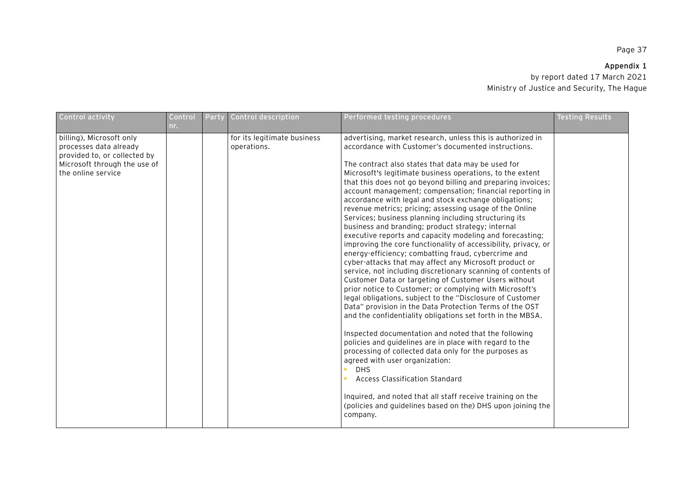# **Appendix 1**

| Control activity                                                                                                                         | Control<br>nr. | Party | Control description                        | Performed testing procedures                                                                                                                                                                                                                                                                                                                                                                                                                                                                                                                                                                                                                                                                                                                                                                                                                                                                                                                                                                                                                                                                                                                                                                                                                                                                                                                                                                                                                                                                                                                                                                                                             | <b>Testing Results</b> |
|------------------------------------------------------------------------------------------------------------------------------------------|----------------|-------|--------------------------------------------|------------------------------------------------------------------------------------------------------------------------------------------------------------------------------------------------------------------------------------------------------------------------------------------------------------------------------------------------------------------------------------------------------------------------------------------------------------------------------------------------------------------------------------------------------------------------------------------------------------------------------------------------------------------------------------------------------------------------------------------------------------------------------------------------------------------------------------------------------------------------------------------------------------------------------------------------------------------------------------------------------------------------------------------------------------------------------------------------------------------------------------------------------------------------------------------------------------------------------------------------------------------------------------------------------------------------------------------------------------------------------------------------------------------------------------------------------------------------------------------------------------------------------------------------------------------------------------------------------------------------------------------|------------------------|
| billing), Microsoft only<br>processes data already<br>provided to, or collected by<br>Microsoft through the use of<br>the online service |                |       | for its legitimate business<br>operations. | advertising, market research, unless this is authorized in<br>accordance with Customer's documented instructions.<br>The contract also states that data may be used for<br>Microsoft's legitimate business operations, to the extent<br>that this does not go beyond billing and preparing invoices;<br>account management; compensation; financial reporting in<br>accordance with legal and stock exchange obligations;<br>revenue metrics; pricing; assessing usage of the Online<br>Services; business planning including structuring its<br>business and branding; product strategy; internal<br>executive reports and capacity modeling and forecasting;<br>improving the core functionality of accessibility, privacy, or<br>energy-efficiency; combatting fraud, cybercrime and<br>cyber-attacks that may affect any Microsoft product or<br>service, not including discretionary scanning of contents of<br>Customer Data or targeting of Customer Users without<br>prior notice to Customer; or complying with Microsoft's<br>legal obligations, subject to the "Disclosure of Customer<br>Data" provision in the Data Protection Terms of the OST<br>and the confidentiality obligations set forth in the MBSA.<br>Inspected documentation and noted that the following<br>policies and guidelines are in place with regard to the<br>processing of collected data only for the purposes as<br>agreed with user organization:<br><b>DHS</b><br><b>Access Classification Standard</b><br>Inquired, and noted that all staff receive training on the<br>(policies and guidelines based on the) DHS upon joining the<br>company. |                        |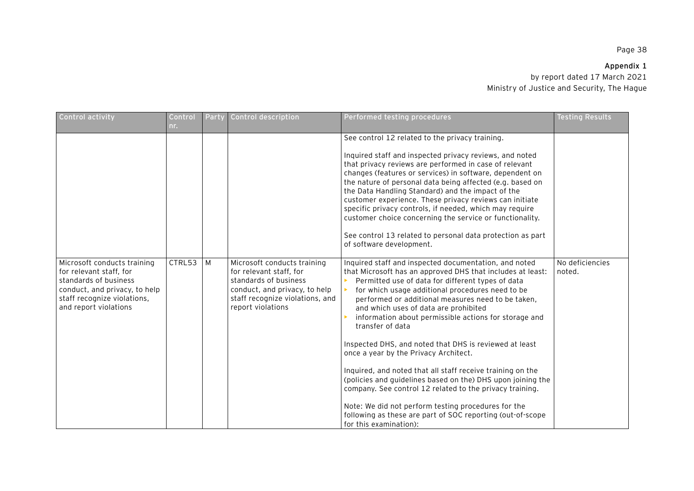| Control activity                                                                                                                                                         | Control<br>nr. | Party | <b>Control description</b>                                                                                                                                               | Performed testing procedures                                                                                                                                                                                                                                                                                                                                                                                                                                                                                                                                                                                                                                                                                                                                                                                                                        | Testina Results           |
|--------------------------------------------------------------------------------------------------------------------------------------------------------------------------|----------------|-------|--------------------------------------------------------------------------------------------------------------------------------------------------------------------------|-----------------------------------------------------------------------------------------------------------------------------------------------------------------------------------------------------------------------------------------------------------------------------------------------------------------------------------------------------------------------------------------------------------------------------------------------------------------------------------------------------------------------------------------------------------------------------------------------------------------------------------------------------------------------------------------------------------------------------------------------------------------------------------------------------------------------------------------------------|---------------------------|
|                                                                                                                                                                          |                |       |                                                                                                                                                                          | See control 12 related to the privacy training.<br>Inquired staff and inspected privacy reviews, and noted<br>that privacy reviews are performed in case of relevant<br>changes (features or services) in software, dependent on<br>the nature of personal data being affected (e.g. based on<br>the Data Handling Standard) and the impact of the<br>customer experience. These privacy reviews can initiate<br>specific privacy controls, if needed, which may require<br>customer choice concerning the service or functionality.<br>See control 13 related to personal data protection as part<br>of software development.                                                                                                                                                                                                                      |                           |
| Microsoft conducts training<br>for relevant staff, for<br>standards of business<br>conduct, and privacy, to help<br>staff recognize violations,<br>and report violations | CTRL53         | M     | Microsoft conducts training<br>for relevant staff, for<br>standards of business<br>conduct, and privacy, to help<br>staff recognize violations, and<br>report violations | Inquired staff and inspected documentation, and noted<br>that Microsoft has an approved DHS that includes at least:<br>Permitted use of data for different types of data<br>for which usage additional procedures need to be<br>performed or additional measures need to be taken,<br>and which uses of data are prohibited<br>information about permissible actions for storage and<br>transfer of data<br>Inspected DHS, and noted that DHS is reviewed at least<br>once a year by the Privacy Architect.<br>Inquired, and noted that all staff receive training on the<br>(policies and guidelines based on the) DHS upon joining the<br>company. See control 12 related to the privacy training.<br>Note: We did not perform testing procedures for the<br>following as these are part of SOC reporting (out-of-scope<br>for this examination): | No deficiencies<br>noted. |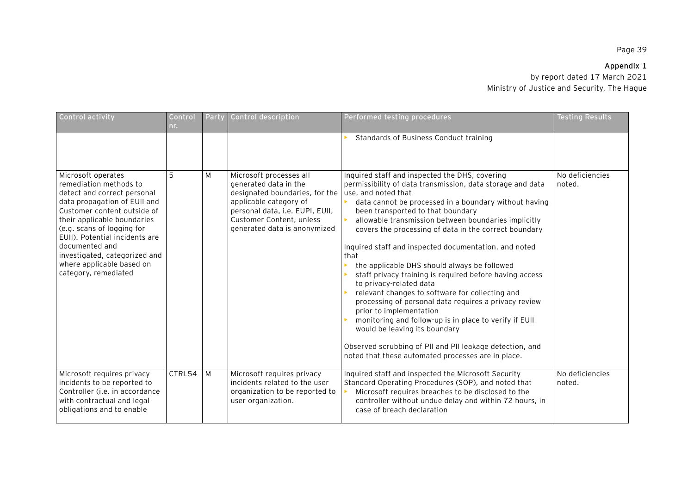## **Appendix 1**

| Control activity                                                                                                                                                                                                                                                                                                                                  | Control<br>nr. | Party | Control description                                                                                                                                                                                         | Performed testing procedures                                                                                                                                                                                                                                                                                                                                                                                                                                                                                                                                                                                                                                                                                                                                                                                                                                                                                  | <b>Testing Results</b>    |
|---------------------------------------------------------------------------------------------------------------------------------------------------------------------------------------------------------------------------------------------------------------------------------------------------------------------------------------------------|----------------|-------|-------------------------------------------------------------------------------------------------------------------------------------------------------------------------------------------------------------|---------------------------------------------------------------------------------------------------------------------------------------------------------------------------------------------------------------------------------------------------------------------------------------------------------------------------------------------------------------------------------------------------------------------------------------------------------------------------------------------------------------------------------------------------------------------------------------------------------------------------------------------------------------------------------------------------------------------------------------------------------------------------------------------------------------------------------------------------------------------------------------------------------------|---------------------------|
|                                                                                                                                                                                                                                                                                                                                                   |                |       |                                                                                                                                                                                                             | Standards of Business Conduct training                                                                                                                                                                                                                                                                                                                                                                                                                                                                                                                                                                                                                                                                                                                                                                                                                                                                        |                           |
| Microsoft operates<br>remediation methods to<br>detect and correct personal<br>data propagation of EUII and<br>Customer content outside of<br>their applicable boundaries<br>(e.g. scans of logging for<br>EUII). Potential incidents are<br>documented and<br>investigated, categorized and<br>where applicable based on<br>category, remediated | 5              | M     | Microsoft processes all<br>generated data in the<br>designated boundaries, for the<br>applicable category of<br>personal data, i.e. EUPI, EUII,<br>Customer Content, unless<br>generated data is anonymized | Inquired staff and inspected the DHS, covering<br>permissibility of data transmission, data storage and data<br>use, and noted that<br>data cannot be processed in a boundary without having<br>been transported to that boundary<br>allowable transmission between boundaries implicitly<br>covers the processing of data in the correct boundary<br>Inquired staff and inspected documentation, and noted<br>that<br>the applicable DHS should always be followed<br>staff privacy training is required before having access<br>to privacy-related data<br>relevant changes to software for collecting and<br>processing of personal data requires a privacy review<br>prior to implementation<br>monitoring and follow-up is in place to verify if EUII<br>would be leaving its boundary<br>Observed scrubbing of PII and PII leakage detection, and<br>noted that these automated processes are in place. | No deficiencies<br>noted. |
| Microsoft requires privacy<br>incidents to be reported to<br>Controller ( <i>i.e.</i> in accordance<br>with contractual and legal<br>obligations and to enable                                                                                                                                                                                    | CTRL54         | M     | Microsoft requires privacy<br>incidents related to the user<br>organization to be reported to<br>user organization.                                                                                         | Inquired staff and inspected the Microsoft Security<br>Standard Operating Procedures (SOP), and noted that<br>Microsoft requires breaches to be disclosed to the<br>controller without undue delay and within 72 hours, in<br>case of breach declaration                                                                                                                                                                                                                                                                                                                                                                                                                                                                                                                                                                                                                                                      | No deficiencies<br>noted. |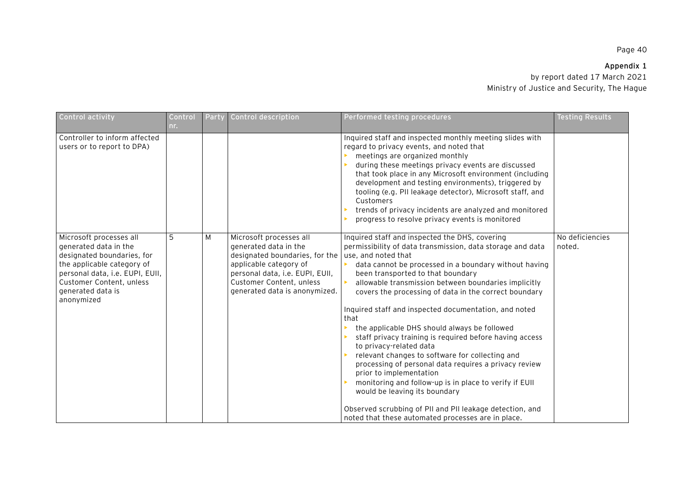# **Appendix 1**

| Control activity                                                                                                                                                                                               | Control<br>nr. | Party | Control description                                                                                                                                                                                                                      | Performed testing procedures                                                                                                                                                                                                                                                                                                                                                                                                                                                                                                                                                                                                                                                                                                                                                                                                                                                           | <b>Testing Results</b>    |
|----------------------------------------------------------------------------------------------------------------------------------------------------------------------------------------------------------------|----------------|-------|------------------------------------------------------------------------------------------------------------------------------------------------------------------------------------------------------------------------------------------|----------------------------------------------------------------------------------------------------------------------------------------------------------------------------------------------------------------------------------------------------------------------------------------------------------------------------------------------------------------------------------------------------------------------------------------------------------------------------------------------------------------------------------------------------------------------------------------------------------------------------------------------------------------------------------------------------------------------------------------------------------------------------------------------------------------------------------------------------------------------------------------|---------------------------|
| Controller to inform affected<br>users or to report to DPA)                                                                                                                                                    |                |       |                                                                                                                                                                                                                                          | Inquired staff and inspected monthly meeting slides with<br>regard to privacy events, and noted that<br>meetings are organized monthly<br>during these meetings privacy events are discussed<br>that took place in any Microsoft environment (including<br>development and testing environments), triggered by<br>tooling (e.g. PII leakage detector), Microsoft staff, and<br>Customers<br>trends of privacy incidents are analyzed and monitored<br>progress to resolve privacy events is monitored                                                                                                                                                                                                                                                                                                                                                                                  |                           |
| Microsoft processes all<br>generated data in the<br>designated boundaries, for<br>the applicable category of<br>personal data, i.e. EUPI, EUII,<br>Customer Content, unless<br>generated data is<br>anonymized | 5              | M     | Microsoft processes all<br>generated data in the<br>designated boundaries, for the $\vert$ use, and noted that<br>applicable category of<br>personal data, i.e. EUPI, EUII,<br>Customer Content, unless<br>generated data is anonymized. | Inquired staff and inspected the DHS, covering<br>permissibility of data transmission, data storage and data<br>data cannot be processed in a boundary without having<br>been transported to that boundary<br>allowable transmission between boundaries implicitly<br>covers the processing of data in the correct boundary<br>Inquired staff and inspected documentation, and noted<br>that<br>the applicable DHS should always be followed<br>staff privacy training is required before having access<br>to privacy-related data<br>relevant changes to software for collecting and<br>processing of personal data requires a privacy review<br>prior to implementation<br>monitoring and follow-up is in place to verify if EUII<br>would be leaving its boundary<br>Observed scrubbing of PII and PII leakage detection, and<br>noted that these automated processes are in place. | No deficiencies<br>noted. |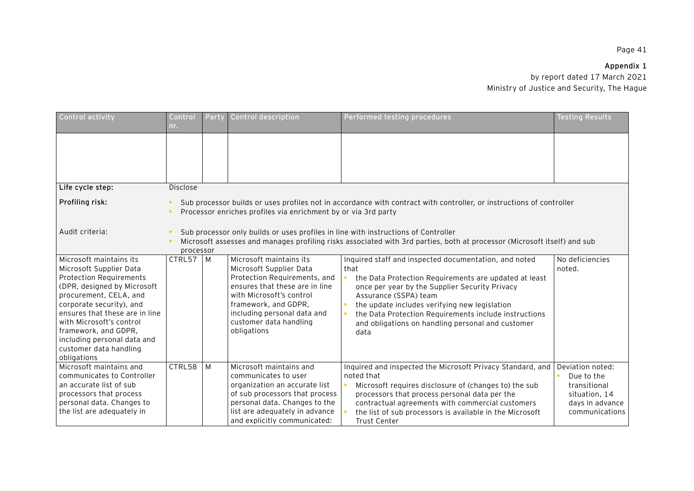# **Appendix 1**

| Control activity                                                                                                                                                                                                                                                                                                                        | Control<br>nr.                                                                                                                                                                                                              | Party                                                                                                                                                                                  | Control description                                                                                                                                                                                                                              | Performed testing procedures                                                                                                                                                                                                                                                                                                                                             | <b>Testing Results</b>                                                                               |  |  |  |  |
|-----------------------------------------------------------------------------------------------------------------------------------------------------------------------------------------------------------------------------------------------------------------------------------------------------------------------------------------|-----------------------------------------------------------------------------------------------------------------------------------------------------------------------------------------------------------------------------|----------------------------------------------------------------------------------------------------------------------------------------------------------------------------------------|--------------------------------------------------------------------------------------------------------------------------------------------------------------------------------------------------------------------------------------------------|--------------------------------------------------------------------------------------------------------------------------------------------------------------------------------------------------------------------------------------------------------------------------------------------------------------------------------------------------------------------------|------------------------------------------------------------------------------------------------------|--|--|--|--|
|                                                                                                                                                                                                                                                                                                                                         |                                                                                                                                                                                                                             |                                                                                                                                                                                        |                                                                                                                                                                                                                                                  |                                                                                                                                                                                                                                                                                                                                                                          |                                                                                                      |  |  |  |  |
| Life cycle step:                                                                                                                                                                                                                                                                                                                        | Disclose                                                                                                                                                                                                                    |                                                                                                                                                                                        |                                                                                                                                                                                                                                                  |                                                                                                                                                                                                                                                                                                                                                                          |                                                                                                      |  |  |  |  |
| Profiling risk:                                                                                                                                                                                                                                                                                                                         |                                                                                                                                                                                                                             | Sub processor builds or uses profiles not in accordance with contract with controller, or instructions of controller<br>Processor enriches profiles via enrichment by or via 3rd party |                                                                                                                                                                                                                                                  |                                                                                                                                                                                                                                                                                                                                                                          |                                                                                                      |  |  |  |  |
| Audit criteria:                                                                                                                                                                                                                                                                                                                         | Sub processor only builds or uses profiles in line with instructions of Controller<br>Microsoft assesses and manages profiling risks associated with 3rd parties, both at processor (Microsoft itself) and sub<br>processor |                                                                                                                                                                                        |                                                                                                                                                                                                                                                  |                                                                                                                                                                                                                                                                                                                                                                          |                                                                                                      |  |  |  |  |
| Microsoft maintains its<br>Microsoft Supplier Data<br><b>Protection Requirements</b><br>(DPR, designed by Microsoft<br>procurement, CELA, and<br>corporate security), and<br>ensures that these are in line<br>with Microsoft's control<br>framework, and GDPR,<br>including personal data and<br>customer data handling<br>obligations | CTRL57                                                                                                                                                                                                                      | $\blacksquare$                                                                                                                                                                         | Microsoft maintains its<br>Microsoft Supplier Data<br>Protection Requirements, and<br>ensures that these are in line<br>with Microsoft's control<br>framework, and GDPR,<br>including personal data and<br>customer data handling<br>obligations | Inquired staff and inspected documentation, and noted<br>that<br>the Data Protection Requirements are updated at least<br>once per year by the Supplier Security Privacy<br>Assurance (SSPA) team<br>the update includes verifying new legislation<br>the Data Protection Requirements include instructions<br>and obligations on handling personal and customer<br>data | No deficiencies<br>noted.                                                                            |  |  |  |  |
| Microsoft maintains and<br>communicates to Controller<br>an accurate list of sub<br>processors that process<br>personal data. Changes to<br>the list are adequately in                                                                                                                                                                  | CTRL58                                                                                                                                                                                                                      | M                                                                                                                                                                                      | Microsoft maintains and<br>communicates to user<br>organization an accurate list<br>of sub processors that process<br>personal data. Changes to the<br>list are adequately in advance<br>and explicitly communicated:                            | Inquired and inspected the Microsoft Privacy Standard, and<br>noted that<br>Microsoft requires disclosure of (changes to) the sub<br>processors that process personal data per the<br>contractual agreements with commercial customers<br>the list of sub processors is available in the Microsoft<br><b>Trust Center</b>                                                | Deviation noted:<br>Due to the<br>transitional<br>situation, 14<br>days in advance<br>communications |  |  |  |  |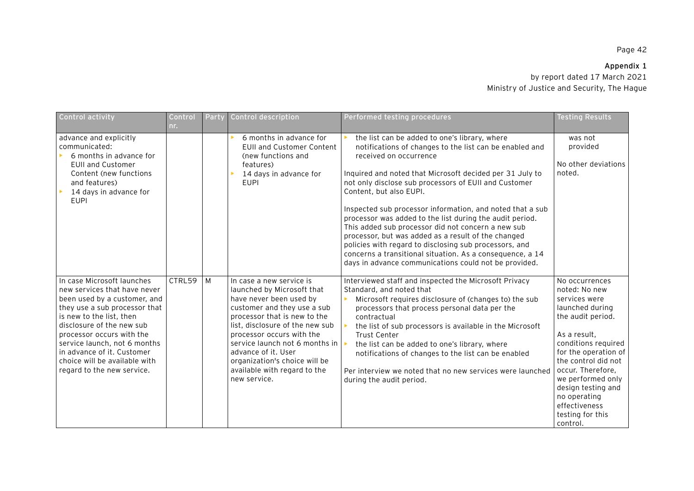# **Appendix 1**  by report dated 17 March 2021

Ministry of Justice and Security, The Hague

| Control activity                                                                                                                                                                                                                                                                                                                               | Control<br>nr. | Party | Control description                                                                                                                                                                                                                                                                                                                                        | Performed testing procedures                                                                                                                                                                                                                                                                                                                                                                                                                                                                                                                                                                                                                                                                             | <b>Testing Results</b>                                                                                                                                                                                                                                                                                          |
|------------------------------------------------------------------------------------------------------------------------------------------------------------------------------------------------------------------------------------------------------------------------------------------------------------------------------------------------|----------------|-------|------------------------------------------------------------------------------------------------------------------------------------------------------------------------------------------------------------------------------------------------------------------------------------------------------------------------------------------------------------|----------------------------------------------------------------------------------------------------------------------------------------------------------------------------------------------------------------------------------------------------------------------------------------------------------------------------------------------------------------------------------------------------------------------------------------------------------------------------------------------------------------------------------------------------------------------------------------------------------------------------------------------------------------------------------------------------------|-----------------------------------------------------------------------------------------------------------------------------------------------------------------------------------------------------------------------------------------------------------------------------------------------------------------|
| advance and explicitly<br>communicated:<br>6 months in advance for<br><b>EUII and Customer</b><br>Content (new functions<br>and features)<br>14 days in advance for<br><b>EUPI</b>                                                                                                                                                             |                |       | 6 months in advance for<br>EUII and Customer Content<br>(new functions and<br>features)<br>14 days in advance for<br><b>EUPI</b>                                                                                                                                                                                                                           | the list can be added to one's library, where<br>notifications of changes to the list can be enabled and<br>received on occurrence<br>Inquired and noted that Microsoft decided per 31 July to<br>not only disclose sub processors of EUII and Customer<br>Content, but also EUPI.<br>Inspected sub processor information, and noted that a sub<br>processor was added to the list during the audit period.<br>This added sub processor did not concern a new sub<br>processor, but was added as a result of the changed<br>policies with regard to disclosing sub processors, and<br>concerns a transitional situation. As a consequence, a 14<br>days in advance communications could not be provided. | was not<br>provided<br>No other deviations<br>noted.                                                                                                                                                                                                                                                            |
| In case Microsoft launches<br>new services that have never<br>been used by a customer, and<br>they use a sub processor that<br>is new to the list, then<br>disclosure of the new sub<br>processor occurs with the<br>service launch, not 6 months<br>in advance of it. Customer<br>choice will be available with<br>regard to the new service. | CTRL59         | M     | In case a new service is<br>launched by Microsoft that<br>have never been used by<br>customer and they use a sub<br>processor that is new to the<br>list, disclosure of the new sub<br>processor occurs with the<br>service launch not 6 months in<br>advance of it. User<br>organization's choice will be<br>available with regard to the<br>new service. | Interviewed staff and inspected the Microsoft Privacy<br>Standard, and noted that<br>Microsoft requires disclosure of (changes to) the sub<br>processors that process personal data per the<br>contractual<br>the list of sub processors is available in the Microsoft<br>Trust Center<br>the list can be added to one's library, where<br>notifications of changes to the list can be enabled<br>Per interview we noted that no new services were launched<br>during the audit period.                                                                                                                                                                                                                  | No occurrences<br>noted: No new<br>services were<br>launched during<br>the audit period.<br>As a result,<br>conditions required<br>for the operation of<br>the control did not<br>occur. Therefore,<br>we performed only<br>design testing and<br>no operating<br>effectiveness<br>testing for this<br>control. |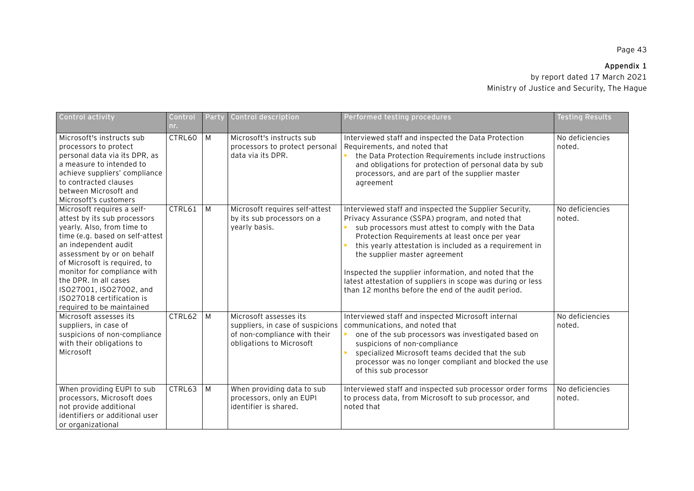# **Appendix 1**  by report dated 17 March 2021

Ministry of Justice and Security, The Hague

| <b>Control activity</b>                                                                                                                                                                                                                                                                                                                                        | Contr <u>ol</u><br>nr. | Party | Control description                                                                                                    | Performed testing procedures                                                                                                                                                                                                                                                                                                                                                                                                                                                                  | <b>Testing Results</b>    |
|----------------------------------------------------------------------------------------------------------------------------------------------------------------------------------------------------------------------------------------------------------------------------------------------------------------------------------------------------------------|------------------------|-------|------------------------------------------------------------------------------------------------------------------------|-----------------------------------------------------------------------------------------------------------------------------------------------------------------------------------------------------------------------------------------------------------------------------------------------------------------------------------------------------------------------------------------------------------------------------------------------------------------------------------------------|---------------------------|
| Microsoft's instructs sub<br>processors to protect<br>personal data via its DPR, as<br>a measure to intended to<br>achieve suppliers' compliance<br>to contracted clauses<br>between Microsoft and<br>Microsoft's customers                                                                                                                                    | CTRL60                 | M     | Microsoft's instructs sub<br>processors to protect personal<br>data via its DPR.                                       | Interviewed staff and inspected the Data Protection<br>Requirements, and noted that<br>the Data Protection Requirements include instructions<br>and obligations for protection of personal data by sub<br>processors, and are part of the supplier master<br>agreement                                                                                                                                                                                                                        | No deficiencies<br>noted. |
| Microsoft requires a self-<br>attest by its sub processors<br>yearly. Also, from time to<br>time (e.g. based on self-attest<br>an independent audit<br>assessment by or on behalf<br>of Microsoft is required, to<br>monitor for compliance with<br>the DPR. In all cases<br>ISO27001, ISO27002, and<br>ISO27018 certification is<br>required to be maintained | CTRL61                 | M     | Microsoft requires self-attest<br>by its sub processors on a<br>yearly basis.                                          | Interviewed staff and inspected the Supplier Security,<br>Privacy Assurance (SSPA) program, and noted that<br>sub processors must attest to comply with the Data<br>Protection Requirements at least once per year<br>this yearly attestation is included as a requirement in<br>the supplier master agreement<br>Inspected the supplier information, and noted that the<br>latest attestation of suppliers in scope was during or less<br>than 12 months before the end of the audit period. | No deficiencies<br>noted. |
| Microsoft assesses its<br>suppliers, in case of<br>suspicions of non-compliance<br>with their obligations to<br>Microsoft                                                                                                                                                                                                                                      | CTRL62                 | M     | Microsoft assesses its<br>suppliers, in case of suspicions<br>of non-compliance with their<br>obligations to Microsoft | Interviewed staff and inspected Microsoft internal<br>communications, and noted that<br>one of the sub processors was investigated based on<br>suspicions of non-compliance<br>specialized Microsoft teams decided that the sub<br>processor was no longer compliant and blocked the use<br>of this sub processor                                                                                                                                                                             | No deficiencies<br>noted. |
| When providing EUPI to sub<br>processors, Microsoft does<br>not provide additional<br>identifiers or additional user<br>or organizational                                                                                                                                                                                                                      | CTRL63                 | M     | When providing data to sub<br>processors, only an EUPI<br>identifier is shared.                                        | Interviewed staff and inspected sub processor order forms<br>to process data, from Microsoft to sub processor, and<br>noted that                                                                                                                                                                                                                                                                                                                                                              | No deficiencies<br>noted. |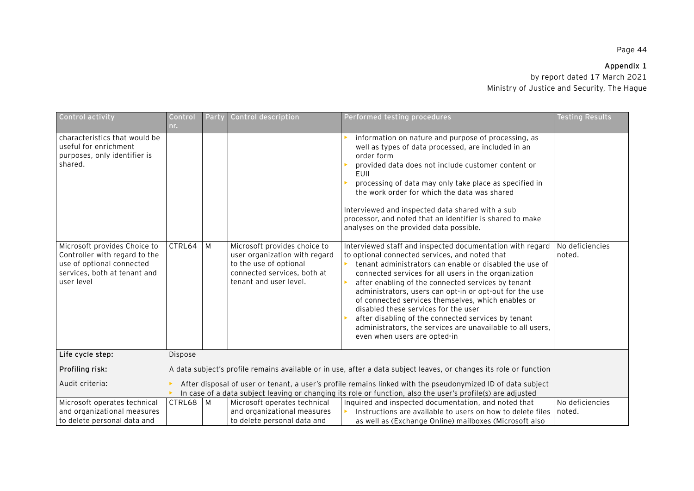## **Appendix 1**

| Control activity                                                                                                                  | Control<br>nr. | Party | Control description                                                                                              | Performed testing procedures                                                                                                                                                                                                                                                                                                                                                                                                                                                                                                          | <b>Testing Results</b>    |
|-----------------------------------------------------------------------------------------------------------------------------------|----------------|-------|------------------------------------------------------------------------------------------------------------------|---------------------------------------------------------------------------------------------------------------------------------------------------------------------------------------------------------------------------------------------------------------------------------------------------------------------------------------------------------------------------------------------------------------------------------------------------------------------------------------------------------------------------------------|---------------------------|
| characteristics that would be<br>useful for enrichment<br>purposes, only identifier is<br>shared.<br>Microsoft provides Choice to | CTRL64         | M     | Microsoft provides choice to                                                                                     | information on nature and purpose of processing, as<br>well as types of data processed, are included in an<br>order form<br>provided data does not include customer content or<br>EUII<br>processing of data may only take place as specified in<br>the work order for which the data was shared<br>Interviewed and inspected data shared with a sub<br>processor, and noted that an identifier is shared to make<br>analyses on the provided data possible.<br>Interviewed staff and inspected documentation with regard             | No deficiencies           |
| Controller with regard to the<br>use of optional connected<br>services, both at tenant and<br>user level                          |                |       | user organization with regard<br>to the use of optional<br>connected services, both at<br>tenant and user level. | to optional connected services, and noted that<br>tenant administrators can enable or disabled the use of<br>connected services for all users in the organization<br>after enabling of the connected services by tenant<br>administrators, users can opt-in or opt-out for the use<br>of connected services themselves, which enables or<br>disabled these services for the user<br>after disabling of the connected services by tenant<br>administrators, the services are unavailable to all users,<br>even when users are opted-in | noted.                    |
| Life cycle step:                                                                                                                  | <b>Dispose</b> |       |                                                                                                                  |                                                                                                                                                                                                                                                                                                                                                                                                                                                                                                                                       |                           |
| Profiling risk:                                                                                                                   |                |       |                                                                                                                  | A data subject's profile remains available or in use, after a data subject leaves, or changes its role or function                                                                                                                                                                                                                                                                                                                                                                                                                    |                           |
| Audit criteria:                                                                                                                   |                |       |                                                                                                                  | After disposal of user or tenant, a user's profile remains linked with the pseudonymized ID of data subject<br>In case of a data subject leaving or changing its role or function, also the user's profile(s) are adjusted                                                                                                                                                                                                                                                                                                            |                           |
| Microsoft operates technical<br>and organizational measures<br>to delete personal data and                                        | CTRL68   M     |       | Microsoft operates technical<br>and organizational measures<br>to delete personal data and                       | Inquired and inspected documentation, and noted that<br>Instructions are available to users on how to delete files<br>as well as (Exchange Online) mailboxes (Microsoft also                                                                                                                                                                                                                                                                                                                                                          | No deficiencies<br>noted. |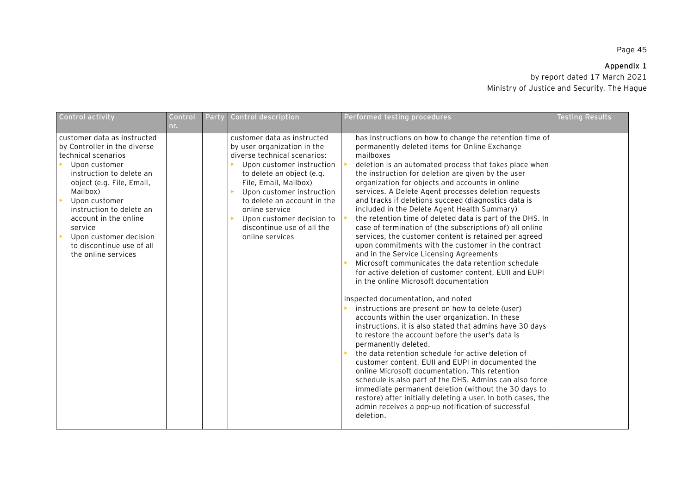## **Appendix 1**

| Control activity                                                                                                                                                                                                                                                                                                                                                                 | Control<br>nr. | Party | Control description                                                                                                                                                                                                                                                                                                                       | Performed testing procedures                                                                                                                                                                                                                                                                                                                                                                                                                                                                                                                                                                                                                                                                                                                                                                                                                                                                         | <b>Testing Results</b> |
|----------------------------------------------------------------------------------------------------------------------------------------------------------------------------------------------------------------------------------------------------------------------------------------------------------------------------------------------------------------------------------|----------------|-------|-------------------------------------------------------------------------------------------------------------------------------------------------------------------------------------------------------------------------------------------------------------------------------------------------------------------------------------------|------------------------------------------------------------------------------------------------------------------------------------------------------------------------------------------------------------------------------------------------------------------------------------------------------------------------------------------------------------------------------------------------------------------------------------------------------------------------------------------------------------------------------------------------------------------------------------------------------------------------------------------------------------------------------------------------------------------------------------------------------------------------------------------------------------------------------------------------------------------------------------------------------|------------------------|
| customer data as instructed<br>by Controller in the diverse<br>technical scenarios<br>Upon customer<br>$\blacktriangleright$<br>instruction to delete an<br>object (e.g. File, Email,<br>Mailbox)<br>$\mathbf{p}$<br>Upon customer<br>instruction to delete an<br>account in the online<br>service<br>Upon customer decision<br>to discontinue use of all<br>the online services |                |       | customer data as instructed<br>by user organization in the<br>diverse technical scenarios:<br>Upon customer instruction<br>to delete an object (e.g.<br>File, Email, Mailbox)<br>Upon customer instruction<br>to delete an account in the<br>online service<br>Upon customer decision to<br>discontinue use of all the<br>online services | has instructions on how to change the retention time of<br>permanently deleted items for Online Exchange<br>mailboxes<br>deletion is an automated process that takes place when<br>the instruction for deletion are given by the user<br>organization for objects and accounts in online<br>services. A Delete Agent processes deletion requests<br>and tracks if deletions succeed (diagnostics data is<br>included in the Delete Agent Health Summary)<br>the retention time of deleted data is part of the DHS. In<br>case of termination of (the subscriptions of) all online<br>services, the customer content is retained per agreed<br>upon commitments with the customer in the contract<br>and in the Service Licensing Agreements<br>Microsoft communicates the data retention schedule<br>for active deletion of customer content, EUII and EUPI<br>in the online Microsoft documentation |                        |
|                                                                                                                                                                                                                                                                                                                                                                                  |                |       |                                                                                                                                                                                                                                                                                                                                           | Inspected documentation, and noted<br>instructions are present on how to delete (user)<br>accounts within the user organization. In these<br>instructions, it is also stated that admins have 30 days<br>to restore the account before the user's data is<br>permanently deleted.<br>the data retention schedule for active deletion of<br>customer content, EUII and EUPI in documented the<br>online Microsoft documentation. This retention<br>schedule is also part of the DHS. Admins can also force<br>immediate permanent deletion (without the 30 days to<br>restore) after initially deleting a user. In both cases, the<br>admin receives a pop-up notification of successful<br>deletion.                                                                                                                                                                                                 |                        |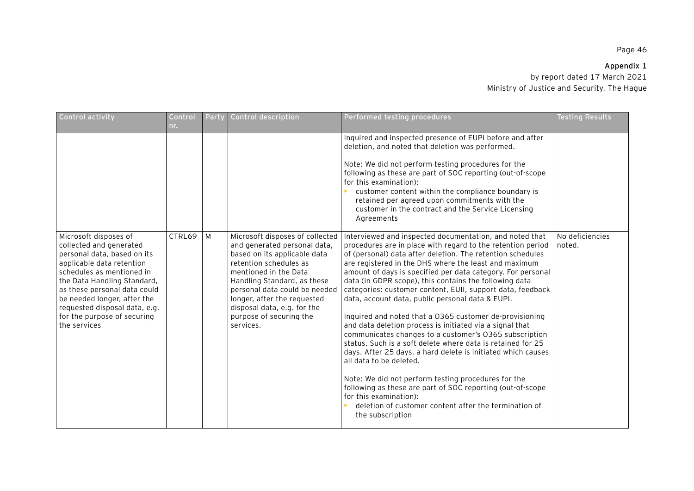# **Appendix 1**

| Control activity                                                                                                                                                                                                                                                                                                        | Control<br>nr. | Party | Control description                                                                                                                                                                                                                                                                                                      | Performed testing procedures                                                                                                                                                                                                                                                                                                                                                                                                                                                                                                                                                                                                                                                                                                                                                                                                                                                                                                                                                                                                                                    | <b>Testing Results</b>    |
|-------------------------------------------------------------------------------------------------------------------------------------------------------------------------------------------------------------------------------------------------------------------------------------------------------------------------|----------------|-------|--------------------------------------------------------------------------------------------------------------------------------------------------------------------------------------------------------------------------------------------------------------------------------------------------------------------------|-----------------------------------------------------------------------------------------------------------------------------------------------------------------------------------------------------------------------------------------------------------------------------------------------------------------------------------------------------------------------------------------------------------------------------------------------------------------------------------------------------------------------------------------------------------------------------------------------------------------------------------------------------------------------------------------------------------------------------------------------------------------------------------------------------------------------------------------------------------------------------------------------------------------------------------------------------------------------------------------------------------------------------------------------------------------|---------------------------|
|                                                                                                                                                                                                                                                                                                                         |                |       |                                                                                                                                                                                                                                                                                                                          | Inquired and inspected presence of EUPI before and after<br>deletion, and noted that deletion was performed.<br>Note: We did not perform testing procedures for the<br>following as these are part of SOC reporting (out-of-scope<br>for this examination):<br>customer content within the compliance boundary is<br>retained per agreed upon commitments with the<br>customer in the contract and the Service Licensing<br>Agreements                                                                                                                                                                                                                                                                                                                                                                                                                                                                                                                                                                                                                          |                           |
| Microsoft disposes of<br>collected and generated<br>personal data, based on its<br>applicable data retention<br>schedules as mentioned in<br>the Data Handling Standard,<br>as these personal data could<br>be needed longer, after the<br>requested disposal data, e.g.<br>for the purpose of securing<br>the services | CTRL69         | M     | Microsoft disposes of collected<br>and generated personal data,<br>based on its applicable data<br>retention schedules as<br>mentioned in the Data<br>Handling Standard, as these<br>personal data could be needed<br>longer, after the requested<br>disposal data, e.g. for the<br>purpose of securing the<br>services. | Interviewed and inspected documentation, and noted that<br>procedures are in place with regard to the retention period<br>of (personal) data after deletion. The retention schedules<br>are registered in the DHS where the least and maximum<br>amount of days is specified per data category. For personal<br>data (in GDPR scope), this contains the following data<br>categories: customer content, EUII, support data, feedback<br>data, account data, public personal data & EUPI.<br>Inquired and noted that a 0365 customer de-provisioning<br>and data deletion process is initiated via a signal that<br>communicates changes to a customer's 0365 subscription<br>status. Such is a soft delete where data is retained for 25<br>days. After 25 days, a hard delete is initiated which causes<br>all data to be deleted.<br>Note: We did not perform testing procedures for the<br>following as these are part of SOC reporting (out-of-scope<br>for this examination):<br>deletion of customer content after the termination of<br>the subscription | No deficiencies<br>noted. |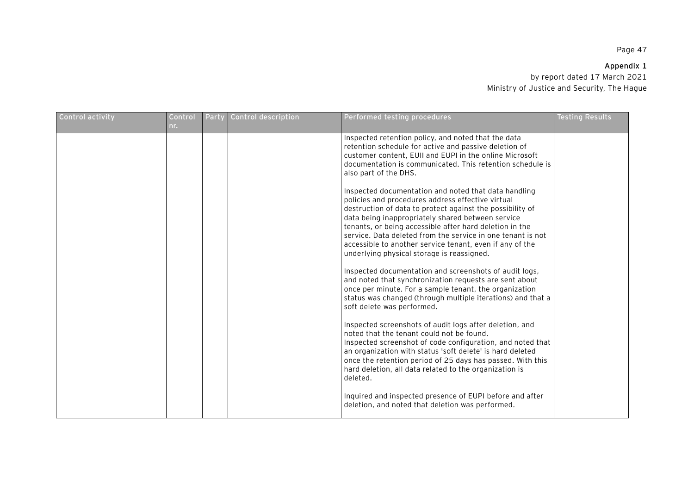## **Appendix 1**

| Control activity | Control<br>nr. | Party | Control description | Performed testing procedures                                                                                                                                                                                                                                                                                                                                                                                                                                    | <b>Testing Results</b> |
|------------------|----------------|-------|---------------------|-----------------------------------------------------------------------------------------------------------------------------------------------------------------------------------------------------------------------------------------------------------------------------------------------------------------------------------------------------------------------------------------------------------------------------------------------------------------|------------------------|
|                  |                |       |                     | Inspected retention policy, and noted that the data<br>retention schedule for active and passive deletion of<br>customer content, EUII and EUPI in the online Microsoft<br>documentation is communicated. This retention schedule is<br>also part of the DHS.                                                                                                                                                                                                   |                        |
|                  |                |       |                     | Inspected documentation and noted that data handling<br>policies and procedures address effective virtual<br>destruction of data to protect against the possibility of<br>data being inappropriately shared between service<br>tenants, or being accessible after hard deletion in the<br>service. Data deleted from the service in one tenant is not<br>accessible to another service tenant, even if any of the<br>underlying physical storage is reassigned. |                        |
|                  |                |       |                     | Inspected documentation and screenshots of audit logs,<br>and noted that synchronization requests are sent about<br>once per minute. For a sample tenant, the organization<br>status was changed (through multiple iterations) and that a<br>soft delete was performed.                                                                                                                                                                                         |                        |
|                  |                |       |                     | Inspected screenshots of audit logs after deletion, and<br>noted that the tenant could not be found.<br>Inspected screenshot of code configuration, and noted that<br>an organization with status 'soft delete' is hard deleted<br>once the retention period of 25 days has passed. With this<br>hard deletion, all data related to the organization is<br>deleted.                                                                                             |                        |
|                  |                |       |                     | Inquired and inspected presence of EUPI before and after<br>deletion, and noted that deletion was performed.                                                                                                                                                                                                                                                                                                                                                    |                        |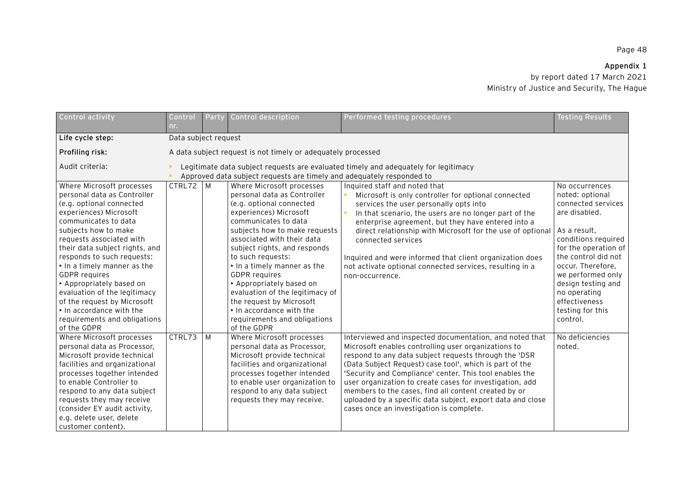# **Appendix 1**

| Control activity               | Control<br>nr.                                                                      | Party                                                        | Control description             | Performed testing procedures                               | <b>Testing Results</b> |  |  |  |
|--------------------------------|-------------------------------------------------------------------------------------|--------------------------------------------------------------|---------------------------------|------------------------------------------------------------|------------------------|--|--|--|
| Life cycle step:               | Data subject request                                                                |                                                              |                                 |                                                            |                        |  |  |  |
| Profiling risk:                |                                                                                     | A data subject request is not timely or adequately processed |                                 |                                                            |                        |  |  |  |
| Audit criteria:                | Legitimate data subject requests are evaluated timely and adequately for legitimacy |                                                              |                                 |                                                            |                        |  |  |  |
|                                | Approved data subject requests are timely and adequately responded to               |                                                              |                                 |                                                            |                        |  |  |  |
| Where Microsoft processes      | CTRL72 M                                                                            |                                                              | Where Microsoft processes       | Inquired staff and noted that                              | No occurrences         |  |  |  |
| personal data as Controller    |                                                                                     |                                                              | personal data as Controller     | Microsoft is only controller for optional connected        | noted: optional        |  |  |  |
| (e.g. optional connected       |                                                                                     |                                                              | (e.g. optional connected        | services the user personally opts into                     | connected services     |  |  |  |
| experiences) Microsoft         |                                                                                     |                                                              | experiences) Microsoft          | In that scenario, the users are no longer part of the      | are disabled.          |  |  |  |
| communicates to data           |                                                                                     |                                                              | communicates to data            | enterprise agreement, but they have entered into a         |                        |  |  |  |
| subjects how to make           |                                                                                     |                                                              | subjects how to make requests   | direct relationship with Microsoft for the use of optional | As a result,           |  |  |  |
| requests associated with       |                                                                                     |                                                              | associated with their data      | connected services                                         | conditions required    |  |  |  |
| their data subject rights, and |                                                                                     |                                                              | subject rights, and responds    |                                                            | for the operation of   |  |  |  |
| responds to such requests:     |                                                                                     |                                                              | to such requests:               | Inquired and were informed that client organization does   | the control did not    |  |  |  |
| In a timely manner as the      |                                                                                     |                                                              | In a timely manner as the       | not activate optional connected services, resulting in a   | occur. Therefore,      |  |  |  |
| <b>GDPR</b> requires           |                                                                                     |                                                              | <b>GDPR</b> requires            | non-occurrence.                                            | we performed only      |  |  |  |
| Appropriately based on         |                                                                                     |                                                              | Appropriately based on          |                                                            | design testing and     |  |  |  |
| evaluation of the legitimacy   |                                                                                     |                                                              | evaluation of the legitimacy of |                                                            | no operating           |  |  |  |
| of the request by Microsoft    |                                                                                     |                                                              | the request by Microsoft        |                                                            | effectiveness          |  |  |  |
| In accordance with the         |                                                                                     |                                                              | In accordance with the          |                                                            | testing for this       |  |  |  |
| requirements and obligations   |                                                                                     |                                                              | requirements and obligations    |                                                            | control.               |  |  |  |
| of the GDPR                    |                                                                                     |                                                              | of the GDPR                     |                                                            |                        |  |  |  |
| Where Microsoft processes      | CTRL73                                                                              | M                                                            | Where Microsoft processes       | Interviewed and inspected documentation, and noted that    | No deficiencies        |  |  |  |
| personal data as Processor,    |                                                                                     |                                                              | personal data as Processor,     | Microsoft enables controlling user organizations to        | noted.                 |  |  |  |
| Microsoft provide technical    |                                                                                     |                                                              | Microsoft provide technical     | respond to any data subject requests through the 'DSR      |                        |  |  |  |
| facilities and organizational  |                                                                                     |                                                              | facilities and organizational   | (Data Subject Request) case tool', which is part of the    |                        |  |  |  |
| processes together intended    |                                                                                     |                                                              | processes together intended     | 'Security and Compliance' center. This tool enables the    |                        |  |  |  |
| to enable Controller to        |                                                                                     |                                                              | to enable user organization to  | user organization to create cases for investigation, add   |                        |  |  |  |
| respond to any data subject    |                                                                                     |                                                              | respond to any data subject     | members to the cases, find all content created by or       |                        |  |  |  |
| requests they may receive      |                                                                                     |                                                              | requests they may receive.      | uploaded by a specific data subject, export data and close |                        |  |  |  |
| (consider EY audit activity,   |                                                                                     |                                                              |                                 | cases once an investigation is complete.                   |                        |  |  |  |
| e.g. delete user, delete       |                                                                                     |                                                              |                                 |                                                            |                        |  |  |  |
| customer content).             |                                                                                     |                                                              |                                 |                                                            |                        |  |  |  |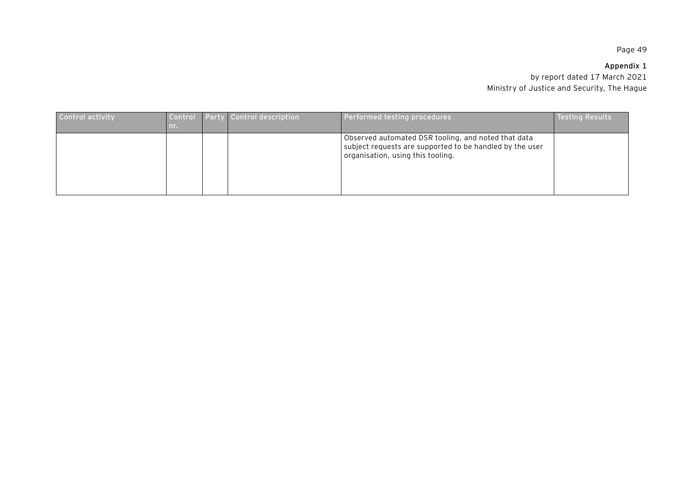# **Appendix 1**

| Control activity | -nr | Control Party Control description | Performed testing procedures                                                                                                                         | <b>Testing Results</b> |
|------------------|-----|-----------------------------------|------------------------------------------------------------------------------------------------------------------------------------------------------|------------------------|
|                  |     |                                   | Observed automated DSR tooling, and noted that data<br>subject requests are supported to be handled by the user<br>organisation, using this tooling. |                        |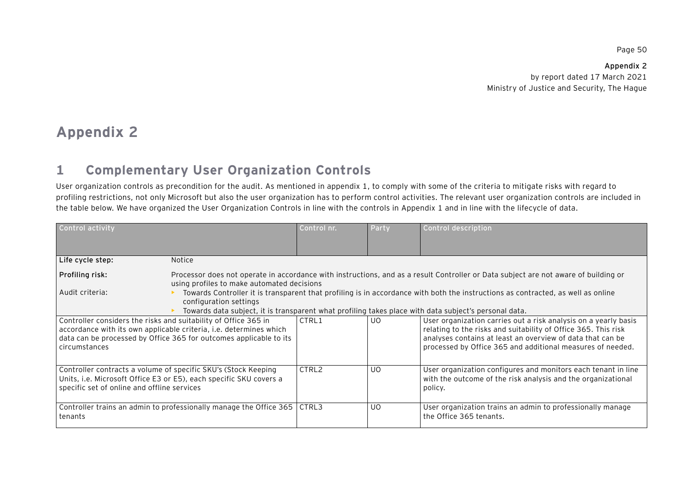**Appendix 2**  by report dated 17 March 2021 Ministry of Justice and Security, The Hague

# **Appendix 2**

#### **1Complementary User Organization Controls**

User organization controls as precondition for the audit. As mentioned in appendix 1, to comply with some of the criteria to mitigate risks with regard to profiling restrictions, not only Microsoft but also the user organization has to perform control activities. The relevant user organization controls are included in the table below. We have organized the User Organization Controls in line with the controls in Appendix 1 and in line with the lifecycle of data.

| Control activity                                                                                                                                                                                                             |                                                                                                                                      | Control nr. | Party                                                                                                                                                                                                                                                         | Control description                                                                                                                      |
|------------------------------------------------------------------------------------------------------------------------------------------------------------------------------------------------------------------------------|--------------------------------------------------------------------------------------------------------------------------------------|-------------|---------------------------------------------------------------------------------------------------------------------------------------------------------------------------------------------------------------------------------------------------------------|------------------------------------------------------------------------------------------------------------------------------------------|
| Life cycle step:                                                                                                                                                                                                             | <b>Notice</b>                                                                                                                        |             |                                                                                                                                                                                                                                                               |                                                                                                                                          |
| Profiling risk:                                                                                                                                                                                                              | using profiles to make automated decisions                                                                                           |             | Processor does not operate in accordance with instructions, and as a result Controller or Data subject are not aware of building or                                                                                                                           |                                                                                                                                          |
| Audit criteria:                                                                                                                                                                                                              | configuration settings<br>Towards data subject, it is transparent what profiling takes place with data subject's personal data.      |             |                                                                                                                                                                                                                                                               | Towards Controller it is transparent that profiling is in accordance with both the instructions as contracted, as well as online         |
| Controller considers the risks and suitability of Office 365 in<br>accordance with its own applicable criteria, i.e. determines which<br>data can be processed by Office 365 for outcomes applicable to its<br>circumstances | CTRL1                                                                                                                                | UO.         | User organization carries out a risk analysis on a yearly basis<br>relating to the risks and suitability of Office 365. This risk<br>analyses contains at least an overview of data that can be<br>processed by Office 365 and additional measures of needed. |                                                                                                                                          |
| specific set of online and offline services                                                                                                                                                                                  | Controller contracts a volume of specific SKU's (Stock Keeping<br>Units, i.e. Microsoft Office E3 or E5), each specific SKU covers a | CTRL2       | UO.                                                                                                                                                                                                                                                           | User organization configures and monitors each tenant in line<br>with the outcome of the risk analysis and the organizational<br>policy. |
| tenants                                                                                                                                                                                                                      | Controller trains an admin to professionally manage the Office 365                                                                   | CTRL3       | UO.                                                                                                                                                                                                                                                           | User organization trains an admin to professionally manage<br>the Office 365 tenants.                                                    |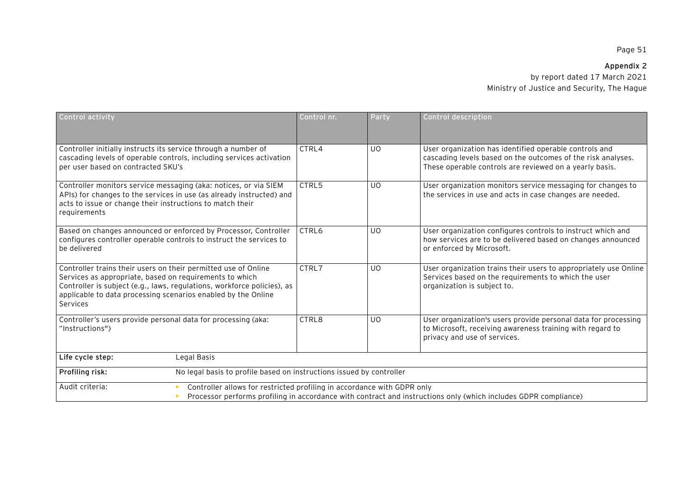# **Appendix 2**

| Control activity                                                                                                                                                                                                                                                                  | Control nr.                                                                                                                                                                                | Party          | Control description                                                                                                                                                               |  |  |  |
|-----------------------------------------------------------------------------------------------------------------------------------------------------------------------------------------------------------------------------------------------------------------------------------|--------------------------------------------------------------------------------------------------------------------------------------------------------------------------------------------|----------------|-----------------------------------------------------------------------------------------------------------------------------------------------------------------------------------|--|--|--|
| Controller initially instructs its service through a number of<br>cascading levels of operable controls, including services activation<br>per user based on contracted SKU's                                                                                                      | CTRL4                                                                                                                                                                                      | <b>UO</b>      | User organization has identified operable controls and<br>cascading levels based on the outcomes of the risk analyses.<br>These operable controls are reviewed on a yearly basis. |  |  |  |
| Controller monitors service messaging (aka: notices, or via SIEM<br>APIs) for changes to the services in use (as already instructed) and<br>acts to issue or change their instructions to match their<br>requirements                                                             | CTRL5                                                                                                                                                                                      | U <sub>0</sub> | User organization monitors service messaging for changes to<br>the services in use and acts in case changes are needed.                                                           |  |  |  |
| Based on changes announced or enforced by Processor, Controller<br>configures controller operable controls to instruct the services to<br>be delivered                                                                                                                            | CTRL6                                                                                                                                                                                      | <b>UO</b>      | User organization configures controls to instruct which and<br>how services are to be delivered based on changes announced<br>or enforced by Microsoft.                           |  |  |  |
| Controller trains their users on their permitted use of Online<br>Services as appropriate, based on requirements to which<br>Controller is subject (e.g., laws, regulations, workforce policies), as<br>applicable to data processing scenarios enabled by the Online<br>Services | CTRL7                                                                                                                                                                                      | U <sub>0</sub> | User organization trains their users to appropriately use Online<br>Services based on the requirements to which the user<br>organization is subject to.                           |  |  |  |
| Controller's users provide personal data for processing (aka:<br>"Instructions")                                                                                                                                                                                                  | CTRL8                                                                                                                                                                                      | U <sub>0</sub> | User organization's users provide personal data for processing<br>to Microsoft, receiving awareness training with regard to<br>privacy and use of services.                       |  |  |  |
| Life cycle step:<br>Legal Basis                                                                                                                                                                                                                                                   |                                                                                                                                                                                            |                |                                                                                                                                                                                   |  |  |  |
| Profiling risk:                                                                                                                                                                                                                                                                   | No legal basis to profile based on instructions issued by controller                                                                                                                       |                |                                                                                                                                                                                   |  |  |  |
| Audit criteria:                                                                                                                                                                                                                                                                   | Controller allows for restricted profiling in accordance with GDPR only<br>Processor performs profiling in accordance with contract and instructions only (which includes GDPR compliance) |                |                                                                                                                                                                                   |  |  |  |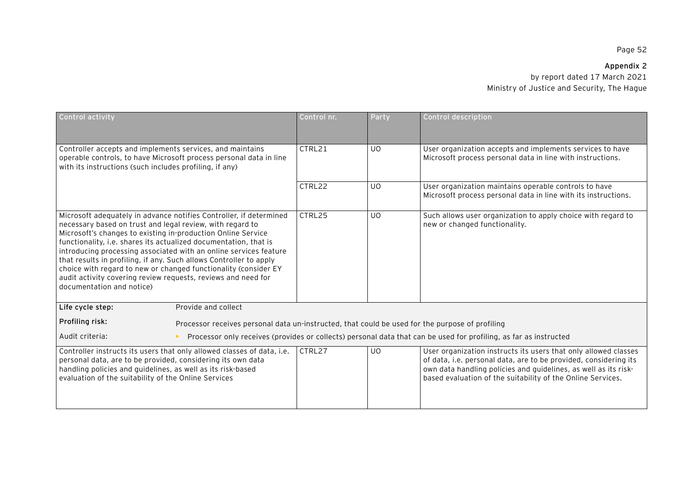# **Appendix 2**

| Control activity                                                                                                                                                                                                                                                                                                                                                                                                                                                                                                                                                                |                                                                                                 | Control nr.    | Party                                                                                                                                                                                                                                                                 | Control description                                                                                               |
|---------------------------------------------------------------------------------------------------------------------------------------------------------------------------------------------------------------------------------------------------------------------------------------------------------------------------------------------------------------------------------------------------------------------------------------------------------------------------------------------------------------------------------------------------------------------------------|-------------------------------------------------------------------------------------------------|----------------|-----------------------------------------------------------------------------------------------------------------------------------------------------------------------------------------------------------------------------------------------------------------------|-------------------------------------------------------------------------------------------------------------------|
| Controller accepts and implements services, and maintains<br>operable controls, to have Microsoft process personal data in line<br>with its instructions (such includes profiling, if any)                                                                                                                                                                                                                                                                                                                                                                                      | CTRL21                                                                                          | <b>UO</b>      | User organization accepts and implements services to have<br>Microsoft process personal data in line with instructions.                                                                                                                                               |                                                                                                                   |
|                                                                                                                                                                                                                                                                                                                                                                                                                                                                                                                                                                                 | CTRL22                                                                                          | U <sub>0</sub> | User organization maintains operable controls to have<br>Microsoft process personal data in line with its instructions.                                                                                                                                               |                                                                                                                   |
| Microsoft adequately in advance notifies Controller, if determined<br>necessary based on trust and legal review, with regard to<br>Microsoft's changes to existing in-production Online Service<br>functionality, i.e. shares its actualized documentation, that is<br>introducing processing associated with an online services feature<br>that results in profiling, if any. Such allows Controller to apply<br>choice with regard to new or changed functionality (consider EY<br>audit activity covering review requests, reviews and need for<br>documentation and notice) | CTRL25                                                                                          | UO             | Such allows user organization to apply choice with regard to<br>new or changed functionality.                                                                                                                                                                         |                                                                                                                   |
| Life cycle step:                                                                                                                                                                                                                                                                                                                                                                                                                                                                                                                                                                | Provide and collect                                                                             |                |                                                                                                                                                                                                                                                                       |                                                                                                                   |
| Profiling risk:                                                                                                                                                                                                                                                                                                                                                                                                                                                                                                                                                                 | Processor receives personal data un-instructed, that could be used for the purpose of profiling |                |                                                                                                                                                                                                                                                                       |                                                                                                                   |
| Audit criteria:                                                                                                                                                                                                                                                                                                                                                                                                                                                                                                                                                                 |                                                                                                 |                |                                                                                                                                                                                                                                                                       | Processor only receives (provides or collects) personal data that can be used for profiling, as far as instructed |
| Controller instructs its users that only allowed classes of data, i.e.<br>personal data, are to be provided, considering its own data<br>handling policies and guidelines, as well as its risk-based<br>evaluation of the suitability of the Online Services                                                                                                                                                                                                                                                                                                                    | CTRL27                                                                                          | UO             | User organization instructs its users that only allowed classes<br>of data, i.e. personal data, are to be provided, considering its<br>own data handling policies and guidelines, as well as its risk-<br>based evaluation of the suitability of the Online Services. |                                                                                                                   |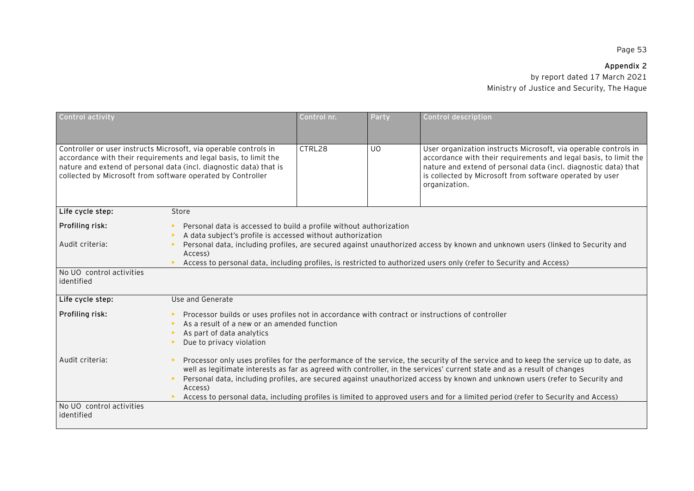# **Appendix 2**

| Control activity                       |                                                                                                                                                                                                                                                                                                                                                                                                                                                                                                                                                | Control nr. | Party                                                                                                                                                                                                                                               | <b>Control description</b>                                                                                                                                                                                                                                                          |  |  |
|----------------------------------------|------------------------------------------------------------------------------------------------------------------------------------------------------------------------------------------------------------------------------------------------------------------------------------------------------------------------------------------------------------------------------------------------------------------------------------------------------------------------------------------------------------------------------------------------|-------------|-----------------------------------------------------------------------------------------------------------------------------------------------------------------------------------------------------------------------------------------------------|-------------------------------------------------------------------------------------------------------------------------------------------------------------------------------------------------------------------------------------------------------------------------------------|--|--|
|                                        | Controller or user instructs Microsoft, via operable controls in<br>accordance with their requirements and legal basis, to limit the<br>nature and extend of personal data (incl. diagnostic data) that is<br>collected by Microsoft from software operated by Controller                                                                                                                                                                                                                                                                      | CTRL28      | UO                                                                                                                                                                                                                                                  | User organization instructs Microsoft, via operable controls in<br>accordance with their requirements and legal basis, to limit the<br>nature and extend of personal data (incl. diagnostic data) that<br>is collected by Microsoft from software operated by user<br>organization. |  |  |
| Life cycle step:                       | Store                                                                                                                                                                                                                                                                                                                                                                                                                                                                                                                                          |             |                                                                                                                                                                                                                                                     |                                                                                                                                                                                                                                                                                     |  |  |
| Profiling risk:                        | Personal data is accessed to build a profile without authorization<br>A data subject's profile is accessed without authorization                                                                                                                                                                                                                                                                                                                                                                                                               |             |                                                                                                                                                                                                                                                     |                                                                                                                                                                                                                                                                                     |  |  |
| Audit criteria:                        |                                                                                                                                                                                                                                                                                                                                                                                                                                                                                                                                                |             | Personal data, including profiles, are secured against unauthorized access by known and unknown users (linked to Security and<br>Access to personal data, including profiles, is restricted to authorized users only (refer to Security and Access) |                                                                                                                                                                                                                                                                                     |  |  |
| No UO control activities<br>identified |                                                                                                                                                                                                                                                                                                                                                                                                                                                                                                                                                |             |                                                                                                                                                                                                                                                     |                                                                                                                                                                                                                                                                                     |  |  |
| Life cycle step:                       | Use and Generate                                                                                                                                                                                                                                                                                                                                                                                                                                                                                                                               |             |                                                                                                                                                                                                                                                     |                                                                                                                                                                                                                                                                                     |  |  |
| Profiling risk:                        | Processor builds or uses profiles not in accordance with contract or instructions of controller<br>As a result of a new or an amended function<br>As part of data analytics<br>Due to privacy violation                                                                                                                                                                                                                                                                                                                                        |             |                                                                                                                                                                                                                                                     |                                                                                                                                                                                                                                                                                     |  |  |
| Audit criteria:                        | Processor only uses profiles for the performance of the service, the security of the service and to keep the service up to date, as<br>well as legitimate interests as far as agreed with controller, in the services' current state and as a result of changes<br>Personal data, including profiles, are secured against unauthorized access by known and unknown users (refer to Security and<br>Access)<br>Access to personal data, including profiles is limited to approved users and for a limited period (refer to Security and Access) |             |                                                                                                                                                                                                                                                     |                                                                                                                                                                                                                                                                                     |  |  |
| No UO control activities<br>identified |                                                                                                                                                                                                                                                                                                                                                                                                                                                                                                                                                |             |                                                                                                                                                                                                                                                     |                                                                                                                                                                                                                                                                                     |  |  |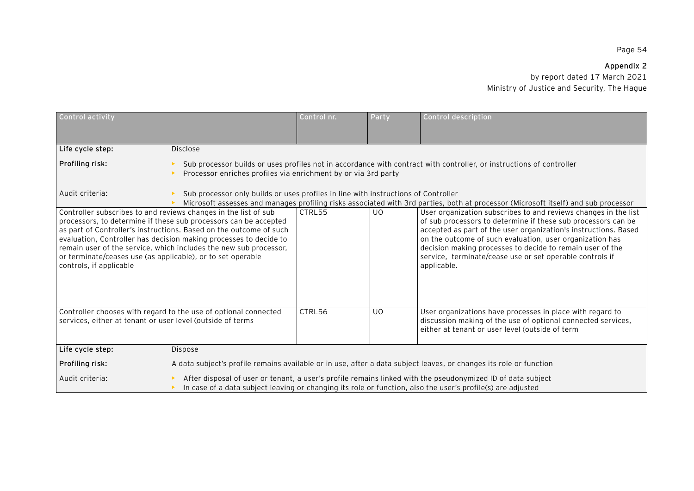# **Appendix 2**

| Control activity                                                                                                                                                                                                                                                                                                                                                                                                                              |                                                                                                                                                                                                                            | Control nr. | Party                                                                                                                                                                                                                                                                                                                                                                                                   | Control description                                                                                                                                                          |  |  |
|-----------------------------------------------------------------------------------------------------------------------------------------------------------------------------------------------------------------------------------------------------------------------------------------------------------------------------------------------------------------------------------------------------------------------------------------------|----------------------------------------------------------------------------------------------------------------------------------------------------------------------------------------------------------------------------|-------------|---------------------------------------------------------------------------------------------------------------------------------------------------------------------------------------------------------------------------------------------------------------------------------------------------------------------------------------------------------------------------------------------------------|------------------------------------------------------------------------------------------------------------------------------------------------------------------------------|--|--|
|                                                                                                                                                                                                                                                                                                                                                                                                                                               |                                                                                                                                                                                                                            |             |                                                                                                                                                                                                                                                                                                                                                                                                         |                                                                                                                                                                              |  |  |
| Life cycle step:                                                                                                                                                                                                                                                                                                                                                                                                                              | <b>Disclose</b>                                                                                                                                                                                                            |             |                                                                                                                                                                                                                                                                                                                                                                                                         |                                                                                                                                                                              |  |  |
| Profiling risk:                                                                                                                                                                                                                                                                                                                                                                                                                               | Processor enriches profiles via enrichment by or via 3rd party                                                                                                                                                             |             |                                                                                                                                                                                                                                                                                                                                                                                                         | Sub processor builds or uses profiles not in accordance with contract with controller, or instructions of controller                                                         |  |  |
| Audit criteria:                                                                                                                                                                                                                                                                                                                                                                                                                               |                                                                                                                                                                                                                            |             | Sub processor only builds or uses profiles in line with instructions of Controller<br>Microsoft assesses and manages profiling risks associated with 3rd parties, both at processor (Microsoft itself) and sub processor                                                                                                                                                                                |                                                                                                                                                                              |  |  |
| Controller subscribes to and reviews changes in the list of sub<br>processors, to determine if these sub processors can be accepted<br>as part of Controller's instructions. Based on the outcome of such<br>evaluation, Controller has decision making processes to decide to<br>remain user of the service, which includes the new sub processor,<br>or terminate/ceases use (as applicable), or to set operable<br>controls, if applicable | CTRL55                                                                                                                                                                                                                     | <b>UO</b>   | User organization subscribes to and reviews changes in the list<br>of sub processors to determine if these sub processors can be<br>accepted as part of the user organization's instructions. Based<br>on the outcome of such evaluation, user organization has<br>decision making processes to decide to remain user of the<br>service, terminate/cease use or set operable controls if<br>applicable. |                                                                                                                                                                              |  |  |
| Controller chooses with regard to the use of optional connected<br>services, either at tenant or user level (outside of terms                                                                                                                                                                                                                                                                                                                 |                                                                                                                                                                                                                            | CTRL56      | <b>UO</b>                                                                                                                                                                                                                                                                                                                                                                                               | User organizations have processes in place with regard to<br>discussion making of the use of optional connected services,<br>either at tenant or user level (outside of term |  |  |
| Life cycle step:                                                                                                                                                                                                                                                                                                                                                                                                                              | Dispose                                                                                                                                                                                                                    |             |                                                                                                                                                                                                                                                                                                                                                                                                         |                                                                                                                                                                              |  |  |
| Profiling risk:                                                                                                                                                                                                                                                                                                                                                                                                                               | A data subject's profile remains available or in use, after a data subject leaves, or changes its role or function                                                                                                         |             |                                                                                                                                                                                                                                                                                                                                                                                                         |                                                                                                                                                                              |  |  |
| Audit criteria:                                                                                                                                                                                                                                                                                                                                                                                                                               | After disposal of user or tenant, a user's profile remains linked with the pseudonymized ID of data subject<br>In case of a data subject leaving or changing its role or function, also the user's profile(s) are adjusted |             |                                                                                                                                                                                                                                                                                                                                                                                                         |                                                                                                                                                                              |  |  |